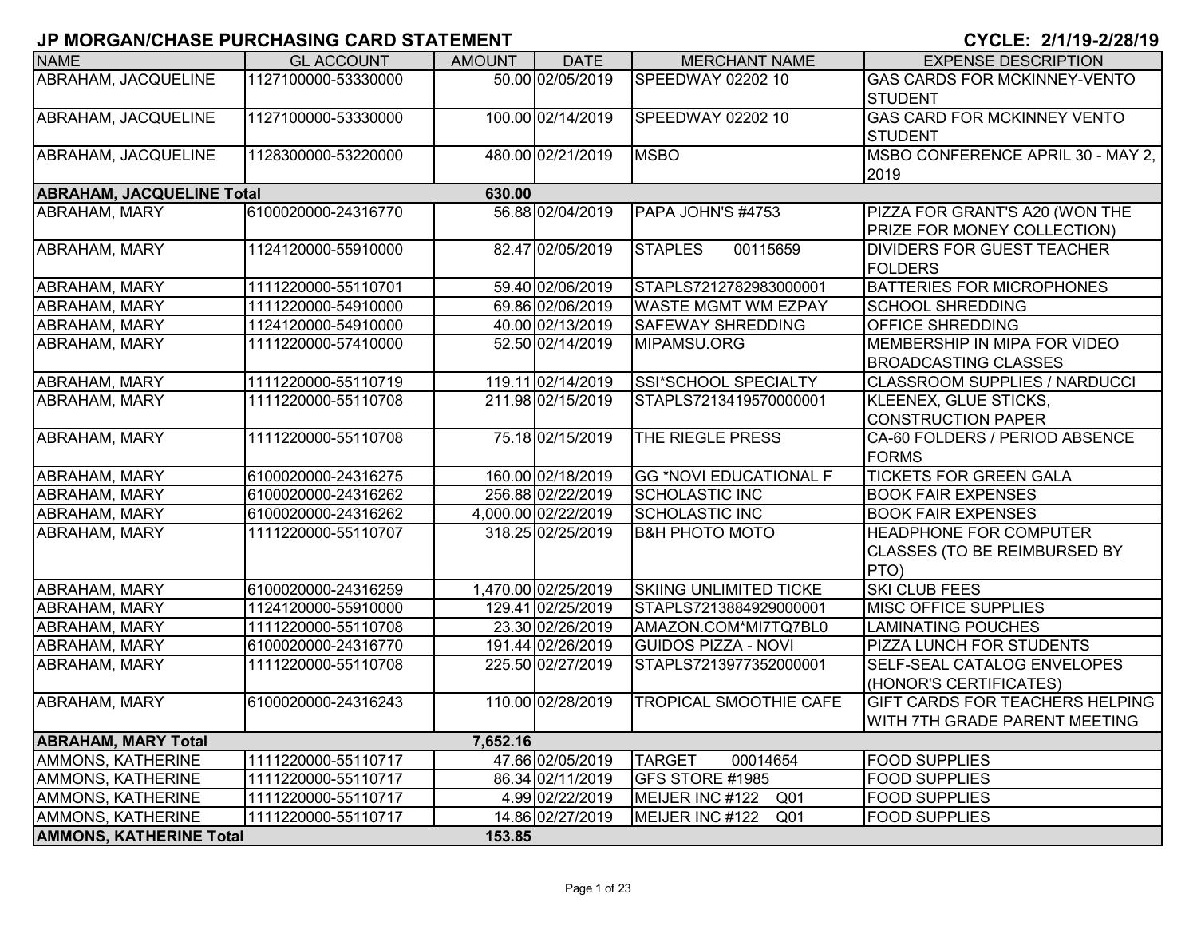| <b>NAME</b>                      | <b>GL ACCOUNT</b>   | <b>AMOUNT</b> | <b>DATE</b>         | <b>MERCHANT NAME</b>               | <b>EXPENSE DESCRIPTION</b>                                              |
|----------------------------------|---------------------|---------------|---------------------|------------------------------------|-------------------------------------------------------------------------|
| ABRAHAM, JACQUELINE              | 1127100000-53330000 |               | 50.00 02/05/2019    | SPEEDWAY 02202 10                  | <b>GAS CARDS FOR MCKINNEY-VENTO</b><br><b>STUDENT</b>                   |
| ABRAHAM, JACQUELINE              | 1127100000-53330000 |               | 100.00 02/14/2019   | SPEEDWAY 02202 10                  | <b>GAS CARD FOR MCKINNEY VENTO</b><br><b>STUDENT</b>                    |
| ABRAHAM, JACQUELINE              | 1128300000-53220000 |               | 480.00 02/21/2019   | <b>MSBO</b>                        | MSBO CONFERENCE APRIL 30 - MAY 2,<br>2019                               |
| <b>ABRAHAM, JACQUELINE Total</b> |                     |               |                     |                                    |                                                                         |
| ABRAHAM, MARY                    | 6100020000-24316770 |               | 56.88 02/04/2019    | PAPA JOHN'S #4753                  | PIZZA FOR GRANT'S A20 (WON THE<br><b>PRIZE FOR MONEY COLLECTION)</b>    |
| <b>ABRAHAM, MARY</b>             | 1124120000-55910000 |               | 82.47 02/05/2019    | 00115659<br><b>STAPLES</b>         | <b>DIVIDERS FOR GUEST TEACHER</b><br><b>FOLDERS</b>                     |
| <b>ABRAHAM, MARY</b>             | 1111220000-55110701 |               | 59.40 02/06/2019    | STAPLS7212782983000001             | <b>BATTERIES FOR MICROPHONES</b>                                        |
| <b>ABRAHAM, MARY</b>             | 1111220000-54910000 |               | 69.86 02/06/2019    | <b>WASTE MGMT WM EZPAY</b>         | <b>SCHOOL SHREDDING</b>                                                 |
| <b>ABRAHAM, MARY</b>             | 1124120000-54910000 |               | 40.00 02/13/2019    | <b>SAFEWAY SHREDDING</b>           | <b>OFFICE SHREDDING</b>                                                 |
| <b>ABRAHAM, MARY</b>             | 1111220000-57410000 |               | 52.50 02/14/2019    | MIPAMSU.ORG                        | <b>MEMBERSHIP IN MIPA FOR VIDEO</b><br><b>BROADCASTING CLASSES</b>      |
| <b>ABRAHAM, MARY</b>             | 1111220000-55110719 |               | 119.11 02/14/2019   | SSI*SCHOOL SPECIALTY               | <b>CLASSROOM SUPPLIES / NARDUCCI</b>                                    |
| <b>ABRAHAM, MARY</b>             | 1111220000-55110708 |               | 211.98 02/15/2019   | STAPLS7213419570000001             | KLEENEX, GLUE STICKS,<br><b>CONSTRUCTION PAPER</b>                      |
| ABRAHAM, MARY                    | 1111220000-55110708 |               | 75.18 02/15/2019    | THE RIEGLE PRESS                   | CA-60 FOLDERS / PERIOD ABSENCE<br><b>FORMS</b>                          |
| ABRAHAM, MARY                    | 6100020000-24316275 |               | 160.00 02/18/2019   | <b>GG *NOVI EDUCATIONAL F</b>      | <b>TICKETS FOR GREEN GALA</b>                                           |
| <b>ABRAHAM, MARY</b>             | 6100020000-24316262 |               | 256.88 02/22/2019   | <b>SCHOLASTIC INC</b>              | <b>BOOK FAIR EXPENSES</b>                                               |
| <b>ABRAHAM, MARY</b>             | 6100020000-24316262 |               | 4,000.00 02/22/2019 | <b>SCHOLASTIC INC</b>              | <b>BOOK FAIR EXPENSES</b>                                               |
| <b>ABRAHAM, MARY</b>             | 1111220000-55110707 |               | 318.25 02/25/2019   | <b>B&amp;H PHOTO MOTO</b>          | <b>HEADPHONE FOR COMPUTER</b><br>CLASSES (TO BE REIMBURSED BY<br>PTO)   |
| ABRAHAM, MARY                    | 6100020000-24316259 |               | 1,470.00 02/25/2019 | <b>SKIING UNLIMITED TICKE</b>      | <b>SKI CLUB FEES</b>                                                    |
| <b>ABRAHAM, MARY</b>             | 1124120000-55910000 |               | 129.41 02/25/2019   | STAPLS7213884929000001             | <b>MISC OFFICE SUPPLIES</b>                                             |
| ABRAHAM, MARY                    | 1111220000-55110708 |               | 23.30 02/26/2019    | AMAZON.COM*MI7TQ7BL0               | <b>LAMINATING POUCHES</b>                                               |
| <b>ABRAHAM, MARY</b>             | 6100020000-24316770 |               | 191.44 02/26/2019   | <b>GUIDOS PIZZA - NOVI</b>         | <b>PIZZA LUNCH FOR STUDENTS</b>                                         |
| ABRAHAM, MARY                    | 1111220000-55110708 |               | 225.50 02/27/2019   | STAPLS7213977352000001             | SELF-SEAL CATALOG ENVELOPES<br>(HONOR'S CERTIFICATES)                   |
| <b>ABRAHAM, MARY</b>             | 6100020000-24316243 |               | 110.00 02/28/2019   | <b>TROPICAL SMOOTHIE CAFE</b>      | <b>GIFT CARDS FOR TEACHERS HELPING</b><br>WITH 7TH GRADE PARENT MEETING |
| <b>ABRAHAM, MARY Total</b>       |                     | 7,652.16      |                     |                                    |                                                                         |
| AMMONS, KATHERINE                | 1111220000-55110717 |               | 47.66 02/05/2019    | <b>TARGET</b><br>00014654          | <b>FOOD SUPPLIES</b>                                                    |
| AMMONS, KATHERINE                | 1111220000-55110717 |               | 86.34 02/11/2019    | GFS STORE #1985                    | <b>FOOD SUPPLIES</b>                                                    |
| AMMONS, KATHERINE                | 1111220000-55110717 |               | 4.99 02/22/2019     | MEIJER INC #122<br>Q <sub>01</sub> | <b>FOOD SUPPLIES</b>                                                    |
| AMMONS, KATHERINE                | 1111220000-55110717 |               | 14.86 02/27/2019    | MEIJER INC #122<br>Q01             | <b>FOOD SUPPLIES</b>                                                    |
| <b>AMMONS, KATHERINE Total</b>   |                     | 153.85        |                     |                                    |                                                                         |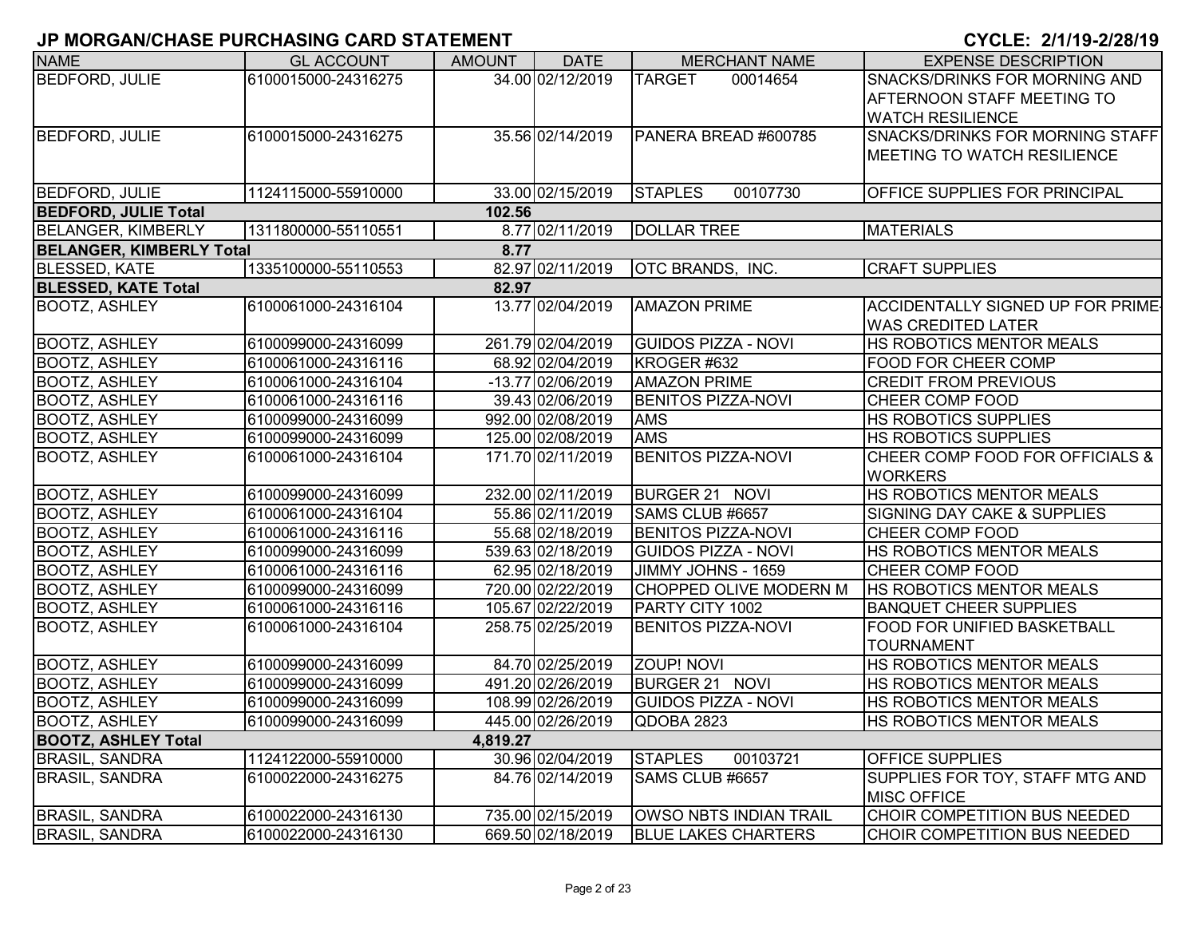| <b>NAME</b>                     | <b>GL ACCOUNT</b>   | <b>AMOUNT</b> | <b>DATE</b>       | <b>MERCHANT NAME</b>          | <b>EXPENSE DESCRIPTION</b>               |
|---------------------------------|---------------------|---------------|-------------------|-------------------------------|------------------------------------------|
| <b>BEDFORD, JULIE</b>           | 6100015000-24316275 |               | 34.00 02/12/2019  | <b>TARGET</b><br>00014654     | <b>SNACKS/DRINKS FOR MORNING AND</b>     |
|                                 |                     |               |                   |                               | AFTERNOON STAFF MEETING TO               |
|                                 |                     |               |                   |                               | <b>WATCH RESILIENCE</b>                  |
| <b>BEDFORD, JULIE</b>           | 6100015000-24316275 |               | 35.56 02/14/2019  | PANERA BREAD #600785          | <b>SNACKS/DRINKS FOR MORNING STAFF</b>   |
|                                 |                     |               |                   |                               | <b>MEETING TO WATCH RESILIENCE</b>       |
|                                 |                     |               |                   |                               |                                          |
| <b>BEDFORD, JULIE</b>           | 1124115000-55910000 |               | 33.00 02/15/2019  | <b>STAPLES</b><br>00107730    | <b>OFFICE SUPPLIES FOR PRINCIPAL</b>     |
| <b>BEDFORD, JULIE Total</b>     |                     | 102.56        |                   |                               |                                          |
| <b>BELANGER, KIMBERLY</b>       | 1311800000-55110551 |               | 8.77 02/11/2019   | <b>DOLLAR TREE</b>            | <b>MATERIALS</b>                         |
| <b>BELANGER, KIMBERLY Total</b> |                     | 8.77          |                   |                               |                                          |
| <b>BLESSED, KATE</b>            | 1335100000-55110553 |               | 82.97 02/11/2019  | OTC BRANDS, INC.              | <b>CRAFT SUPPLIES</b>                    |
| <b>BLESSED, KATE Total</b>      |                     | 82.97         |                   |                               |                                          |
| <b>BOOTZ, ASHLEY</b>            | 6100061000-24316104 |               | 13.77 02/04/2019  | <b>AMAZON PRIME</b>           | <b>ACCIDENTALLY SIGNED UP FOR PRIME-</b> |
|                                 |                     |               |                   |                               | <b>WAS CREDITED LATER</b>                |
| <b>BOOTZ, ASHLEY</b>            | 6100099000-24316099 |               | 261.79 02/04/2019 | <b>GUIDOS PIZZA - NOVI</b>    | <b>HS ROBOTICS MENTOR MEALS</b>          |
| <b>BOOTZ, ASHLEY</b>            | 6100061000-24316116 |               | 68.92 02/04/2019  | KROGER #632                   | <b>FOOD FOR CHEER COMP</b>               |
| <b>BOOTZ, ASHLEY</b>            | 6100061000-24316104 |               | -13.77 02/06/2019 | <b>AMAZON PRIME</b>           | <b>CREDIT FROM PREVIOUS</b>              |
| <b>BOOTZ, ASHLEY</b>            | 6100061000-24316116 |               | 39.43 02/06/2019  | <b>BENITOS PIZZA-NOVI</b>     | <b>CHEER COMP FOOD</b>                   |
| <b>BOOTZ, ASHLEY</b>            | 6100099000-24316099 |               | 992.00 02/08/2019 | <b>AMS</b>                    | <b>HS ROBOTICS SUPPLIES</b>              |
| <b>BOOTZ, ASHLEY</b>            | 6100099000-24316099 |               | 125.00 02/08/2019 | <b>AMS</b>                    | <b>HS ROBOTICS SUPPLIES</b>              |
| <b>BOOTZ, ASHLEY</b>            | 6100061000-24316104 |               | 171.70 02/11/2019 | <b>BENITOS PIZZA-NOVI</b>     | CHEER COMP FOOD FOR OFFICIALS &          |
|                                 |                     |               |                   |                               | <b>WORKERS</b>                           |
| <b>BOOTZ, ASHLEY</b>            | 6100099000-24316099 |               | 232.00 02/11/2019 | BURGER 21 NOVI                | <b>HS ROBOTICS MENTOR MEALS</b>          |
| <b>BOOTZ, ASHLEY</b>            | 6100061000-24316104 |               | 55.86 02/11/2019  | SAMS CLUB #6657               | <b>SIGNING DAY CAKE &amp; SUPPLIES</b>   |
| <b>BOOTZ, ASHLEY</b>            | 6100061000-24316116 |               | 55.68 02/18/2019  | <b>BENITOS PIZZA-NOVI</b>     | <b>CHEER COMP FOOD</b>                   |
| <b>BOOTZ, ASHLEY</b>            | 6100099000-24316099 |               | 539.63 02/18/2019 | <b>GUIDOS PIZZA - NOVI</b>    | <b>HS ROBOTICS MENTOR MEALS</b>          |
| <b>BOOTZ, ASHLEY</b>            | 6100061000-24316116 |               | 62.95 02/18/2019  | JIMMY JOHNS - 1659            | <b>CHEER COMP FOOD</b>                   |
| <b>BOOTZ, ASHLEY</b>            | 6100099000-24316099 |               | 720.00 02/22/2019 | <b>CHOPPED OLIVE MODERN M</b> | <b>HS ROBOTICS MENTOR MEALS</b>          |
| <b>BOOTZ, ASHLEY</b>            | 6100061000-24316116 |               | 105.67 02/22/2019 | PARTY CITY 1002               | <b>BANQUET CHEER SUPPLIES</b>            |
| <b>BOOTZ, ASHLEY</b>            | 6100061000-24316104 |               | 258.75 02/25/2019 | <b>BENITOS PIZZA-NOVI</b>     | <b>FOOD FOR UNIFIED BASKETBALL</b>       |
|                                 |                     |               |                   |                               | <b>TOURNAMENT</b>                        |
| <b>BOOTZ, ASHLEY</b>            | 6100099000-24316099 |               | 84.70 02/25/2019  | <b>ZOUP! NOVI</b>             | HS ROBOTICS MENTOR MEALS                 |
| <b>BOOTZ, ASHLEY</b>            | 6100099000-24316099 |               | 491.20 02/26/2019 | BURGER 21 NOVI                | <b>HS ROBOTICS MENTOR MEALS</b>          |
| <b>BOOTZ, ASHLEY</b>            | 6100099000-24316099 |               | 108.99 02/26/2019 | <b>GUIDOS PIZZA - NOVI</b>    | HS ROBOTICS MENTOR MEALS                 |
| <b>BOOTZ, ASHLEY</b>            | 6100099000-24316099 |               | 445.00 02/26/2019 | QDOBA 2823                    | <b>HS ROBOTICS MENTOR MEALS</b>          |
| <b>BOOTZ, ASHLEY Total</b>      |                     | 4,819.27      |                   |                               |                                          |
| <b>BRASIL, SANDRA</b>           | 1124122000-55910000 |               | 30.96 02/04/2019  | <b>STAPLES</b><br>00103721    | <b>OFFICE SUPPLIES</b>                   |
| <b>BRASIL, SANDRA</b>           | 6100022000-24316275 |               | 84.76 02/14/2019  | SAMS CLUB #6657               | SUPPLIES FOR TOY, STAFF MTG AND          |
|                                 |                     |               |                   |                               | <b>MISC OFFICE</b>                       |
| <b>BRASIL, SANDRA</b>           | 6100022000-24316130 |               | 735.00 02/15/2019 | OWSO NBTS INDIAN TRAIL        | CHOIR COMPETITION BUS NEEDED             |
| <b>BRASIL, SANDRA</b>           | 6100022000-24316130 |               | 669.50 02/18/2019 | <b>BLUE LAKES CHARTERS</b>    | CHOIR COMPETITION BUS NEEDED             |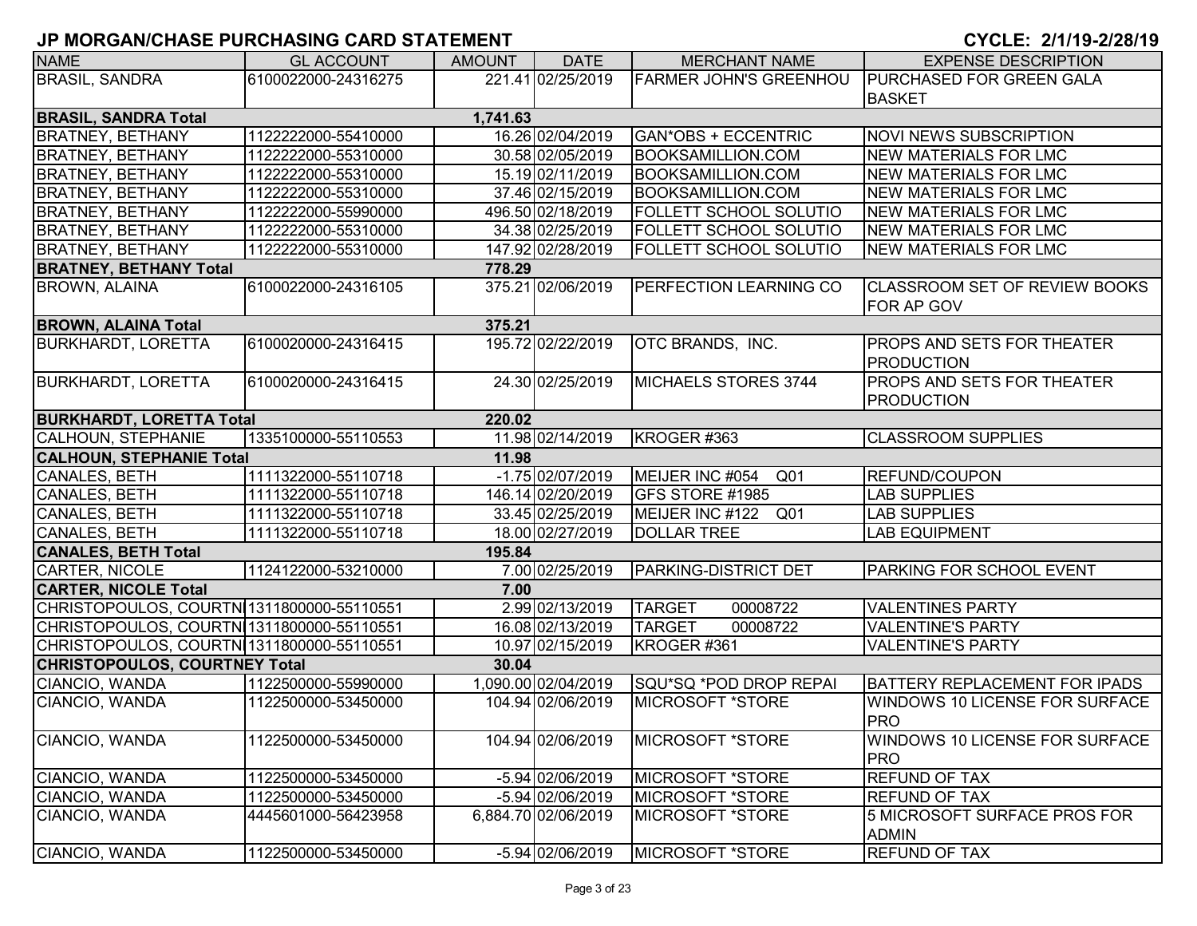| <b>NAME</b>                               | <b>GL ACCOUNT</b>   | <b>AMOUNT</b> | <b>DATE</b>         | <b>MERCHANT NAME</b>               | <b>EXPENSE DESCRIPTION</b>                          |
|-------------------------------------------|---------------------|---------------|---------------------|------------------------------------|-----------------------------------------------------|
| <b>BRASIL, SANDRA</b>                     | 6100022000-24316275 |               | 221.41 02/25/2019   | <b>FARMER JOHN'S GREENHOU</b>      | <b>PURCHASED FOR GREEN GALA</b>                     |
|                                           |                     |               |                     |                                    | <b>BASKET</b>                                       |
| <b>BRASIL, SANDRA Total</b>               |                     | 1,741.63      |                     |                                    |                                                     |
| <b>BRATNEY, BETHANY</b>                   | 1122222000-55410000 |               | 16.26 02/04/2019    | <b>GAN*OBS + ECCENTRIC</b>         | <b>NOVI NEWS SUBSCRIPTION</b>                       |
| <b>BRATNEY, BETHANY</b>                   | 1122222000-55310000 |               | 30.58 02/05/2019    | <b>BOOKSAMILLION.COM</b>           | <b>NEW MATERIALS FOR LMC</b>                        |
| <b>BRATNEY, BETHANY</b>                   | 1122222000-55310000 |               | 15.19 02/11/2019    | <b>BOOKSAMILLION.COM</b>           | <b>NEW MATERIALS FOR LMC</b>                        |
| <b>BRATNEY, BETHANY</b>                   | 1122222000-55310000 |               | 37.46 02/15/2019    | <b>BOOKSAMILLION.COM</b>           | <b>NEW MATERIALS FOR LMC</b>                        |
| <b>BRATNEY, BETHANY</b>                   | 1122222000-55990000 |               | 496.50 02/18/2019   | <b>FOLLETT SCHOOL SOLUTIO</b>      | <b>NEW MATERIALS FOR LMC</b>                        |
| <b>BRATNEY, BETHANY</b>                   | 1122222000-55310000 |               | 34.38 02/25/2019    | <b>FOLLETT SCHOOL SOLUTIO</b>      | <b>NEW MATERIALS FOR LMC</b>                        |
| <b>BRATNEY, BETHANY</b>                   | 1122222000-55310000 |               | 147.92 02/28/2019   | <b>FOLLETT SCHOOL SOLUTIO</b>      | <b>NEW MATERIALS FOR LMC</b>                        |
| <b>BRATNEY, BETHANY Total</b>             |                     | 778.29        |                     |                                    |                                                     |
| <b>BROWN, ALAINA</b>                      | 6100022000-24316105 |               | 375.21 02/06/2019   | <b>PERFECTION LEARNING CO</b>      | <b>CLASSROOM SET OF REVIEW BOOKS</b><br>FOR AP GOV  |
| <b>BROWN, ALAINA Total</b>                |                     | 375.21        |                     |                                    |                                                     |
| <b>BURKHARDT, LORETTA</b>                 | 6100020000-24316415 |               | 195.72 02/22/2019   | OTC BRANDS, INC.                   | <b>PROPS AND SETS FOR THEATER</b>                   |
|                                           |                     |               |                     |                                    | <b>PRODUCTION</b>                                   |
| <b>BURKHARDT, LORETTA</b>                 | 6100020000-24316415 |               | 24.30 02/25/2019    | MICHAELS STORES 3744               | <b>PROPS AND SETS FOR THEATER</b>                   |
|                                           |                     |               |                     |                                    | <b>PRODUCTION</b>                                   |
| <b>BURKHARDT, LORETTA Total</b>           |                     | 220.02        |                     |                                    |                                                     |
| CALHOUN, STEPHANIE                        | 1335100000-55110553 |               | 11.98 02/14/2019    | KROGER #363                        | <b>CLASSROOM SUPPLIES</b>                           |
| <b>CALHOUN, STEPHANIE Total</b>           |                     | 11.98         |                     |                                    |                                                     |
| CANALES, BETH                             | 1111322000-55110718 |               | $-1.75$ 02/07/2019  | MEIJER INC #054<br>Q <sub>01</sub> | <b>REFUND/COUPON</b>                                |
| CANALES, BETH                             | 1111322000-55110718 |               | 146.14 02/20/2019   | GFS STORE #1985                    | <b>LAB SUPPLIES</b>                                 |
| <b>CANALES, BETH</b>                      | 1111322000-55110718 |               | 33.45 02/25/2019    | MEIJER INC #122 Q01                | <b>LAB SUPPLIES</b>                                 |
| CANALES, BETH                             | 1111322000-55110718 |               | 18.00 02/27/2019    | <b>DOLLAR TREE</b>                 | <b>LAB EQUIPMENT</b>                                |
| <b>CANALES, BETH Total</b>                |                     | 195.84        |                     |                                    |                                                     |
| <b>CARTER, NICOLE</b>                     | 1124122000-53210000 |               | 7.00 02/25/2019     | <b>PARKING-DISTRICT DET</b>        | <b>PARKING FOR SCHOOL EVENT</b>                     |
| <b>CARTER, NICOLE Total</b>               |                     | 7.00          |                     |                                    |                                                     |
| CHRISTOPOULOS, COURTN 1311800000-55110551 |                     |               | 2.99 02/13/2019     | <b>TARGET</b><br>00008722          | <b>VALENTINES PARTY</b>                             |
| CHRISTOPOULOS, COURTN 1311800000-55110551 |                     |               | 16.08 02/13/2019    | <b>TARGET</b><br>00008722          | <b>VALENTINE'S PARTY</b>                            |
| CHRISTOPOULOS, COURTN 1311800000-55110551 |                     |               | 10.97 02/15/2019    | KROGER #361                        | <b>VALENTINE'S PARTY</b>                            |
| <b>CHRISTOPOULOS, COURTNEY Total</b>      |                     | 30.04         |                     |                                    |                                                     |
| CIANCIO, WANDA                            | 1122500000-55990000 |               | 1,090.00 02/04/2019 | SQU*SQ *POD DROP REPAI             | <b>BATTERY REPLACEMENT FOR IPADS</b>                |
| CIANCIO, WANDA                            | 1122500000-53450000 |               | 104.94 02/06/2019   | <b>MICROSOFT *STORE</b>            | <b>WINDOWS 10 LICENSE FOR SURFACE</b><br><b>PRO</b> |
| CIANCIO, WANDA                            | 1122500000-53450000 |               | 104.94 02/06/2019   | <b>MICROSOFT *STORE</b>            | <b>WINDOWS 10 LICENSE FOR SURFACE</b><br><b>PRO</b> |
| CIANCIO, WANDA                            | 1122500000-53450000 |               | $-5.94 02/06/2019$  | MICROSOFT *STORE                   | <b>REFUND OF TAX</b>                                |
| CIANCIO, WANDA                            | 1122500000-53450000 |               | $-5.94 02/06/2019$  | MICROSOFT *STORE                   | <b>REFUND OF TAX</b>                                |
| CIANCIO, WANDA                            | 4445601000-56423958 |               | 6,884.70 02/06/2019 | MICROSOFT *STORE                   | 5 MICROSOFT SURFACE PROS FOR<br><b>ADMIN</b>        |
| CIANCIO, WANDA                            | 1122500000-53450000 |               | -5.94 02/06/2019    | MICROSOFT *STORE                   | <b>REFUND OF TAX</b>                                |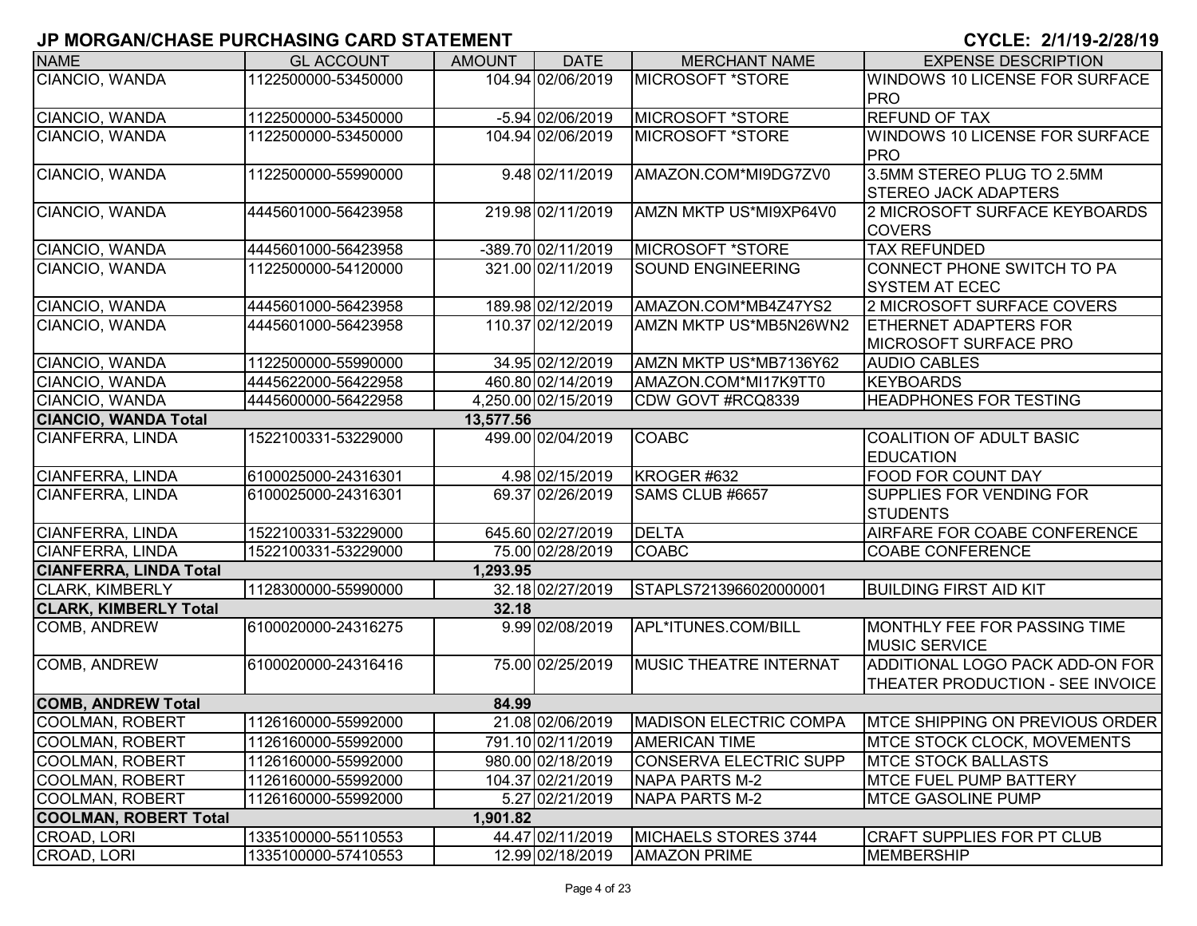| <b>NAME</b>                   | <b>GL ACCOUNT</b>   | <b>AMOUNT</b> | <b>DATE</b>         | <b>MERCHANT NAME</b>          | <b>EXPENSE DESCRIPTION</b>            |
|-------------------------------|---------------------|---------------|---------------------|-------------------------------|---------------------------------------|
| CIANCIO, WANDA                | 1122500000-53450000 |               | 104.94 02/06/2019   | <b>MICROSOFT *STORE</b>       | <b>WINDOWS 10 LICENSE FOR SURFACE</b> |
|                               |                     |               |                     |                               | <b>PRO</b>                            |
| CIANCIO, WANDA                | 1122500000-53450000 |               | $-5.94 02/06/2019$  | MICROSOFT *STORE              | <b>REFUND OF TAX</b>                  |
| CIANCIO, WANDA                | 1122500000-53450000 |               | 104.94 02/06/2019   | <b>MICROSOFT *STORE</b>       | <b>WINDOWS 10 LICENSE FOR SURFACE</b> |
|                               |                     |               |                     |                               | <b>PRO</b>                            |
| CIANCIO, WANDA                | 1122500000-55990000 |               | 9.48 02/11/2019     | AMAZON.COM*MI9DG7ZV0          | 3.5MM STEREO PLUG TO 2.5MM            |
|                               |                     |               |                     |                               | <b>STEREO JACK ADAPTERS</b>           |
| CIANCIO, WANDA                | 4445601000-56423958 |               | 219.98 02/11/2019   | AMZN MKTP US*MI9XP64V0        | 2 MICROSOFT SURFACE KEYBOARDS         |
|                               |                     |               |                     |                               | <b>COVERS</b>                         |
| CIANCIO, WANDA                | 4445601000-56423958 |               | -389.70 02/11/2019  | MICROSOFT *STORE              | <b>TAX REFUNDED</b>                   |
| CIANCIO, WANDA                | 1122500000-54120000 |               | 321.00 02/11/2019   | <b>SOUND ENGINEERING</b>      | CONNECT PHONE SWITCH TO PA            |
|                               |                     |               |                     |                               | <b>SYSTEM AT ECEC</b>                 |
| CIANCIO, WANDA                | 4445601000-56423958 |               | 189.98 02/12/2019   | AMAZON.COM*MB4Z47YS2          | 2 MICROSOFT SURFACE COVERS            |
| CIANCIO, WANDA                | 4445601000-56423958 |               | 110.37 02/12/2019   | AMZN MKTP US*MB5N26WN2        | <b>ETHERNET ADAPTERS FOR</b>          |
|                               |                     |               |                     |                               | MICROSOFT SURFACE PRO                 |
| CIANCIO, WANDA                | 1122500000-55990000 |               | 34.95 02/12/2019    | AMZN MKTP US*MB7136Y62        | <b>AUDIO CABLES</b>                   |
| CIANCIO, WANDA                | 4445622000-56422958 |               | 460.80 02/14/2019   | AMAZON.COM*MI17K9TT0          | KEYBOARDS                             |
| CIANCIO, WANDA                | 4445600000-56422958 |               | 4,250.00 02/15/2019 | CDW GOVT #RCQ8339             | <b>HEADPHONES FOR TESTING</b>         |
| <b>CIANCIO, WANDA Total</b>   |                     | 13,577.56     |                     |                               |                                       |
| CIANFERRA, LINDA              | 1522100331-53229000 |               | 499.00 02/04/2019   | <b>COABC</b>                  | <b>COALITION OF ADULT BASIC</b>       |
|                               |                     |               |                     |                               | <b>EDUCATION</b>                      |
| <b>CIANFERRA, LINDA</b>       | 6100025000-24316301 |               | 4.98 02/15/2019     | KROGER #632                   | FOOD FOR COUNT DAY                    |
| CIANFERRA, LINDA              | 6100025000-24316301 |               | 69.37 02/26/2019    | SAMS CLUB #6657               | <b>SUPPLIES FOR VENDING FOR</b>       |
|                               |                     |               |                     |                               | <b>STUDENTS</b>                       |
| CIANFERRA, LINDA              | 1522100331-53229000 |               | 645.60 02/27/2019   | <b>DELTA</b>                  | AIRFARE FOR COABE CONFERENCE          |
| <b>CIANFERRA, LINDA</b>       | 1522100331-53229000 |               | 75.00 02/28/2019    | <b>COABC</b>                  | <b>COABE CONFERENCE</b>               |
| <b>CIANFERRA, LINDA Total</b> |                     | 1,293.95      |                     |                               |                                       |
| <b>CLARK, KIMBERLY</b>        | 1128300000-55990000 |               | 32.18 02/27/2019    | STAPLS7213966020000001        | <b>BUILDING FIRST AID KIT</b>         |
| <b>CLARK, KIMBERLY Total</b>  |                     | 32.18         |                     |                               |                                       |
| COMB, ANDREW                  | 6100020000-24316275 |               | 9.99 02/08/2019     | APL*ITUNES.COM/BILL           | MONTHLY FEE FOR PASSING TIME          |
|                               |                     |               |                     |                               | <b>MUSIC SERVICE</b>                  |
| COMB, ANDREW                  | 6100020000-24316416 |               | 75.00 02/25/2019    | <b>MUSIC THEATRE INTERNAT</b> | ADDITIONAL LOGO PACK ADD-ON FOR       |
|                               |                     |               |                     |                               | THEATER PRODUCTION - SEE INVOICE      |
| <b>COMB, ANDREW Total</b>     |                     | 84.99         |                     |                               |                                       |
| COOLMAN, ROBERT               | 1126160000-55992000 |               | 21.08 02/06/2019    | MADISON ELECTRIC COMPA        | MTCE SHIPPING ON PREVIOUS ORDER       |
| <b>COOLMAN, ROBERT</b>        | 1126160000-55992000 |               | 791.10 02/11/2019   | <b>AMERICAN TIME</b>          | <b>IMTCE STOCK CLOCK, MOVEMENTS</b>   |
| <b>COOLMAN, ROBERT</b>        | 1126160000-55992000 |               | 980.00 02/18/2019   | CONSERVA ELECTRIC SUPP        | <b>MTCE STOCK BALLASTS</b>            |
| COOLMAN, ROBERT               | 1126160000-55992000 |               | 104.37 02/21/2019   | NAPA PARTS M-2                | <b>IMTCE FUEL PUMP BATTERY</b>        |
| <b>COOLMAN, ROBERT</b>        | 1126160000-55992000 |               | 5.27 02/21/2019     | <b>NAPA PARTS M-2</b>         | <b>MTCE GASOLINE PUMP</b>             |
| <b>COOLMAN, ROBERT Total</b>  |                     | 1,901.82      |                     |                               |                                       |
| CROAD, LORI                   | 1335100000-55110553 |               | 44.47 02/11/2019    | MICHAELS STORES 3744          | <b>CRAFT SUPPLIES FOR PT CLUB</b>     |
| CROAD, LORI                   | 1335100000-57410553 |               | 12.99 02/18/2019    | <b>AMAZON PRIME</b>           | MEMBERSHIP                            |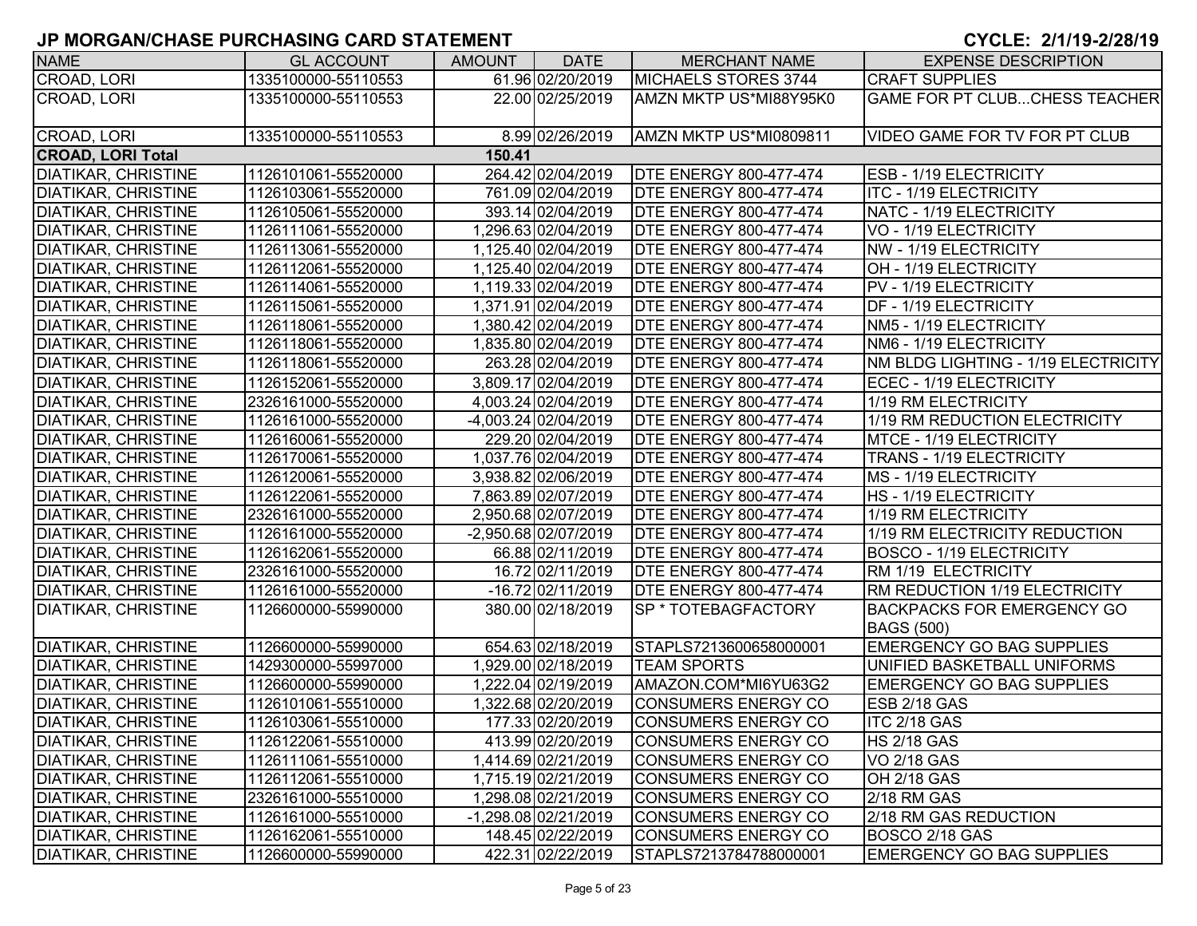| <b>NAME</b>                | <b>GL ACCOUNT</b>   | <b>AMOUNT</b> | <b>DATE</b>          | <b>MERCHANT NAME</b>          | <b>EXPENSE DESCRIPTION</b>                             |
|----------------------------|---------------------|---------------|----------------------|-------------------------------|--------------------------------------------------------|
| CROAD, LORI                | 1335100000-55110553 |               | 61.96 02/20/2019     | MICHAELS STORES 3744          | <b>CRAFT SUPPLIES</b>                                  |
| CROAD, LORI                | 1335100000-55110553 |               | 22.00 02/25/2019     | AMZN MKTP US*MI88Y95K0        | <b>GAME FOR PT CLUBCHESS TEACHER</b>                   |
| CROAD, LORI                | 1335100000-55110553 |               | 8.99 02/26/2019      | AMZN MKTP US*MI0809811        | <b>VIDEO GAME FOR TV FOR PT CLUB</b>                   |
| <b>CROAD, LORI Total</b>   |                     | 150.41        |                      |                               |                                                        |
| <b>DIATIKAR, CHRISTINE</b> | 1126101061-55520000 |               | 264.42 02/04/2019    | <b>DTE ENERGY 800-477-474</b> | <b>ESB - 1/19 ELECTRICITY</b>                          |
| <b>DIATIKAR, CHRISTINE</b> | 1126103061-55520000 |               | 761.09 02/04/2019    | <b>DTE ENERGY 800-477-474</b> | ITC - 1/19 ELECTRICITY                                 |
| DIATIKAR, CHRISTINE        | 1126105061-55520000 |               | 393.14 02/04/2019    | <b>DTE ENERGY 800-477-474</b> | NATC - 1/19 ELECTRICITY                                |
| <b>DIATIKAR, CHRISTINE</b> | 1126111061-55520000 |               | 1,296.63 02/04/2019  | <b>DTE ENERGY 800-477-474</b> | VO - 1/19 ELECTRICITY                                  |
| <b>DIATIKAR, CHRISTINE</b> | 1126113061-55520000 |               | 1,125.40 02/04/2019  | <b>DTE ENERGY 800-477-474</b> | NW - 1/19 ELECTRICITY                                  |
| <b>DIATIKAR, CHRISTINE</b> | 1126112061-55520000 |               | 1,125.40 02/04/2019  | <b>DTE ENERGY 800-477-474</b> | OH - 1/19 ELECTRICITY                                  |
| <b>DIATIKAR, CHRISTINE</b> | 1126114061-55520000 |               | 1,119.33 02/04/2019  | <b>DTE ENERGY 800-477-474</b> | PV - 1/19 ELECTRICITY                                  |
| <b>DIATIKAR, CHRISTINE</b> | 1126115061-55520000 |               | 1,371.91 02/04/2019  | <b>DTE ENERGY 800-477-474</b> | DF - 1/19 ELECTRICITY                                  |
| <b>DIATIKAR, CHRISTINE</b> | 1126118061-55520000 |               | 1,380.42 02/04/2019  | <b>DTE ENERGY 800-477-474</b> | NM5 - 1/19 ELECTRICITY                                 |
| <b>DIATIKAR, CHRISTINE</b> | 1126118061-55520000 |               | 1,835.80 02/04/2019  | <b>DTE ENERGY 800-477-474</b> | NM6 - 1/19 ELECTRICITY                                 |
| <b>DIATIKAR, CHRISTINE</b> | 1126118061-55520000 |               | 263.28 02/04/2019    | <b>DTE ENERGY 800-477-474</b> | NM BLDG LIGHTING - 1/19 ELECTRICITY                    |
| <b>DIATIKAR, CHRISTINE</b> | 1126152061-55520000 |               | 3,809.17 02/04/2019  | <b>DTE ENERGY 800-477-474</b> | ECEC - 1/19 ELECTRICITY                                |
| <b>DIATIKAR, CHRISTINE</b> | 2326161000-55520000 |               | 4,003.24 02/04/2019  | <b>DTE ENERGY 800-477-474</b> | 1/19 RM ELECTRICITY                                    |
| <b>DIATIKAR, CHRISTINE</b> | 1126161000-55520000 |               | -4,003.24 02/04/2019 | <b>DTE ENERGY 800-477-474</b> | 1/19 RM REDUCTION ELECTRICITY                          |
| <b>DIATIKAR, CHRISTINE</b> | 1126160061-55520000 |               | 229.20 02/04/2019    | <b>DTE ENERGY 800-477-474</b> | <b>MTCE - 1/19 ELECTRICITY</b>                         |
| <b>DIATIKAR, CHRISTINE</b> | 1126170061-55520000 |               | 1,037.76 02/04/2019  | <b>DTE ENERGY 800-477-474</b> | <b>TRANS - 1/19 ELECTRICITY</b>                        |
| <b>DIATIKAR, CHRISTINE</b> | 1126120061-55520000 |               | 3,938.82 02/06/2019  | <b>DTE ENERGY 800-477-474</b> | MS - 1/19 ELECTRICITY                                  |
| <b>DIATIKAR, CHRISTINE</b> | 1126122061-55520000 |               | 7,863.89 02/07/2019  | <b>DTE ENERGY 800-477-474</b> | HS - 1/19 ELECTRICITY                                  |
| <b>DIATIKAR, CHRISTINE</b> | 2326161000-55520000 |               | 2,950.68 02/07/2019  | <b>DTE ENERGY 800-477-474</b> | 1/19 RM ELECTRICITY                                    |
| <b>DIATIKAR, CHRISTINE</b> | 1126161000-55520000 |               | -2,950.68 02/07/2019 | <b>DTE ENERGY 800-477-474</b> | 1/19 RM ELECTRICITY REDUCTION                          |
| <b>DIATIKAR, CHRISTINE</b> | 1126162061-55520000 |               | 66.88 02/11/2019     | <b>DTE ENERGY 800-477-474</b> | <b>BOSCO - 1/19 ELECTRICITY</b>                        |
| <b>DIATIKAR, CHRISTINE</b> | 2326161000-55520000 |               | 16.72 02/11/2019     | <b>DTE ENERGY 800-477-474</b> | RM 1/19 ELECTRICITY                                    |
| <b>DIATIKAR, CHRISTINE</b> | 1126161000-55520000 |               | -16.72 02/11/2019    | <b>DTE ENERGY 800-477-474</b> | RM REDUCTION 1/19 ELECTRICITY                          |
| <b>DIATIKAR, CHRISTINE</b> | 1126600000-55990000 |               | 380.00 02/18/2019    | SP * TOTEBAGFACTORY           | <b>BACKPACKS FOR EMERGENCY GO</b><br><b>BAGS (500)</b> |
| DIATIKAR, CHRISTINE        | 1126600000-55990000 |               | 654.63 02/18/2019    | STAPLS7213600658000001        | <b>EMERGENCY GO BAG SUPPLIES</b>                       |
| <b>DIATIKAR, CHRISTINE</b> | 1429300000-55997000 |               | 1,929.00 02/18/2019  | <b>TEAM SPORTS</b>            | UNIFIED BASKETBALL UNIFORMS                            |
| <b>DIATIKAR, CHRISTINE</b> | 1126600000-55990000 |               | 1,222.04 02/19/2019  | AMAZON.COM*MI6YU63G2          | <b>EMERGENCY GO BAG SUPPLIES</b>                       |
| <b>DIATIKAR, CHRISTINE</b> | 1126101061-55510000 |               | 1,322.68 02/20/2019  | <b>CONSUMERS ENERGY CO</b>    | ESB 2/18 GAS                                           |
| <b>DIATIKAR, CHRISTINE</b> | 1126103061-55510000 |               | 177.33 02/20/2019    | CONSUMERS ENERGY CO           | ITC 2/18 GAS                                           |
| <b>DIATIKAR, CHRISTINE</b> | 1126122061-55510000 |               | 413.99 02/20/2019    | <b>CONSUMERS ENERGY CO</b>    | <b>HS 2/18 GAS</b>                                     |
| <b>DIATIKAR, CHRISTINE</b> | 1126111061-55510000 |               | 1,414.69 02/21/2019  | CONSUMERS ENERGY CO           | <b>VO 2/18 GAS</b>                                     |
| <b>DIATIKAR, CHRISTINE</b> | 1126112061-55510000 |               | 1,715.19 02/21/2019  | CONSUMERS ENERGY CO           | OH 2/18 GAS                                            |
| <b>DIATIKAR, CHRISTINE</b> | 2326161000-55510000 |               | 1,298.08 02/21/2019  | CONSUMERS ENERGY CO           | 2/18 RM GAS                                            |
| <b>DIATIKAR, CHRISTINE</b> | 1126161000-55510000 |               | -1,298.08 02/21/2019 | CONSUMERS ENERGY CO           | 2/18 RM GAS REDUCTION                                  |
| <b>DIATIKAR, CHRISTINE</b> | 1126162061-55510000 |               | 148.45 02/22/2019    | CONSUMERS ENERGY CO           | BOSCO 2/18 GAS                                         |
| <b>DIATIKAR, CHRISTINE</b> | 1126600000-55990000 |               | 422.31 02/22/2019    | STAPLS7213784788000001        | <b>EMERGENCY GO BAG SUPPLIES</b>                       |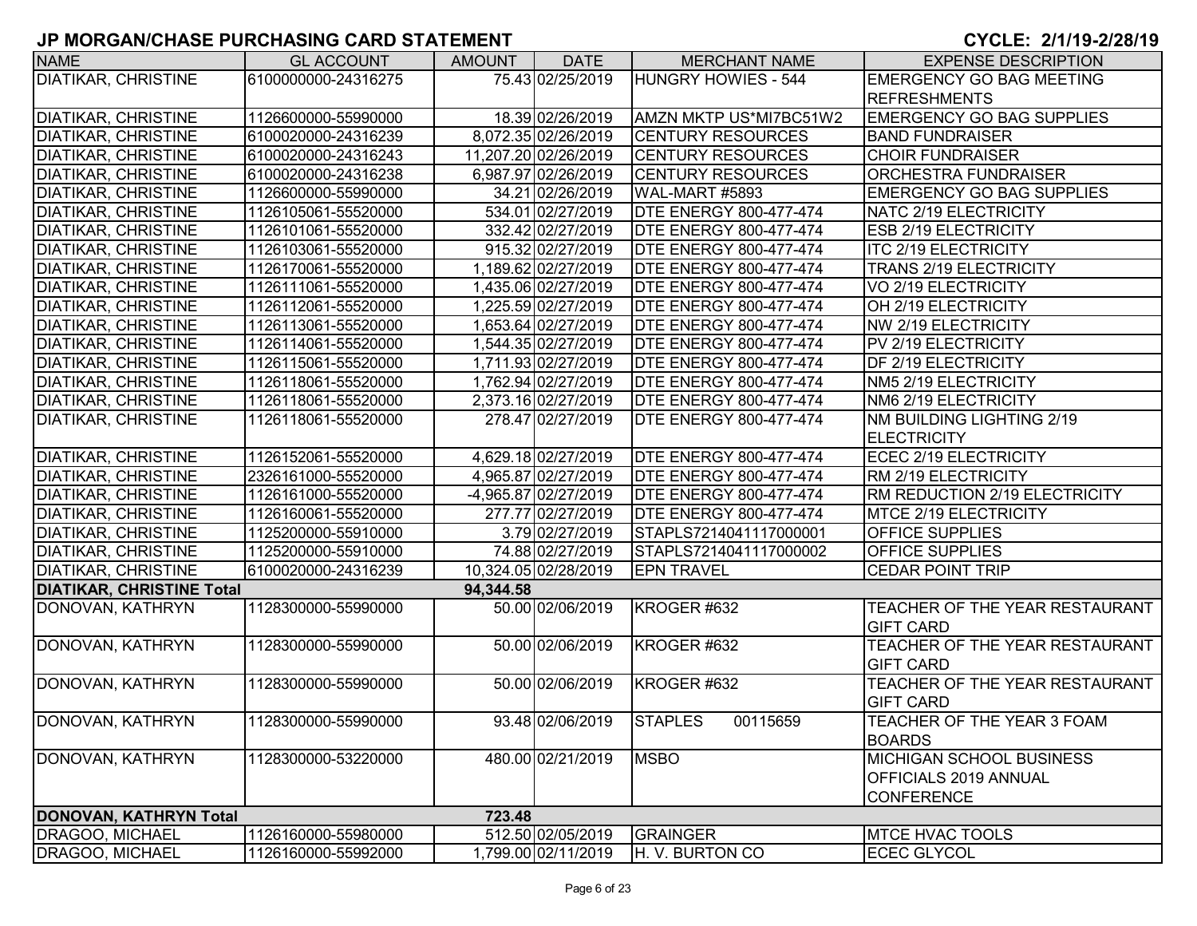| <b>NAME</b>                      | <b>GL ACCOUNT</b>   | <b>AMOUNT</b> | <b>DATE</b>          | <b>MERCHANT NAME</b>          | <b>EXPENSE DESCRIPTION</b>             |
|----------------------------------|---------------------|---------------|----------------------|-------------------------------|----------------------------------------|
| <b>DIATIKAR, CHRISTINE</b>       | 6100000000-24316275 |               | 75.43 02/25/2019     | <b>HUNGRY HOWIES - 544</b>    | <b>EMERGENCY GO BAG MEETING</b>        |
|                                  |                     |               |                      |                               | <b>REFRESHMENTS</b>                    |
| <b>DIATIKAR, CHRISTINE</b>       | 1126600000-55990000 |               | 18.39 02/26/2019     | AMZN MKTP US*MI7BC51W2        | <b>EMERGENCY GO BAG SUPPLIES</b>       |
| <b>DIATIKAR, CHRISTINE</b>       | 6100020000-24316239 |               | 8,072.35 02/26/2019  | <b>CENTURY RESOURCES</b>      | <b>BAND FUNDRAISER</b>                 |
| <b>DIATIKAR, CHRISTINE</b>       | 6100020000-24316243 |               | 11,207.20 02/26/2019 | <b>CENTURY RESOURCES</b>      | <b>CHOIR FUNDRAISER</b>                |
| <b>DIATIKAR, CHRISTINE</b>       | 6100020000-24316238 |               | 6,987.97 02/26/2019  | <b>CENTURY RESOURCES</b>      | <b>ORCHESTRA FUNDRAISER</b>            |
| <b>DIATIKAR, CHRISTINE</b>       | 1126600000-55990000 |               | 34.21 02/26/2019     | WAL-MART #5893                | <b>EMERGENCY GO BAG SUPPLIES</b>       |
| <b>DIATIKAR, CHRISTINE</b>       | 1126105061-55520000 |               | 534.01 02/27/2019    | <b>DTE ENERGY 800-477-474</b> | NATC 2/19 ELECTRICITY                  |
| <b>DIATIKAR, CHRISTINE</b>       | 1126101061-55520000 |               | 332.42 02/27/2019    | <b>DTE ENERGY 800-477-474</b> | <b>ESB 2/19 ELECTRICITY</b>            |
| <b>DIATIKAR, CHRISTINE</b>       | 1126103061-55520000 |               | 915.32 02/27/2019    | <b>DTE ENERGY 800-477-474</b> | <b>ITC 2/19 ELECTRICITY</b>            |
| <b>DIATIKAR, CHRISTINE</b>       | 1126170061-55520000 |               | 1,189.62 02/27/2019  | <b>DTE ENERGY 800-477-474</b> | <b>TRANS 2/19 ELECTRICITY</b>          |
| <b>DIATIKAR, CHRISTINE</b>       | 1126111061-55520000 |               | 1,435.06 02/27/2019  | <b>DTE ENERGY 800-477-474</b> | VO 2/19 ELECTRICITY                    |
| <b>DIATIKAR, CHRISTINE</b>       | 1126112061-55520000 |               | 1,225.59 02/27/2019  | <b>DTE ENERGY 800-477-474</b> | OH 2/19 ELECTRICITY                    |
| <b>DIATIKAR, CHRISTINE</b>       | 1126113061-55520000 |               | 1,653.64 02/27/2019  | <b>DTE ENERGY 800-477-474</b> | NW 2/19 ELECTRICITY                    |
| <b>DIATIKAR, CHRISTINE</b>       | 1126114061-55520000 |               | 1,544.35 02/27/2019  | <b>DTE ENERGY 800-477-474</b> | PV 2/19 ELECTRICITY                    |
| <b>DIATIKAR, CHRISTINE</b>       | 1126115061-55520000 |               | 1,711.93 02/27/2019  | <b>DTE ENERGY 800-477-474</b> | <b>DF 2/19 ELECTRICITY</b>             |
| <b>DIATIKAR, CHRISTINE</b>       | 1126118061-55520000 |               | 1,762.94 02/27/2019  | <b>DTE ENERGY 800-477-474</b> | NM5 2/19 ELECTRICITY                   |
| <b>DIATIKAR, CHRISTINE</b>       | 1126118061-55520000 |               | 2,373.16 02/27/2019  | <b>DTE ENERGY 800-477-474</b> | NM6 2/19 ELECTRICITY                   |
| <b>DIATIKAR, CHRISTINE</b>       | 1126118061-55520000 |               | 278.47 02/27/2019    | <b>DTE ENERGY 800-477-474</b> | <b>NM BUILDING LIGHTING 2/19</b>       |
|                                  |                     |               |                      |                               | <b>ELECTRICITY</b>                     |
| <b>DIATIKAR, CHRISTINE</b>       | 1126152061-55520000 |               | 4,629.18 02/27/2019  | <b>DTE ENERGY 800-477-474</b> | ECEC 2/19 ELECTRICITY                  |
| <b>DIATIKAR, CHRISTINE</b>       | 2326161000-55520000 |               | 4,965.87 02/27/2019  | <b>DTE ENERGY 800-477-474</b> | RM 2/19 ELECTRICITY                    |
| <b>DIATIKAR, CHRISTINE</b>       | 1126161000-55520000 |               | -4,965.87 02/27/2019 | <b>DTE ENERGY 800-477-474</b> | RM REDUCTION 2/19 ELECTRICITY          |
| <b>DIATIKAR, CHRISTINE</b>       | 1126160061-55520000 |               | 277.77 02/27/2019    | <b>DTE ENERGY 800-477-474</b> | MTCE 2/19 ELECTRICITY                  |
| <b>DIATIKAR, CHRISTINE</b>       | 1125200000-55910000 |               | 3.79 02/27/2019      | STAPLS7214041117000001        | <b>OFFICE SUPPLIES</b>                 |
| <b>DIATIKAR, CHRISTINE</b>       | 1125200000-55910000 |               | 74.88 02/27/2019     | STAPLS7214041117000002        | <b>OFFICE SUPPLIES</b>                 |
| <b>DIATIKAR, CHRISTINE</b>       | 6100020000-24316239 |               | 10,324.05 02/28/2019 | <b>EPN TRAVEL</b>             | <b>CEDAR POINT TRIP</b>                |
| <b>DIATIKAR, CHRISTINE Total</b> |                     | 94,344.58     |                      |                               |                                        |
| DONOVAN, KATHRYN                 | 1128300000-55990000 |               | 50.00 02/06/2019     | KROGER #632                   | <b>TEACHER OF THE YEAR RESTAURANT</b>  |
|                                  |                     |               |                      |                               | <b>GIFT CARD</b>                       |
| DONOVAN, KATHRYN                 | 1128300000-55990000 |               | 50.00 02/06/2019     | KROGER #632                   | <b>TEACHER OF THE YEAR RESTAURANT</b>  |
|                                  |                     |               |                      |                               | <b>GIFT CARD</b>                       |
| DONOVAN, KATHRYN                 | 1128300000-55990000 |               | 50.00 02/06/2019     | KROGER #632                   | <b>ITEACHER OF THE YEAR RESTAURANT</b> |
|                                  |                     |               |                      |                               | <b>GIFT CARD</b>                       |
| DONOVAN, KATHRYN                 | 1128300000-55990000 |               | 93.48 02/06/2019     | <b>STAPLES</b><br>00115659    | TEACHER OF THE YEAR 3 FOAM             |
|                                  |                     |               |                      |                               | <b>BOARDS</b>                          |
| DONOVAN, KATHRYN                 | 1128300000-53220000 |               | 480.00 02/21/2019    | <b>MSBO</b>                   | <b>MICHIGAN SCHOOL BUSINESS</b>        |
|                                  |                     |               |                      |                               | <b>OFFICIALS 2019 ANNUAL</b>           |
|                                  |                     |               |                      |                               | <b>CONFERENCE</b>                      |
| DONOVAN, KATHRYN Total           |                     | 723.48        |                      |                               |                                        |
| DRAGOO, MICHAEL                  | 1126160000-55980000 |               | 512.50 02/05/2019    | GRAINGER                      | <b>MTCE HVAC TOOLS</b>                 |
| DRAGOO, MICHAEL                  | 1126160000-55992000 |               | 1,799.00 02/11/2019  | H. V. BURTON CO               | <b>ECEC GLYCOL</b>                     |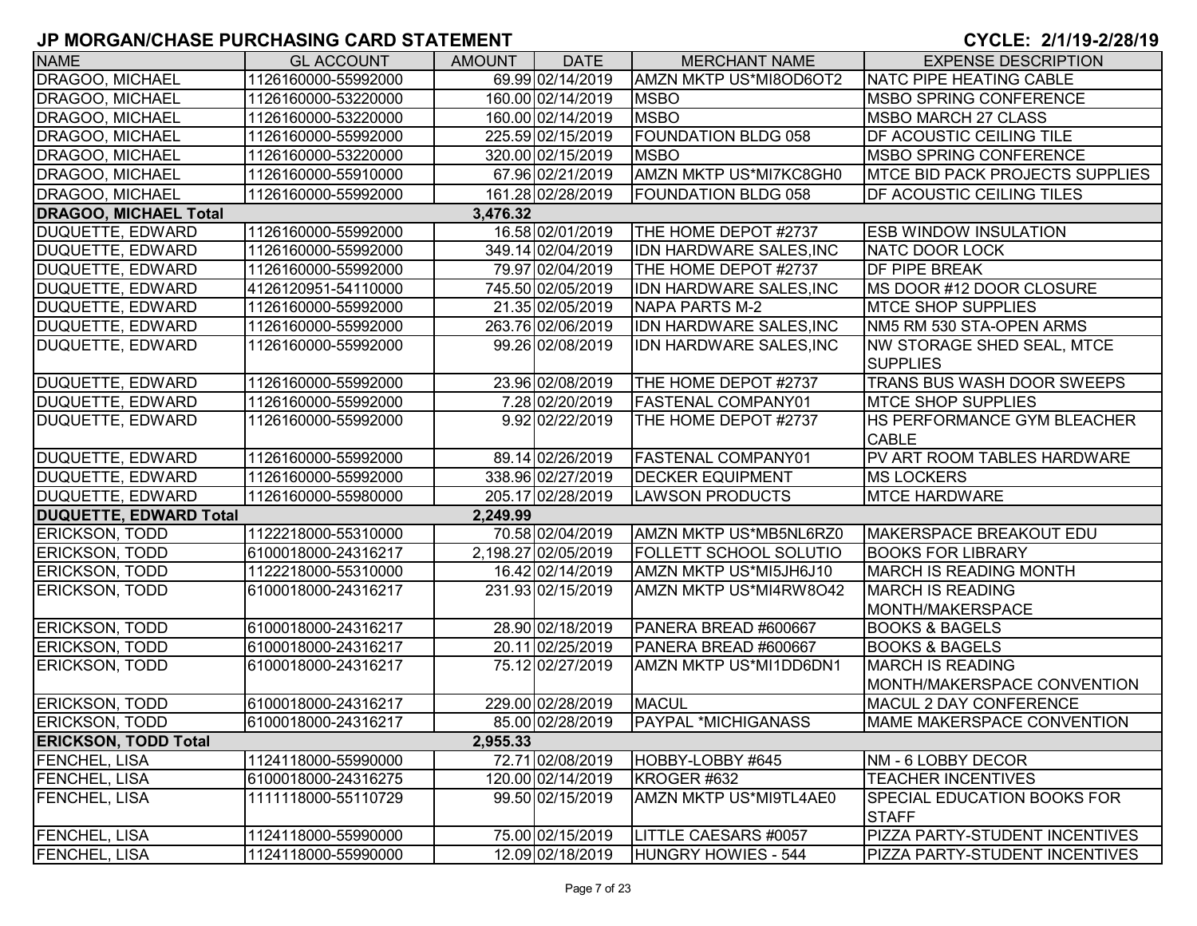| <b>NAME</b>                   | <b>GL ACCOUNT</b>   | AMOUNT   | <b>DATE</b>         | <b>MERCHANT NAME</b>          | <b>EXPENSE DESCRIPTION</b>             |
|-------------------------------|---------------------|----------|---------------------|-------------------------------|----------------------------------------|
| DRAGOO, MICHAEL               | 1126160000-55992000 |          | 69.99 02/14/2019    | AMZN MKTP US*MI8OD6OT2        | <b>NATC PIPE HEATING CABLE</b>         |
| <b>DRAGOO, MICHAEL</b>        | 1126160000-53220000 |          | 160.00 02/14/2019   | <b>MSBO</b>                   | <b>MSBO SPRING CONFERENCE</b>          |
| <b>DRAGOO, MICHAEL</b>        | 1126160000-53220000 |          | 160.00 02/14/2019   | <b>MSBO</b>                   | <b>MSBO MARCH 27 CLASS</b>             |
| DRAGOO, MICHAEL               | 1126160000-55992000 |          | 225.59 02/15/2019   | <b>FOUNDATION BLDG 058</b>    | <b>DF ACOUSTIC CEILING TILE</b>        |
| <b>DRAGOO, MICHAEL</b>        | 1126160000-53220000 |          | 320.00 02/15/2019   | <b>MSBO</b>                   | <b>MSBO SPRING CONFERENCE</b>          |
| DRAGOO, MICHAEL               | 1126160000-55910000 |          | 67.96 02/21/2019    | AMZN MKTP US*MI7KC8GH0        | <b>MTCE BID PACK PROJECTS SUPPLIES</b> |
| DRAGOO, MICHAEL               | 1126160000-55992000 |          | 161.28 02/28/2019   | <b>FOUNDATION BLDG 058</b>    | <b>DF ACOUSTIC CEILING TILES</b>       |
| <b>DRAGOO, MICHAEL Total</b>  |                     | 3,476.32 |                     |                               |                                        |
| DUQUETTE, EDWARD              | 1126160000-55992000 |          | 16.58 02/01/2019    | THE HOME DEPOT #2737          | <b>ESB WINDOW INSULATION</b>           |
| DUQUETTE, EDWARD              | 1126160000-55992000 |          | 349.14 02/04/2019   | IDN HARDWARE SALES, INC       | NATC DOOR LOCK                         |
| DUQUETTE, EDWARD              | 1126160000-55992000 |          | 79.97 02/04/2019    | THE HOME DEPOT #2737          | <b>DF PIPE BREAK</b>                   |
| DUQUETTE, EDWARD              | 4126120951-54110000 |          | 745.50 02/05/2019   | IDN HARDWARE SALES, INC       | <b>IMS DOOR #12 DOOR CLOSURE</b>       |
| <b>DUQUETTE, EDWARD</b>       | 1126160000-55992000 |          | 21.35 02/05/2019    | <b>NAPA PARTS M-2</b>         | <b>MTCE SHOP SUPPLIES</b>              |
| <b>DUQUETTE, EDWARD</b>       | 1126160000-55992000 |          | 263.76 02/06/2019   | IDN HARDWARE SALES, INC       | NM5 RM 530 STA-OPEN ARMS               |
| DUQUETTE, EDWARD              | 1126160000-55992000 |          | 99.26 02/08/2019    | IDN HARDWARE SALES, INC       | <b>NW STORAGE SHED SEAL, MTCE</b>      |
|                               |                     |          |                     |                               | <b>SUPPLIES</b>                        |
| <b>DUQUETTE, EDWARD</b>       | 1126160000-55992000 |          | 23.96 02/08/2019    | THE HOME DEPOT #2737          | TRANS BUS WASH DOOR SWEEPS             |
| DUQUETTE, EDWARD              | 1126160000-55992000 |          | 7.28 02/20/2019     | <b>FASTENAL COMPANY01</b>     | <b>IMTCE SHOP SUPPLIES</b>             |
| DUQUETTE, EDWARD              | 1126160000-55992000 |          | 9.92 02/22/2019     | THE HOME DEPOT #2737          | <b>HS PERFORMANCE GYM BLEACHER</b>     |
|                               |                     |          |                     |                               | <b>CABLE</b>                           |
| <b>DUQUETTE, EDWARD</b>       | 1126160000-55992000 |          | 89.14 02/26/2019    | <b>FASTENAL COMPANY01</b>     | PV ART ROOM TABLES HARDWARE            |
| DUQUETTE, EDWARD              | 1126160000-55992000 |          | 338.96 02/27/2019   | <b>DECKER EQUIPMENT</b>       | <b>MS LOCKERS</b>                      |
| DUQUETTE, EDWARD              | 1126160000-55980000 |          | 205.17 02/28/2019   | <b>LAWSON PRODUCTS</b>        | <b>MTCE HARDWARE</b>                   |
| <b>DUQUETTE, EDWARD Total</b> |                     | 2,249.99 |                     |                               |                                        |
| <b>ERICKSON, TODD</b>         | 1122218000-55310000 |          | 70.58 02/04/2019    | AMZN MKTP US*MB5NL6RZ0        | MAKERSPACE BREAKOUT EDU                |
| <b>ERICKSON, TODD</b>         | 6100018000-24316217 |          | 2,198.27 02/05/2019 | <b>FOLLETT SCHOOL SOLUTIO</b> | <b>BOOKS FOR LIBRARY</b>               |
| <b>ERICKSON, TODD</b>         | 1122218000-55310000 |          | 16.42 02/14/2019    | AMZN MKTP US*MI5JH6J10        | <b>MARCH IS READING MONTH</b>          |
| <b>ERICKSON, TODD</b>         | 6100018000-24316217 |          | 231.93 02/15/2019   | AMZN MKTP US*MI4RW8O42        | <b>MARCH IS READING</b>                |
|                               |                     |          |                     |                               | MONTH/MAKERSPACE                       |
| <b>ERICKSON, TODD</b>         | 6100018000-24316217 |          | 28.90 02/18/2019    | PANERA BREAD #600667          | <b>BOOKS &amp; BAGELS</b>              |
| <b>ERICKSON, TODD</b>         | 6100018000-24316217 |          | 20.11 02/25/2019    | PANERA BREAD #600667          | <b>BOOKS &amp; BAGELS</b>              |
| <b>ERICKSON, TODD</b>         | 6100018000-24316217 |          | 75.12 02/27/2019    | AMZN MKTP US*MI1DD6DN1        | <b>MARCH IS READING</b>                |
|                               |                     |          |                     |                               | MONTH/MAKERSPACE CONVENTION            |
| <b>ERICKSON, TODD</b>         | 6100018000-24316217 |          | 229.00 02/28/2019   | <b>MACUL</b>                  | MACUL 2 DAY CONFERENCE                 |
| <b>ERICKSON, TODD</b>         | 6100018000-24316217 |          | 85.00 02/28/2019    | PAYPAL *MICHIGANASS           | MAME MAKERSPACE CONVENTION             |
| <b>ERICKSON, TODD Total</b>   |                     | 2,955.33 |                     |                               |                                        |
| <b>FENCHEL, LISA</b>          | 1124118000-55990000 |          | 72.71 02/08/2019    | HOBBY-LOBBY #645              | NM - 6 LOBBY DECOR                     |
| <b>FENCHEL, LISA</b>          | 6100018000-24316275 |          | 120.00 02/14/2019   | KROGER #632                   | <b>TEACHER INCENTIVES</b>              |
| <b>FENCHEL, LISA</b>          | 1111118000-55110729 |          | 99.50 02/15/2019    | AMZN MKTP US*MI9TL4AE0        | <b>SPECIAL EDUCATION BOOKS FOR</b>     |
|                               |                     |          |                     |                               | <b>STAFF</b>                           |
| <b>FENCHEL, LISA</b>          | 1124118000-55990000 |          | 75.00 02/15/2019    | LITTLE CAESARS #0057          | PIZZA PARTY-STUDENT INCENTIVES         |
| <b>FENCHEL, LISA</b>          | 1124118000-55990000 |          | 12.09 02/18/2019    | HUNGRY HOWIES - 544           | <b>PIZZA PARTY-STUDENT INCENTIVES</b>  |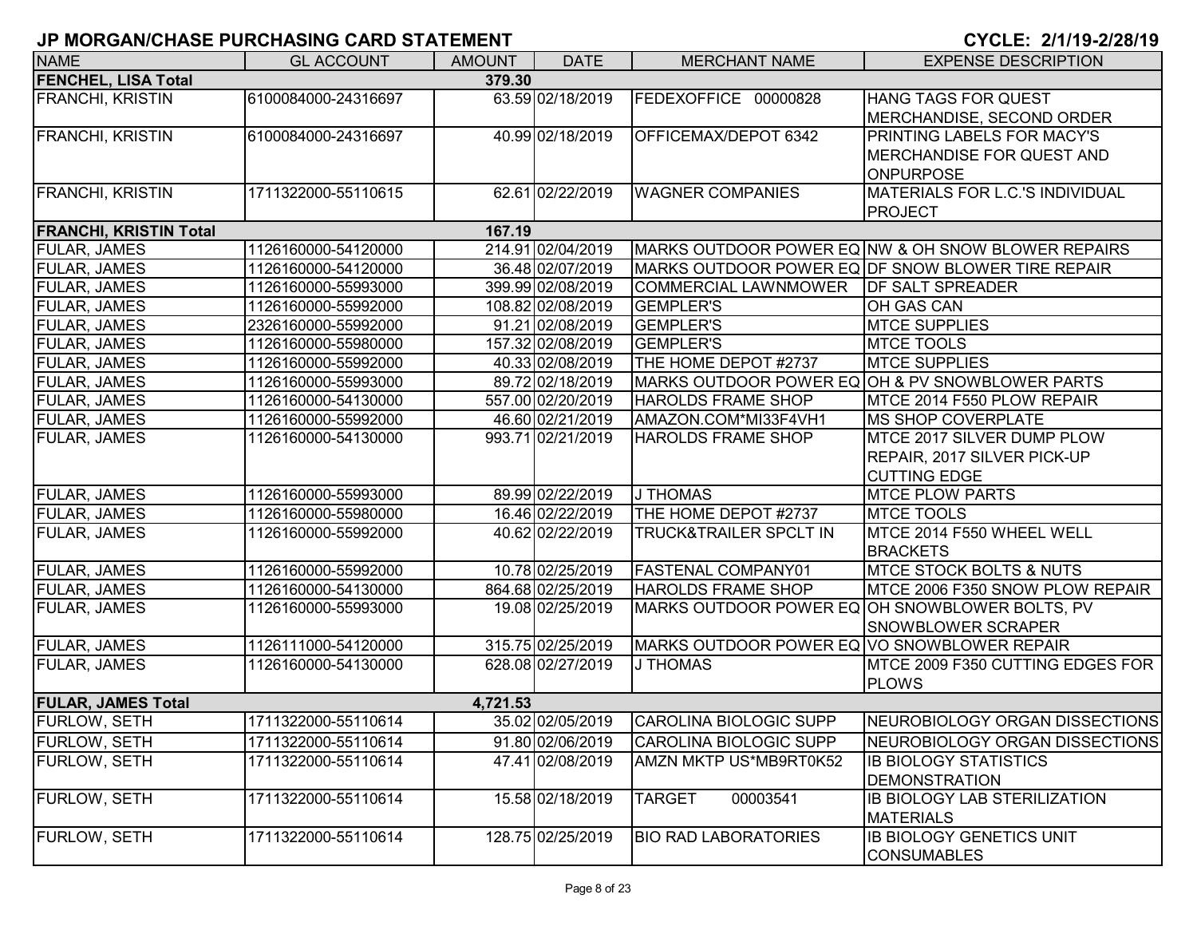| <b>NAME</b>                   | <b>GL ACCOUNT</b>   | <b>AMOUNT</b> | <b>DATE</b>       | <b>MERCHANT NAME</b>                           | <b>EXPENSE DESCRIPTION</b>                         |
|-------------------------------|---------------------|---------------|-------------------|------------------------------------------------|----------------------------------------------------|
| <b>FENCHEL, LISA Total</b>    |                     | 379.30        |                   |                                                |                                                    |
| <b>FRANCHI, KRISTIN</b>       | 6100084000-24316697 |               | 63.59 02/18/2019  | FEDEXOFFICE 00000828                           | HANG TAGS FOR QUEST                                |
|                               |                     |               |                   |                                                | MERCHANDISE, SECOND ORDER                          |
| <b>FRANCHI, KRISTIN</b>       | 6100084000-24316697 |               | 40.99 02/18/2019  | <b>OFFICEMAX/DEPOT 6342</b>                    | PRINTING LABELS FOR MACY'S                         |
|                               |                     |               |                   |                                                | <b>MERCHANDISE FOR QUEST AND</b>                   |
|                               |                     |               |                   |                                                | <b>ONPURPOSE</b>                                   |
| <b>FRANCHI, KRISTIN</b>       | 1711322000-55110615 |               | 62.61 02/22/2019  | <b>WAGNER COMPANIES</b>                        | MATERIALS FOR L.C.'S INDIVIDUAL                    |
|                               |                     |               |                   |                                                | <b>PROJECT</b>                                     |
| <b>FRANCHI, KRISTIN Total</b> |                     | 167.19        |                   |                                                |                                                    |
| <b>FULAR, JAMES</b>           | 1126160000-54120000 |               | 214.91 02/04/2019 |                                                | MARKS OUTDOOR POWER EQ NW & OH SNOW BLOWER REPAIRS |
| FULAR, JAMES                  | 1126160000-54120000 |               | 36.48 02/07/2019  |                                                | MARKS OUTDOOR POWER EQ DF SNOW BLOWER TIRE REPAIR  |
| FULAR, JAMES                  | 1126160000-55993000 |               | 399.99 02/08/2019 | <b>COMMERCIAL LAWNMOWER</b>                    | <b>DF SALT SPREADER</b>                            |
| FULAR, JAMES                  | 1126160000-55992000 |               | 108.82 02/08/2019 | <b>GEMPLER'S</b>                               | OH GAS CAN                                         |
| FULAR, JAMES                  | 2326160000-55992000 |               | 91.21 02/08/2019  | <b>GEMPLER'S</b>                               | <b>MTCE SUPPLIES</b>                               |
| <b>FULAR, JAMES</b>           | 1126160000-55980000 |               | 157.32 02/08/2019 | <b>GEMPLER'S</b>                               | <b>MTCE TOOLS</b>                                  |
| FULAR, JAMES                  | 1126160000-55992000 |               | 40.33 02/08/2019  | THE HOME DEPOT #2737                           | <b>MTCE SUPPLIES</b>                               |
| FULAR, JAMES                  | 1126160000-55993000 |               | 89.72 02/18/2019  |                                                | MARKS OUTDOOR POWER EQ OH & PV SNOWBLOWER PARTS    |
| FULAR, JAMES                  | 1126160000-54130000 |               | 557.00 02/20/2019 | <b>HAROLDS FRAME SHOP</b>                      | MTCE 2014 F550 PLOW REPAIR                         |
| FULAR, JAMES                  | 1126160000-55992000 |               | 46.60 02/21/2019  | AMAZON.COM*MI33F4VH1                           | <b>MS SHOP COVERPLATE</b>                          |
| FULAR, JAMES                  | 1126160000-54130000 |               | 993.71 02/21/2019 | <b>HAROLDS FRAME SHOP</b>                      | MTCE 2017 SILVER DUMP PLOW                         |
|                               |                     |               |                   |                                                | REPAIR, 2017 SILVER PICK-UP                        |
|                               |                     |               |                   |                                                | <b>CUTTING EDGE</b>                                |
| FULAR, JAMES                  | 1126160000-55993000 |               | 89.99 02/22/2019  | J THOMAS                                       | <b>MTCE PLOW PARTS</b>                             |
| <b>FULAR, JAMES</b>           | 1126160000-55980000 |               | 16.46 02/22/2019  | THE HOME DEPOT #2737                           | <b>MTCE TOOLS</b>                                  |
| FULAR, JAMES                  | 1126160000-55992000 |               | 40.62 02/22/2019  | <b>TRUCK&amp;TRAILER SPCLT IN</b>              | MTCE 2014 F550 WHEEL WELL                          |
|                               |                     |               |                   |                                                | <b>BRACKETS</b>                                    |
| <b>FULAR, JAMES</b>           | 1126160000-55992000 |               | 10.78 02/25/2019  | <b>FASTENAL COMPANY01</b>                      | <b>MTCE STOCK BOLTS &amp; NUTS</b>                 |
| FULAR, JAMES                  | 1126160000-54130000 |               | 864.68 02/25/2019 | <b>HAROLDS FRAME SHOP</b>                      | MTCE 2006 F350 SNOW PLOW REPAIR                    |
| FULAR, JAMES                  | 1126160000-55993000 |               | 19.08 02/25/2019  | MARKS OUTDOOR POWER EQ OH SNOWBLOWER BOLTS, PV |                                                    |
|                               |                     |               |                   |                                                | SNOWBLOWER SCRAPER                                 |
| FULAR, JAMES                  | 1126111000-54120000 |               | 315.75 02/25/2019 | MARKS OUTDOOR POWER EQ VO SNOWBLOWER REPAIR    |                                                    |
| FULAR, JAMES                  | 1126160000-54130000 |               | 628.08 02/27/2019 | J THOMAS                                       | MTCE 2009 F350 CUTTING EDGES FOR                   |
|                               |                     |               |                   |                                                | <b>PLOWS</b>                                       |
| <b>FULAR, JAMES Total</b>     |                     | 4,721.53      |                   |                                                |                                                    |
| <b>FURLOW, SETH</b>           | 1711322000-55110614 |               | 35.02 02/05/2019  | CAROLINA BIOLOGIC SUPP                         | NEUROBIOLOGY ORGAN DISSECTIONS                     |
| FURLOW, SETH                  | 1711322000-55110614 |               | 91.80 02/06/2019  | CAROLINA BIOLOGIC SUPP                         | NEUROBIOLOGY ORGAN DISSECTIONS                     |
| <b>FURLOW, SETH</b>           | 1711322000-55110614 |               | 47.41 02/08/2019  | AMZN MKTP US*MB9RT0K52                         | <b>IB BIOLOGY STATISTICS</b>                       |
|                               |                     |               |                   |                                                | <b>DEMONSTRATION</b>                               |
| FURLOW, SETH                  | 1711322000-55110614 |               | 15.58 02/18/2019  | 00003541<br><b>TARGET</b>                      | <b>IB BIOLOGY LAB STERILIZATION</b>                |
|                               |                     |               |                   |                                                | <b>MATERIALS</b>                                   |
| FURLOW, SETH                  | 1711322000-55110614 |               | 128.75 02/25/2019 | <b>BIO RAD LABORATORIES</b>                    | <b>IB BIOLOGY GENETICS UNIT</b>                    |
|                               |                     |               |                   |                                                | <b>CONSUMABLES</b>                                 |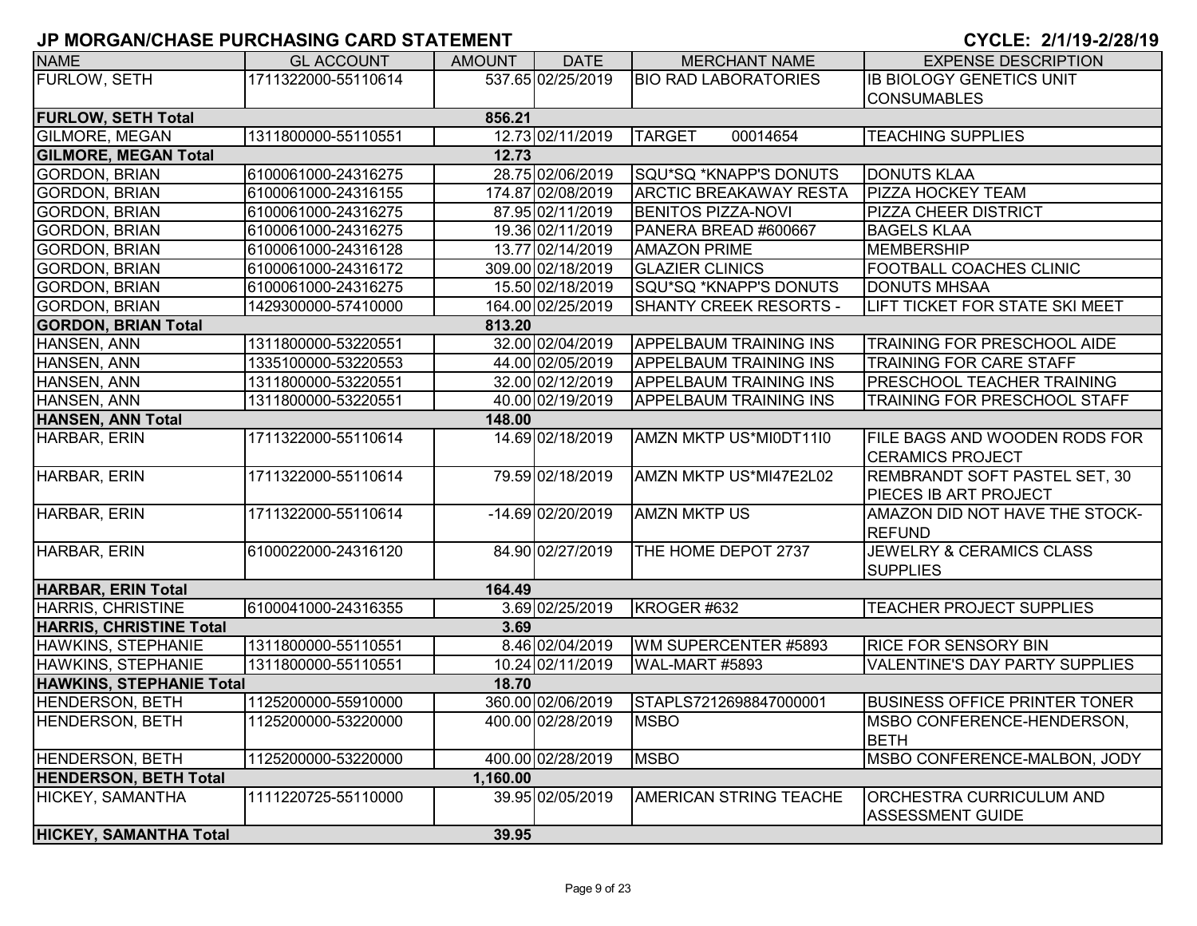| <b>NAME</b>                          | <b>GL ACCOUNT</b>   | <b>AMOUNT</b> | <b>DATE</b>       | <b>MERCHANT NAME</b>          | <b>EXPENSE DESCRIPTION</b>                                 |  |  |  |  |
|--------------------------------------|---------------------|---------------|-------------------|-------------------------------|------------------------------------------------------------|--|--|--|--|
| FURLOW, SETH                         | 1711322000-55110614 |               | 537.65 02/25/2019 | <b>BIO RAD LABORATORIES</b>   | <b>IB BIOLOGY GENETICS UNIT</b>                            |  |  |  |  |
|                                      |                     |               |                   |                               | <b>CONSUMABLES</b>                                         |  |  |  |  |
| <b>FURLOW, SETH Total</b>            |                     | 856.21        |                   |                               |                                                            |  |  |  |  |
| <b>GILMORE, MEGAN</b>                | 1311800000-55110551 |               | 12.73 02/11/2019  | <b>TARGET</b><br>00014654     | <b>TEACHING SUPPLIES</b>                                   |  |  |  |  |
| <b>GILMORE, MEGAN Total</b><br>12.73 |                     |               |                   |                               |                                                            |  |  |  |  |
| <b>GORDON, BRIAN</b>                 | 6100061000-24316275 |               | 28.75 02/06/2019  | SQU*SQ *KNAPP'S DONUTS        | <b>DONUTS KLAA</b>                                         |  |  |  |  |
| <b>GORDON, BRIAN</b>                 | 6100061000-24316155 |               | 174.87 02/08/2019 | <b>ARCTIC BREAKAWAY RESTA</b> | <b>PIZZA HOCKEY TEAM</b>                                   |  |  |  |  |
| <b>GORDON, BRIAN</b>                 | 6100061000-24316275 |               | 87.95 02/11/2019  | <b>BENITOS PIZZA-NOVI</b>     | <b>PIZZA CHEER DISTRICT</b>                                |  |  |  |  |
| <b>GORDON, BRIAN</b>                 | 6100061000-24316275 |               | 19.36 02/11/2019  | PANERA BREAD #600667          | <b>BAGELS KLAA</b>                                         |  |  |  |  |
| <b>GORDON, BRIAN</b>                 | 6100061000-24316128 |               | 13.77 02/14/2019  | <b>AMAZON PRIME</b>           | <b>MEMBERSHIP</b>                                          |  |  |  |  |
| <b>GORDON, BRIAN</b>                 | 6100061000-24316172 |               | 309.00 02/18/2019 | <b>GLAZIER CLINICS</b>        | <b>FOOTBALL COACHES CLINIC</b>                             |  |  |  |  |
| <b>GORDON, BRIAN</b>                 | 6100061000-24316275 |               | 15.50 02/18/2019  | SQU*SQ *KNAPP'S DONUTS        | <b>DONUTS MHSAA</b>                                        |  |  |  |  |
| <b>GORDON, BRIAN</b>                 | 1429300000-57410000 |               | 164.00 02/25/2019 | SHANTY CREEK RESORTS -        | LIFT TICKET FOR STATE SKI MEET                             |  |  |  |  |
| <b>GORDON, BRIAN Total</b>           |                     | 813.20        |                   |                               |                                                            |  |  |  |  |
| HANSEN, ANN                          | 1311800000-53220551 |               | 32.00 02/04/2019  | <b>APPELBAUM TRAINING INS</b> | <b>TRAINING FOR PRESCHOOL AIDE</b>                         |  |  |  |  |
| HANSEN, ANN                          | 1335100000-53220553 |               | 44.00 02/05/2019  | <b>APPELBAUM TRAINING INS</b> | TRAINING FOR CARE STAFF                                    |  |  |  |  |
| HANSEN, ANN                          | 1311800000-53220551 |               | 32.00 02/12/2019  | <b>APPELBAUM TRAINING INS</b> | <b>PRESCHOOL TEACHER TRAINING</b>                          |  |  |  |  |
| HANSEN, ANN                          | 1311800000-53220551 |               | 40.00 02/19/2019  | <b>APPELBAUM TRAINING INS</b> | <b>TRAINING FOR PRESCHOOL STAFF</b>                        |  |  |  |  |
| <b>HANSEN, ANN Total</b>             |                     | 148.00        |                   |                               |                                                            |  |  |  |  |
| HARBAR, ERIN                         | 1711322000-55110614 |               | 14.69 02/18/2019  | AMZN MKTP US*MI0DT11I0        | FILE BAGS AND WOODEN RODS FOR                              |  |  |  |  |
|                                      |                     |               |                   |                               | <b>CERAMICS PROJECT</b>                                    |  |  |  |  |
| HARBAR, ERIN                         | 1711322000-55110614 |               | 79.59 02/18/2019  | AMZN MKTP US*MI47E2L02        | <b>REMBRANDT SOFT PASTEL SET, 30</b>                       |  |  |  |  |
|                                      |                     |               |                   |                               | PIECES IB ART PROJECT                                      |  |  |  |  |
| HARBAR, ERIN                         | 1711322000-55110614 |               | -14.69 02/20/2019 | <b>AMZN MKTP US</b>           | AMAZON DID NOT HAVE THE STOCK-                             |  |  |  |  |
|                                      |                     |               |                   |                               | <b>REFUND</b>                                              |  |  |  |  |
| HARBAR, ERIN                         | 6100022000-24316120 |               | 84.90 02/27/2019  | THE HOME DEPOT 2737           | JEWELRY & CERAMICS CLASS                                   |  |  |  |  |
|                                      |                     |               |                   |                               | <b>SUPPLIES</b>                                            |  |  |  |  |
| HARBAR, ERIN Total                   |                     | 164.49        |                   |                               |                                                            |  |  |  |  |
| HARRIS, CHRISTINE                    | 6100041000-24316355 |               | 3.69 02/25/2019   | KROGER #632                   | <b>TEACHER PROJECT SUPPLIES</b>                            |  |  |  |  |
| <b>HARRIS, CHRISTINE Total</b>       |                     | 3.69          |                   |                               |                                                            |  |  |  |  |
| HAWKINS, STEPHANIE                   | 1311800000-55110551 |               | 8.46 02/04/2019   | WM SUPERCENTER #5893          | <b>RICE FOR SENSORY BIN</b>                                |  |  |  |  |
| HAWKINS, STEPHANIE                   | 1311800000-55110551 |               | 10.24 02/11/2019  | WAL-MART #5893                | <b>VALENTINE'S DAY PARTY SUPPLIES</b>                      |  |  |  |  |
| <b>HAWKINS, STEPHANIE Total</b>      |                     | 18.70         |                   |                               |                                                            |  |  |  |  |
| <b>HENDERSON, BETH</b>               | 1125200000-55910000 |               | 360.00 02/06/2019 | STAPLS7212698847000001        | <b>BUSINESS OFFICE PRINTER TONER</b>                       |  |  |  |  |
| <b>HENDERSON, BETH</b>               | 1125200000-53220000 |               | 400.00 02/28/2019 | <b>MSBO</b>                   | <b>IMSBO CONFERENCE-HENDERSON,</b><br><b>BETH</b>          |  |  |  |  |
| <b>HENDERSON, BETH</b>               | 1125200000-53220000 |               | 400.00 02/28/2019 | <b>MSBO</b>                   | MSBO CONFERENCE-MALBON, JODY                               |  |  |  |  |
| <b>HENDERSON, BETH Total</b>         |                     | 1,160.00      |                   |                               |                                                            |  |  |  |  |
| HICKEY, SAMANTHA                     | 1111220725-55110000 |               | 39.95 02/05/2019  | AMERICAN STRING TEACHE        | <b>ORCHESTRA CURRICULUM AND</b><br><b>ASSESSMENT GUIDE</b> |  |  |  |  |
| <b>HICKEY, SAMANTHA Total</b>        |                     | 39.95         |                   |                               |                                                            |  |  |  |  |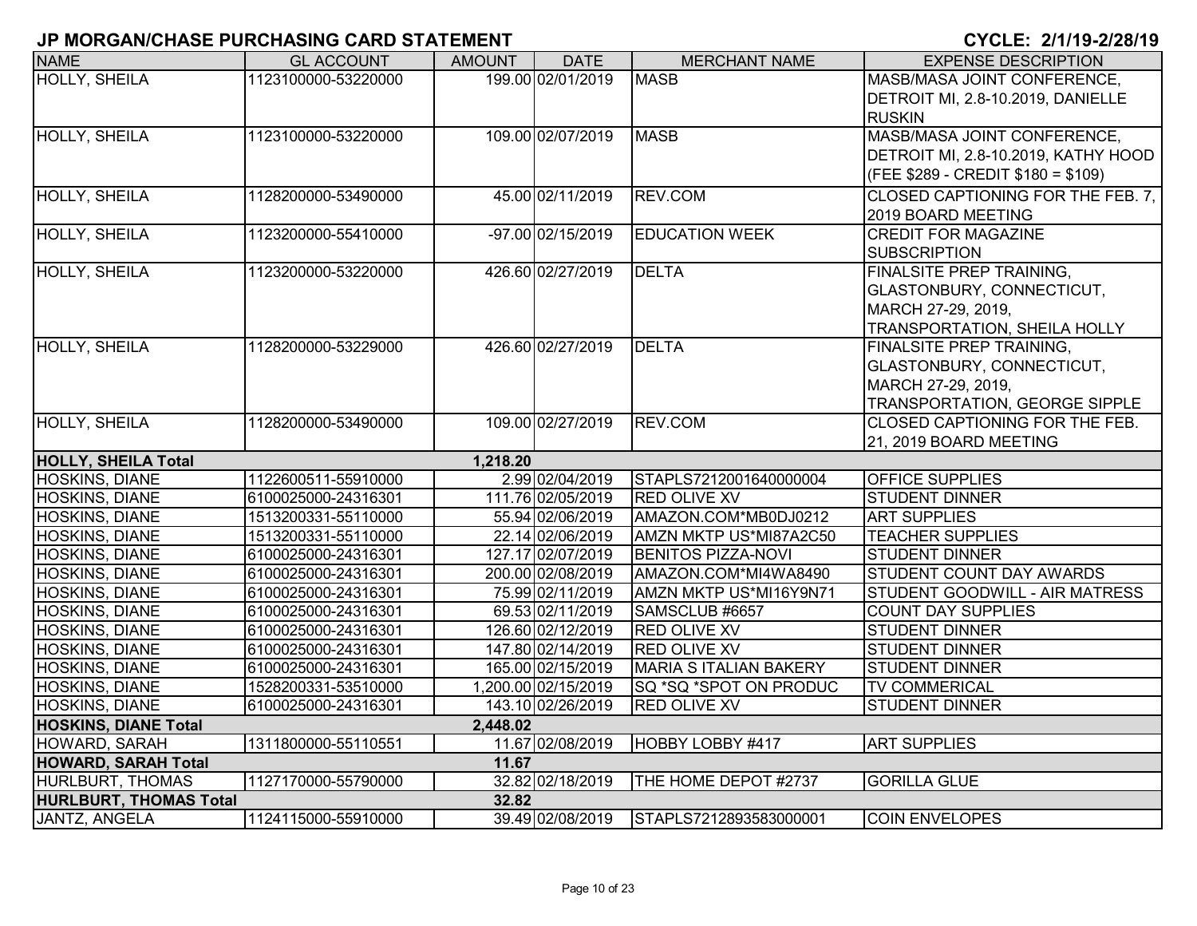| <b>NAME</b>                   | <b>GL ACCOUNT</b>   | AMOUNT   | <b>DATE</b>         | <b>MERCHANT NAME</b>          | <b>EXPENSE DESCRIPTION</b>            |
|-------------------------------|---------------------|----------|---------------------|-------------------------------|---------------------------------------|
| <b>HOLLY, SHEILA</b>          | 1123100000-53220000 |          | 199.00 02/01/2019   | <b>MASB</b>                   | MASB/MASA JOINT CONFERENCE,           |
|                               |                     |          |                     |                               | DETROIT MI, 2.8-10.2019, DANIELLE     |
|                               |                     |          |                     |                               | <b>RUSKIN</b>                         |
| <b>HOLLY, SHEILA</b>          | 1123100000-53220000 |          | 109.00 02/07/2019   | <b>MASB</b>                   | MASB/MASA JOINT CONFERENCE,           |
|                               |                     |          |                     |                               | DETROIT MI, 2.8-10.2019, KATHY HOOD   |
|                               |                     |          |                     |                               | $CFEE$ \$289 - CREDIT \$180 = \$109)  |
| <b>HOLLY, SHEILA</b>          | 1128200000-53490000 |          | 45.00 02/11/2019    | REV.COM                       | CLOSED CAPTIONING FOR THE FEB. 7,     |
|                               |                     |          |                     |                               | 2019 BOARD MEETING                    |
| <b>HOLLY, SHEILA</b>          | 1123200000-55410000 |          | -97.00 02/15/2019   | <b>EDUCATION WEEK</b>         | <b>CREDIT FOR MAGAZINE</b>            |
|                               |                     |          |                     |                               | <b>SUBSCRIPTION</b>                   |
| <b>HOLLY, SHEILA</b>          | 1123200000-53220000 |          | 426.60 02/27/2019   | <b>DELTA</b>                  | <b>FINALSITE PREP TRAINING,</b>       |
|                               |                     |          |                     |                               | GLASTONBURY, CONNECTICUT,             |
|                               |                     |          |                     |                               | MARCH 27-29, 2019,                    |
|                               |                     |          |                     |                               | TRANSPORTATION, SHEILA HOLLY          |
| <b>HOLLY, SHEILA</b>          | 1128200000-53229000 |          | 426.60 02/27/2019   | <b>DELTA</b>                  | <b>FINALSITE PREP TRAINING,</b>       |
|                               |                     |          |                     |                               | GLASTONBURY, CONNECTICUT,             |
|                               |                     |          |                     |                               | MARCH 27-29, 2019,                    |
|                               |                     |          |                     |                               | TRANSPORTATION, GEORGE SIPPLE         |
| <b>HOLLY, SHEILA</b>          | 1128200000-53490000 |          | 109.00 02/27/2019   | REV.COM                       | <b>CLOSED CAPTIONING FOR THE FEB.</b> |
|                               |                     |          |                     |                               | 21, 2019 BOARD MEETING                |
| <b>HOLLY, SHEILA Total</b>    |                     | 1,218.20 |                     |                               |                                       |
| <b>HOSKINS, DIANE</b>         | 1122600511-55910000 |          | 2.99 02/04/2019     | STAPLS7212001640000004        | <b>OFFICE SUPPLIES</b>                |
| <b>HOSKINS, DIANE</b>         | 6100025000-24316301 |          | 111.76 02/05/2019   | <b>RED OLIVE XV</b>           | <b>STUDENT DINNER</b>                 |
| HOSKINS, DIANE                | 1513200331-55110000 |          | 55.94 02/06/2019    | AMAZON.COM*MB0DJ0212          | <b>ART SUPPLIES</b>                   |
| HOSKINS, DIANE                | 1513200331-55110000 |          | 22.14 02/06/2019    | AMZN MKTP US*MI87A2C50        | <b>TEACHER SUPPLIES</b>               |
| HOSKINS, DIANE                | 6100025000-24316301 |          | 127.17 02/07/2019   | <b>BENITOS PIZZA-NOVI</b>     | <b>STUDENT DINNER</b>                 |
| HOSKINS, DIANE                | 6100025000-24316301 |          | 200.00 02/08/2019   | AMAZON.COM*MI4WA8490          | <b>STUDENT COUNT DAY AWARDS</b>       |
| HOSKINS, DIANE                | 6100025000-24316301 |          | 75.99 02/11/2019    | AMZN MKTP US*MI16Y9N71        | STUDENT GOODWILL - AIR MATRESS        |
| HOSKINS, DIANE                | 6100025000-24316301 |          | 69.53 02/11/2019    | SAMSCLUB #6657                | <b>COUNT DAY SUPPLIES</b>             |
| HOSKINS, DIANE                | 6100025000-24316301 |          | 126.60 02/12/2019   | <b>RED OLIVE XV</b>           | <b>STUDENT DINNER</b>                 |
| HOSKINS, DIANE                | 6100025000-24316301 |          | 147.80 02/14/2019   | <b>RED OLIVE XV</b>           | <b>STUDENT DINNER</b>                 |
| <b>HOSKINS, DIANE</b>         | 6100025000-24316301 |          | 165.00 02/15/2019   | <b>MARIA S ITALIAN BAKERY</b> | <b>STUDENT DINNER</b>                 |
| HOSKINS, DIANE                | 1528200331-53510000 |          | 1,200.00 02/15/2019 | SQ *SQ *SPOT ON PRODUC        | <b>TV COMMERICAL</b>                  |
| <b>HOSKINS, DIANE</b>         | 6100025000-24316301 |          | 143.10 02/26/2019   | <b>RED OLIVE XV</b>           | <b>STUDENT DINNER</b>                 |
| <b>HOSKINS, DIANE Total</b>   |                     | 2,448.02 |                     |                               |                                       |
| HOWARD, SARAH                 | 1311800000-55110551 |          | 11.67 02/08/2019    | HOBBY LOBBY #417              | <b>ART SUPPLIES</b>                   |
| <b>HOWARD, SARAH Total</b>    |                     | 11.67    |                     |                               |                                       |
| <b>HURLBURT, THOMAS</b>       | 1127170000-55790000 |          | 32.82 02/18/2019    | THE HOME DEPOT #2737          | <b>GORILLA GLUE</b>                   |
| <b>HURLBURT, THOMAS Total</b> |                     | 32.82    |                     |                               |                                       |
| JANTZ, ANGELA                 | 1124115000-55910000 |          | 39.49 02/08/2019    | STAPLS7212893583000001        | <b>COIN ENVELOPES</b>                 |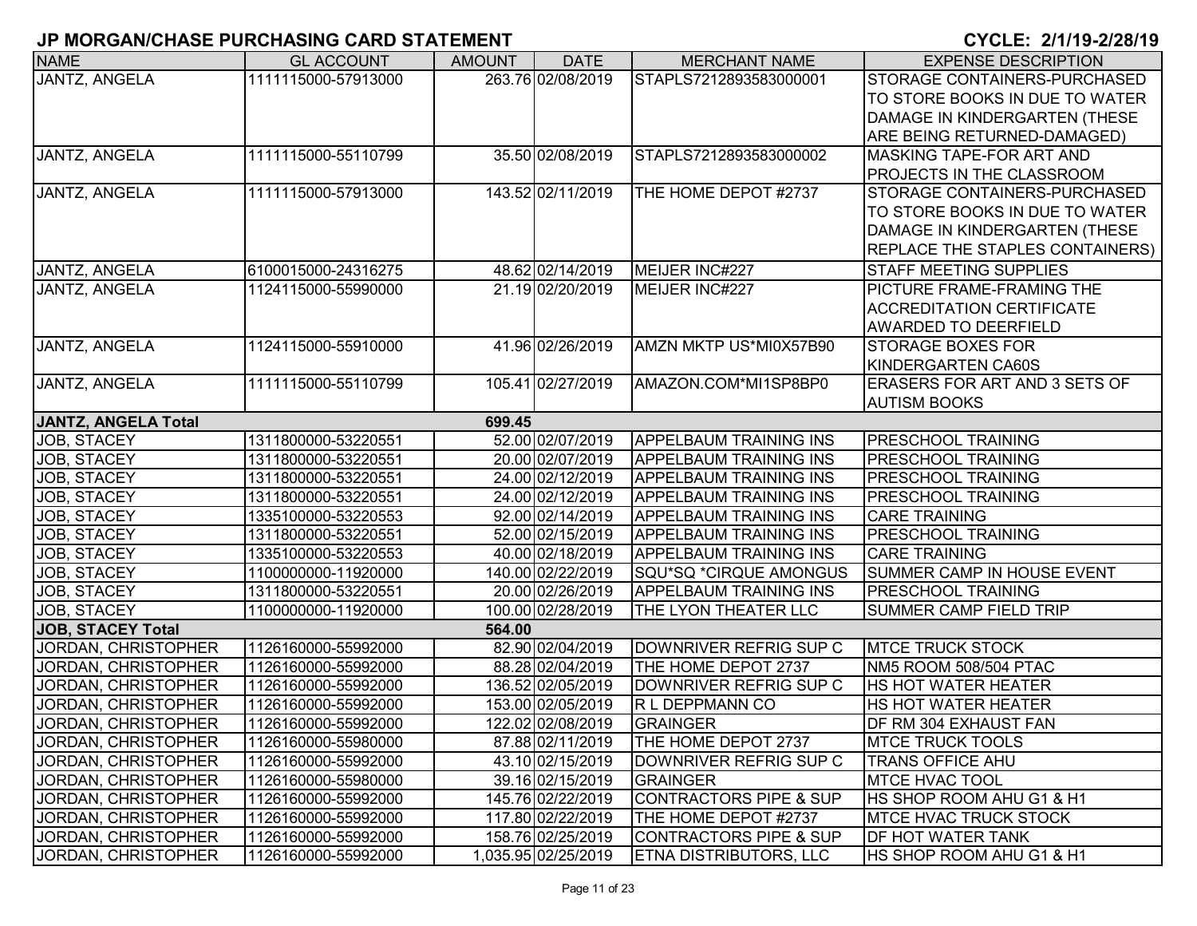| <b>NAME</b>                | <b>GL ACCOUNT</b>   | <b>AMOUNT</b> | <b>DATE</b>         | <b>MERCHANT NAME</b>              | <b>EXPENSE DESCRIPTION</b>           |
|----------------------------|---------------------|---------------|---------------------|-----------------------------------|--------------------------------------|
| <b>JANTZ, ANGELA</b>       | 1111115000-57913000 |               | 263.76 02/08/2019   | STAPLS7212893583000001            | STORAGE CONTAINERS-PURCHASED         |
|                            |                     |               |                     |                                   | TO STORE BOOKS IN DUE TO WATER       |
|                            |                     |               |                     |                                   | DAMAGE IN KINDERGARTEN (THESE        |
|                            |                     |               |                     |                                   | ARE BEING RETURNED-DAMAGED)          |
| JANTZ, ANGELA              | 1111115000-55110799 |               | 35.50 02/08/2019    | STAPLS7212893583000002            | <b>MASKING TAPE-FOR ART AND</b>      |
|                            |                     |               |                     |                                   | <b>PROJECTS IN THE CLASSROOM</b>     |
| JANTZ, ANGELA              | 1111115000-57913000 |               | 143.52 02/11/2019   | THE HOME DEPOT #2737              | <b>STORAGE CONTAINERS-PURCHASED</b>  |
|                            |                     |               |                     |                                   | TO STORE BOOKS IN DUE TO WATER       |
|                            |                     |               |                     |                                   | DAMAGE IN KINDERGARTEN (THESE        |
|                            |                     |               |                     |                                   | REPLACE THE STAPLES CONTAINERS)      |
| JANTZ, ANGELA              | 6100015000-24316275 |               | 48.62 02/14/2019    | MEIJER INC#227                    | <b>STAFF MEETING SUPPLIES</b>        |
| JANTZ, ANGELA              | 1124115000-55990000 |               | 21.19 02/20/2019    | MEIJER INC#227                    | PICTURE FRAME-FRAMING THE            |
|                            |                     |               |                     |                                   | <b>ACCREDITATION CERTIFICATE</b>     |
|                            |                     |               |                     |                                   | <b>AWARDED TO DEERFIELD</b>          |
| JANTZ, ANGELA              | 1124115000-55910000 |               | 41.96 02/26/2019    | AMZN MKTP US*MI0X57B90            | <b>STORAGE BOXES FOR</b>             |
|                            |                     |               |                     |                                   | KINDERGARTEN CA60S                   |
| JANTZ, ANGELA              | 1111115000-55110799 |               | 105.41 02/27/2019   | AMAZON.COM*MI1SP8BP0              | <b>ERASERS FOR ART AND 3 SETS OF</b> |
|                            |                     |               |                     |                                   | <b>AUTISM BOOKS</b>                  |
| <b>JANTZ, ANGELA Total</b> |                     | 699.45        |                     |                                   |                                      |
| JOB, STACEY                | 1311800000-53220551 |               | 52.00 02/07/2019    | <b>APPELBAUM TRAINING INS</b>     | <b>PRESCHOOL TRAINING</b>            |
| JOB, STACEY                | 1311800000-53220551 |               | 20.00 02/07/2019    | <b>APPELBAUM TRAINING INS</b>     | <b>PRESCHOOL TRAINING</b>            |
| JOB, STACEY                | 1311800000-53220551 |               | 24.00 02/12/2019    | <b>APPELBAUM TRAINING INS</b>     | <b>PRESCHOOL TRAINING</b>            |
| JOB, STACEY                | 1311800000-53220551 |               | 24.00 02/12/2019    | <b>APPELBAUM TRAINING INS</b>     | <b>PRESCHOOL TRAINING</b>            |
| JOB, STACEY                | 1335100000-53220553 |               | 92.00 02/14/2019    | <b>APPELBAUM TRAINING INS</b>     | <b>CARE TRAINING</b>                 |
| JOB, STACEY                | 1311800000-53220551 |               | 52.00 02/15/2019    | <b>APPELBAUM TRAINING INS</b>     | <b>PRESCHOOL TRAINING</b>            |
| JOB, STACEY                | 1335100000-53220553 |               | 40.00 02/18/2019    | <b>APPELBAUM TRAINING INS</b>     | <b>CARE TRAINING</b>                 |
| JOB, STACEY                | 1100000000-11920000 |               | 140.00 02/22/2019   | SQU*SQ *CIRQUE AMONGUS            | SUMMER CAMP IN HOUSE EVENT           |
| JOB, STACEY                | 1311800000-53220551 |               | 20.00 02/26/2019    | <b>APPELBAUM TRAINING INS</b>     | <b>PRESCHOOL TRAINING</b>            |
| JOB, STACEY                | 1100000000-11920000 |               | 100.00 02/28/2019   | THE LYON THEATER LLC              | <b>SUMMER CAMP FIELD TRIP</b>        |
| JOB, STACEY Total          |                     | 564.00        |                     |                                   |                                      |
| JORDAN, CHRISTOPHER        | 1126160000-55992000 |               | 82.90 02/04/2019    | DOWNRIVER REFRIG SUP C            | <b>MTCE TRUCK STOCK</b>              |
| JORDAN, CHRISTOPHER        | 1126160000-55992000 |               | 88.28 02/04/2019    | THE HOME DEPOT 2737               | NM5 ROOM 508/504 PTAC                |
| JORDAN, CHRISTOPHER        | 1126160000-55992000 |               | 136.52 02/05/2019   | DOWNRIVER REFRIG SUP C            | <b>HS HOT WATER HEATER</b>           |
| JORDAN, CHRISTOPHER        | 1126160000-55992000 |               | 153.00 02/05/2019   | R L DEPPMANN CO                   | <b>HS HOT WATER HEATER</b>           |
| JORDAN, CHRISTOPHER        | 1126160000-55992000 |               | 122.02 02/08/2019   | <b>GRAINGER</b>                   | <b>IDF RM 304 EXHAUST FAN</b>        |
| JORDAN, CHRISTOPHER        | 1126160000-55980000 |               | 87.88 02/11/2019    | THE HOME DEPOT 2737               | <b>MTCE TRUCK TOOLS</b>              |
| JORDAN, CHRISTOPHER        | 1126160000-55992000 |               | 43.10 02/15/2019    | DOWNRIVER REFRIG SUP C            | <b>TRANS OFFICE AHU</b>              |
| JORDAN, CHRISTOPHER        | 1126160000-55980000 |               | 39.16 02/15/2019    | <b>GRAINGER</b>                   | <b>MTCE HVAC TOOL</b>                |
| JORDAN, CHRISTOPHER        | 1126160000-55992000 |               | 145.76 02/22/2019   | <b>CONTRACTORS PIPE &amp; SUP</b> | <b>HS SHOP ROOM AHU G1 &amp; H1</b>  |
| JORDAN, CHRISTOPHER        | 1126160000-55992000 |               | 117.80 02/22/2019   | THE HOME DEPOT #2737              | <b>MTCE HVAC TRUCK STOCK</b>         |
| JORDAN, CHRISTOPHER        | 1126160000-55992000 |               | 158.76 02/25/2019   | <b>CONTRACTORS PIPE &amp; SUP</b> | <b>DF HOT WATER TANK</b>             |
| JORDAN, CHRISTOPHER        | 1126160000-55992000 |               | 1,035.95 02/25/2019 | <b>ETNA DISTRIBUTORS, LLC</b>     | HS SHOP ROOM AHU G1 & H1             |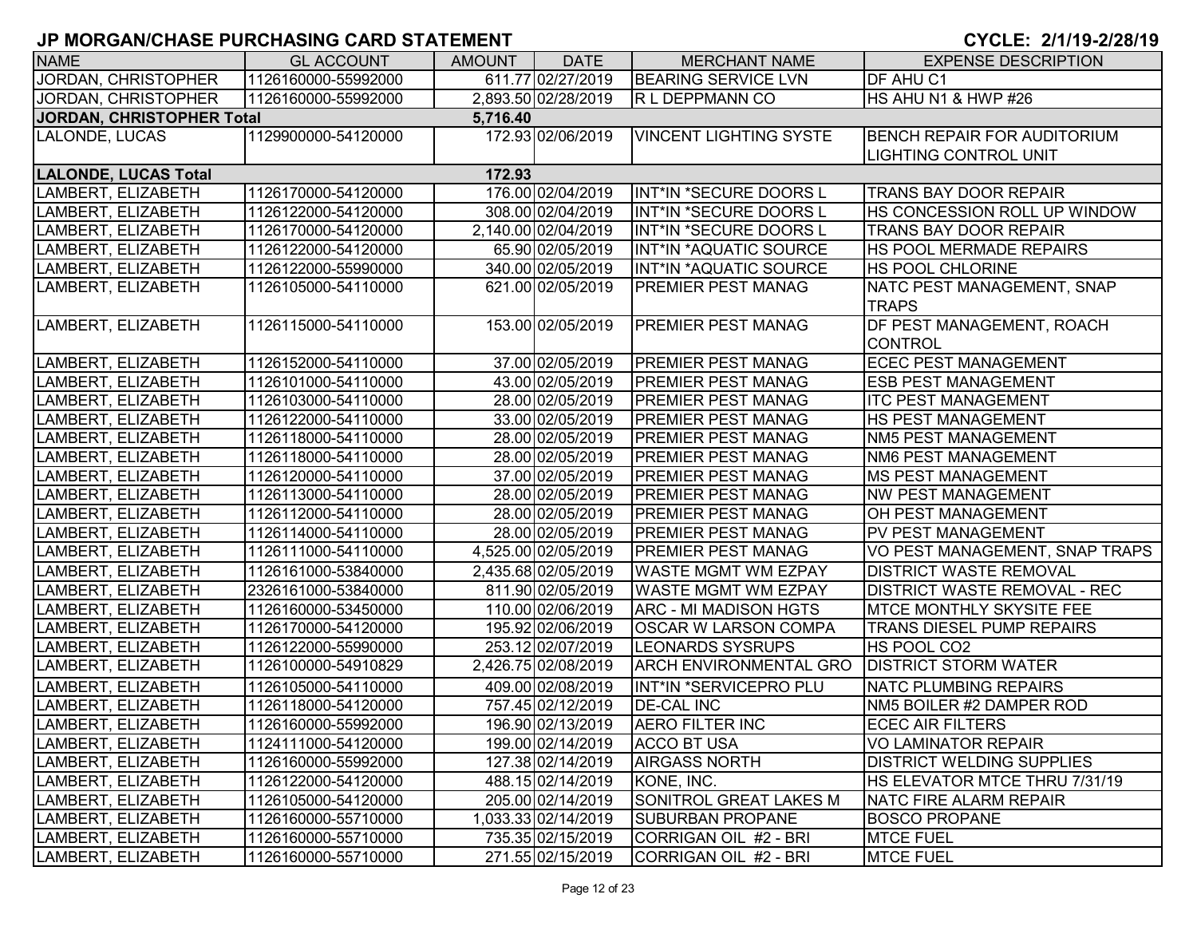| <b>NAME</b>                 | <b>GL ACCOUNT</b>   | <b>AMOUNT</b> | <b>DATE</b>         | <b>MERCHANT NAME</b>                | <b>EXPENSE DESCRIPTION</b>          |
|-----------------------------|---------------------|---------------|---------------------|-------------------------------------|-------------------------------------|
| JORDAN, CHRISTOPHER         | 1126160000-55992000 |               | 611.77 02/27/2019   | <b>BEARING SERVICE LVN</b>          | <b>DF AHU C1</b>                    |
| JORDAN, CHRISTOPHER         | 1126160000-55992000 |               | 2,893.50 02/28/2019 | R L DEPPMANN CO                     | HS AHU N1 & HWP #26                 |
| JORDAN, CHRISTOPHER Total   |                     | 5,716.40      |                     |                                     |                                     |
| LALONDE, LUCAS              | 1129900000-54120000 |               | 172.93 02/06/2019   | <b>VINCENT LIGHTING SYSTE</b>       | <b>BENCH REPAIR FOR AUDITORIUM</b>  |
|                             |                     |               |                     |                                     | LIGHTING CONTROL UNIT               |
| <b>LALONDE, LUCAS Total</b> |                     | 172.93        |                     |                                     |                                     |
| LAMBERT, ELIZABETH          | 1126170000-54120000 |               | 176.00 02/04/2019   | INT*IN *SECURE DOORS L              | <b>TRANS BAY DOOR REPAIR</b>        |
| LAMBERT, ELIZABETH          | 1126122000-54120000 |               | 308.00 02/04/2019   | INT*IN *SECURE DOORS L              | HS CONCESSION ROLL UP WINDOW        |
| LAMBERT, ELIZABETH          | 1126170000-54120000 |               | 2,140.00 02/04/2019 | INT*IN *SECURE DOORS L              | TRANS BAY DOOR REPAIR               |
| LAMBERT, ELIZABETH          | 1126122000-54120000 |               | 65.90 02/05/2019    | <b>INT*IN *AQUATIC SOURCE</b>       | <b>HS POOL MERMADE REPAIRS</b>      |
| LAMBERT, ELIZABETH          | 1126122000-55990000 |               | 340.00 02/05/2019   | INT*IN *AQUATIC SOURCE              | <b>HS POOL CHLORINE</b>             |
| LAMBERT, ELIZABETH          | 1126105000-54110000 |               | 621.00 02/05/2019   | PREMIER PEST MANAG                  | NATC PEST MANAGEMENT, SNAP          |
|                             |                     |               |                     |                                     | <b>TRAPS</b>                        |
| LAMBERT, ELIZABETH          | 1126115000-54110000 |               | 153.00 02/05/2019   | <b>PREMIER PEST MANAG</b>           | DF PEST MANAGEMENT, ROACH           |
|                             |                     |               |                     |                                     | <b>CONTROL</b>                      |
| LAMBERT, ELIZABETH          | 1126152000-54110000 |               | 37.00 02/05/2019    | <b>PREMIER PEST MANAG</b>           | <b>ECEC PEST MANAGEMENT</b>         |
| LAMBERT, ELIZABETH          | 1126101000-54110000 |               | 43.00 02/05/2019    | <b>PREMIER PEST MANAG</b>           | <b>ESB PEST MANAGEMENT</b>          |
| LAMBERT, ELIZABETH          | 1126103000-54110000 |               | 28.00 02/05/2019    | <b>PREMIER PEST MANAG</b>           | <b>ITC PEST MANAGEMENT</b>          |
| LAMBERT, ELIZABETH          | 1126122000-54110000 |               | 33.00 02/05/2019    | <b>PREMIER PEST MANAG</b>           | <b>HS PEST MANAGEMENT</b>           |
| LAMBERT, ELIZABETH          | 1126118000-54110000 |               | 28.00 02/05/2019    | <b>PREMIER PEST MANAG</b>           | <b>NM5 PEST MANAGEMENT</b>          |
| LAMBERT, ELIZABETH          | 1126118000-54110000 |               | 28.00 02/05/2019    | <b>PREMIER PEST MANAG</b>           | <b>NM6 PEST MANAGEMENT</b>          |
| LAMBERT, ELIZABETH          | 1126120000-54110000 |               | 37.00 02/05/2019    | <b>PREMIER PEST MANAG</b>           | <b>MS PEST MANAGEMENT</b>           |
| LAMBERT, ELIZABETH          | 1126113000-54110000 |               | 28.00 02/05/2019    | <b>PREMIER PEST MANAG</b>           | <b>NW PEST MANAGEMENT</b>           |
| LAMBERT, ELIZABETH          | 1126112000-54110000 |               | 28.00 02/05/2019    | <b>PREMIER PEST MANAG</b>           | <b>OH PEST MANAGEMENT</b>           |
| LAMBERT, ELIZABETH          | 1126114000-54110000 |               | 28.00 02/05/2019    | <b>PREMIER PEST MANAG</b>           | PV PEST MANAGEMENT                  |
| LAMBERT, ELIZABETH          | 1126111000-54110000 |               | 4,525.00 02/05/2019 | <b>PREMIER PEST MANAG</b>           | VO PEST MANAGEMENT, SNAP TRAPS      |
| LAMBERT, ELIZABETH          | 1126161000-53840000 |               | 2,435.68 02/05/2019 | <b>WASTE MGMT WM EZPAY</b>          | <b>DISTRICT WASTE REMOVAL</b>       |
| LAMBERT, ELIZABETH          | 2326161000-53840000 |               | 811.90 02/05/2019   | <b>WASTE MGMT WM EZPAY</b>          | <b>DISTRICT WASTE REMOVAL - REC</b> |
| LAMBERT, ELIZABETH          | 1126160000-53450000 |               | 110.00 02/06/2019   | <b>ARC - MI MADISON HGTS</b>        | <b>MTCE MONTHLY SKYSITE FEE</b>     |
| LAMBERT, ELIZABETH          | 1126170000-54120000 |               | 195.92 02/06/2019   | <b>OSCAR W LARSON COMPA</b>         | TRANS DIESEL PUMP REPAIRS           |
| LAMBERT, ELIZABETH          | 1126122000-55990000 |               | 253.12 02/07/2019   | <b>LEONARDS SYSRUPS</b>             | HS POOL CO2                         |
| LAMBERT, ELIZABETH          | 1126100000-54910829 |               | 2,426.75 02/08/2019 | <b>ARCH ENVIRONMENTAL GRO</b>       | <b>DISTRICT STORM WATER</b>         |
| LAMBERT, ELIZABETH          | 1126105000-54110000 |               | 409.00 02/08/2019   | INT*IN *SERVICEPRO PLU              | <b>NATC PLUMBING REPAIRS</b>        |
| LAMBERT, ELIZABETH          | 1126118000-54120000 |               | 757.45 02/12/2019   | <b>DE-CAL INC</b>                   | NM5 BOILER #2 DAMPER ROD            |
| LAMBERT, ELIZABETH          | 1126160000-55992000 |               |                     | 196.90 02/13/2019   AERO FILTER INC | <b>ECEC AIR FILTERS</b>             |
| LAMBERT, ELIZABETH          | 1124111000-54120000 |               | 199.00 02/14/2019   | ACCO BT USA                         | <b>VO LAMINATOR REPAIR</b>          |
| LAMBERT, ELIZABETH          | 1126160000-55992000 |               | 127.38 02/14/2019   | <b>AIRGASS NORTH</b>                | <b>DISTRICT WELDING SUPPLIES</b>    |
| LAMBERT, ELIZABETH          | 1126122000-54120000 |               | 488.15 02/14/2019   | KONE, INC.                          | HS ELEVATOR MTCE THRU 7/31/19       |
| LAMBERT, ELIZABETH          | 1126105000-54120000 |               | 205.00 02/14/2019   | <b>SONITROL GREAT LAKES M</b>       | <b>NATC FIRE ALARM REPAIR</b>       |
| LAMBERT, ELIZABETH          | 1126160000-55710000 |               | 1,033.33 02/14/2019 | <b>SUBURBAN PROPANE</b>             | <b>BOSCO PROPANE</b>                |
| LAMBERT, ELIZABETH          | 1126160000-55710000 |               | 735.35 02/15/2019   | CORRIGAN OIL #2 - BRI               | <b>MTCE FUEL</b>                    |
| LAMBERT, ELIZABETH          | 1126160000-55710000 |               | 271.55 02/15/2019   | CORRIGAN OIL #2 - BRI               | <b>MTCE FUEL</b>                    |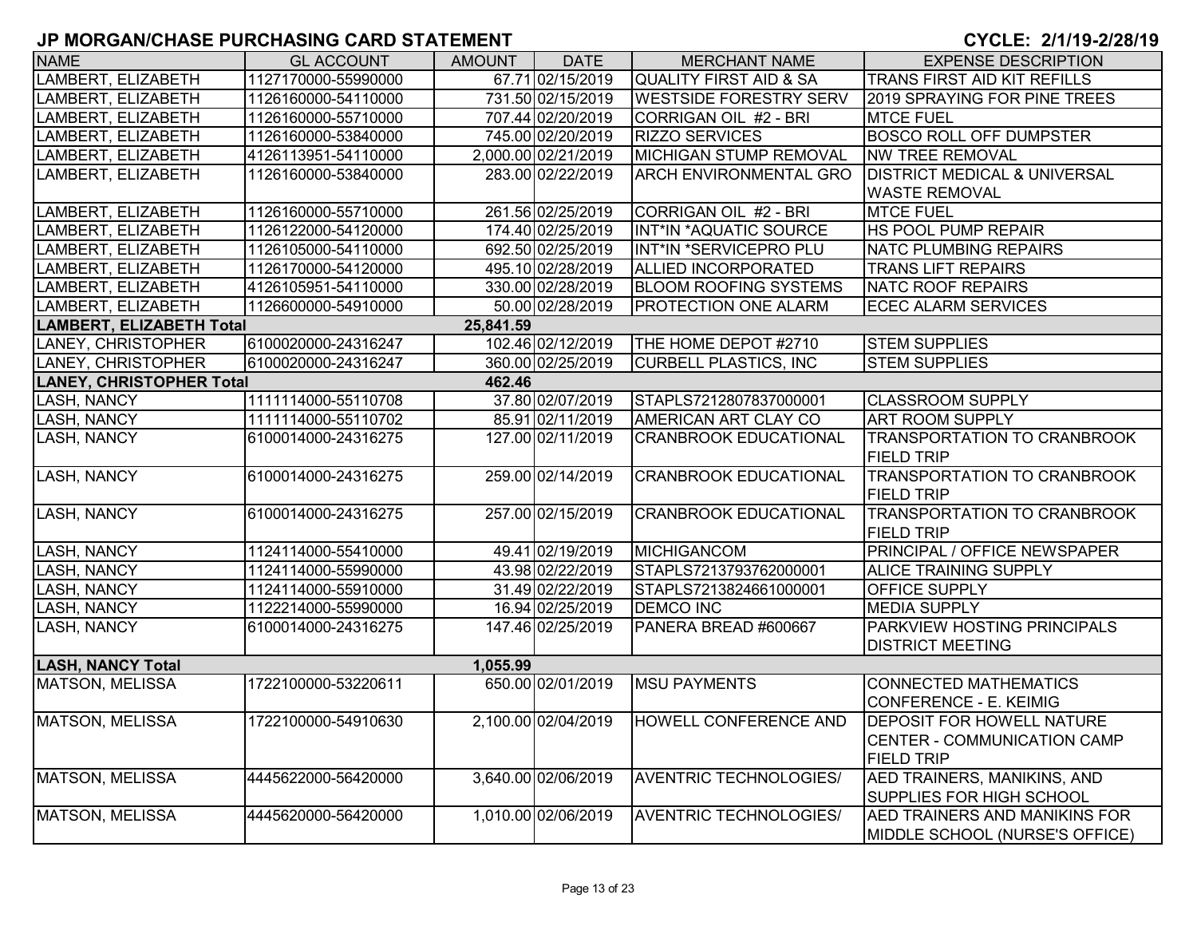| <b>NAME</b>                     | <b>GL ACCOUNT</b>   | <b>AMOUNT</b> | <b>DATE</b>         | <b>MERCHANT NAME</b>              | <b>EXPENSE DESCRIPTION</b>              |
|---------------------------------|---------------------|---------------|---------------------|-----------------------------------|-----------------------------------------|
| LAMBERT, ELIZABETH              | 1127170000-55990000 |               | 67.71 02/15/2019    | <b>QUALITY FIRST AID &amp; SA</b> | TRANS FIRST AID KIT REFILLS             |
| LAMBERT, ELIZABETH              | 1126160000-54110000 |               | 731.50 02/15/2019   | <b>WESTSIDE FORESTRY SERV</b>     | 2019 SPRAYING FOR PINE TREES            |
| LAMBERT, ELIZABETH              | 1126160000-55710000 |               | 707.44 02/20/2019   | CORRIGAN OIL #2 - BRI             | <b>MTCE FUEL</b>                        |
| LAMBERT, ELIZABETH              | 1126160000-53840000 |               | 745.00 02/20/2019   | <b>RIZZO SERVICES</b>             | <b>BOSCO ROLL OFF DUMPSTER</b>          |
| LAMBERT, ELIZABETH              | 4126113951-54110000 |               | 2,000.00 02/21/2019 | <b>MICHIGAN STUMP REMOVAL</b>     | <b>NW TREE REMOVAL</b>                  |
| LAMBERT, ELIZABETH              | 1126160000-53840000 |               | 283.00 02/22/2019   | ARCH ENVIRONMENTAL GRO            | <b>DISTRICT MEDICAL &amp; UNIVERSAL</b> |
|                                 |                     |               |                     |                                   | <b>WASTE REMOVAL</b>                    |
| LAMBERT, ELIZABETH              | 1126160000-55710000 |               | 261.56 02/25/2019   | CORRIGAN OIL #2 - BRI             | <b>MTCE FUEL</b>                        |
| LAMBERT, ELIZABETH              | 1126122000-54120000 |               | 174.40 02/25/2019   | <b>INT*IN *AQUATIC SOURCE</b>     | <b>HS POOL PUMP REPAIR</b>              |
| LAMBERT, ELIZABETH              | 1126105000-54110000 |               | 692.50 02/25/2019   | INT*IN *SERVICEPRO PLU            | <b>NATC PLUMBING REPAIRS</b>            |
| LAMBERT, ELIZABETH              | 1126170000-54120000 |               | 495.10 02/28/2019   | ALLIED INCORPORATED               | <b>TRANS LIFT REPAIRS</b>               |
| LAMBERT, ELIZABETH              | 4126105951-54110000 |               | 330.00 02/28/2019   | <b>BLOOM ROOFING SYSTEMS</b>      | <b>NATC ROOF REPAIRS</b>                |
| LAMBERT, ELIZABETH              | 1126600000-54910000 |               | 50.00 02/28/2019    | <b>PROTECTION ONE ALARM</b>       | <b>ECEC ALARM SERVICES</b>              |
| <b>LAMBERT, ELIZABETH Total</b> |                     | 25,841.59     |                     |                                   |                                         |
| LANEY, CHRISTOPHER              | 6100020000-24316247 |               | 102.46 02/12/2019   | THE HOME DEPOT #2710              | <b>STEM SUPPLIES</b>                    |
| LANEY, CHRISTOPHER              | 6100020000-24316247 |               | 360.00 02/25/2019   | <b>CURBELL PLASTICS, INC</b>      | <b>STEM SUPPLIES</b>                    |
| <b>LANEY, CHRISTOPHER Total</b> |                     | 462.46        |                     |                                   |                                         |
| <b>LASH, NANCY</b>              | 1111114000-55110708 |               | 37.80 02/07/2019    | STAPLS7212807837000001            | <b>CLASSROOM SUPPLY</b>                 |
| <b>LASH, NANCY</b>              | 1111114000-55110702 |               | 85.91 02/11/2019    | AMERICAN ART CLAY CO              | <b>ART ROOM SUPPLY</b>                  |
| <b>LASH, NANCY</b>              | 6100014000-24316275 |               | 127.00 02/11/2019   | <b>CRANBROOK EDUCATIONAL</b>      | <b>TRANSPORTATION TO CRANBROOK</b>      |
|                                 |                     |               |                     |                                   | <b>FIELD TRIP</b>                       |
| <b>LASH, NANCY</b>              | 6100014000-24316275 |               | 259.00 02/14/2019   | <b>CRANBROOK EDUCATIONAL</b>      | <b>TRANSPORTATION TO CRANBROOK</b>      |
|                                 |                     |               |                     |                                   | <b>FIELD TRIP</b>                       |
| <b>LASH, NANCY</b>              | 6100014000-24316275 |               | 257.00 02/15/2019   | <b>CRANBROOK EDUCATIONAL</b>      | <b>TRANSPORTATION TO CRANBROOK</b>      |
|                                 |                     |               |                     |                                   | <b>FIELD TRIP</b>                       |
| <b>LASH, NANCY</b>              | 1124114000-55410000 |               | 49.41 02/19/2019    | <b>MICHIGANCOM</b>                | <b>PRINCIPAL / OFFICE NEWSPAPER</b>     |
| <b>LASH, NANCY</b>              | 1124114000-55990000 |               | 43.98 02/22/2019    | STAPLS7213793762000001            | <b>ALICE TRAINING SUPPLY</b>            |
| <b>LASH, NANCY</b>              | 1124114000-55910000 |               | 31.49 02/22/2019    | STAPLS7213824661000001            | <b>OFFICE SUPPLY</b>                    |
| <b>LASH, NANCY</b>              | 1122214000-55990000 |               | 16.94 02/25/2019    | <b>DEMCO INC</b>                  | <b>MEDIA SUPPLY</b>                     |
| <b>LASH, NANCY</b>              | 6100014000-24316275 |               | 147.46 02/25/2019   | PANERA BREAD #600667              | <b>PARKVIEW HOSTING PRINCIPALS</b>      |
|                                 |                     |               |                     |                                   | <b>DISTRICT MEETING</b>                 |
| <b>LASH, NANCY Total</b>        |                     | 1,055.99      |                     |                                   |                                         |
| MATSON, MELISSA                 | 1722100000-53220611 |               | 650.00 02/01/2019   | <b>MSU PAYMENTS</b>               | CONNECTED MATHEMATICS                   |
|                                 |                     |               |                     |                                   | <b>CONFERENCE - E. KEIMIG</b>           |
| MATSON, MELISSA                 | 1722100000-54910630 |               | 2,100.00 02/04/2019 | HOWELL CONFERENCE AND             | <b>DEPOSIT FOR HOWELL NATURE</b>        |
|                                 |                     |               |                     |                                   | <b>CENTER - COMMUNICATION CAMP</b>      |
|                                 |                     |               |                     |                                   | <b>FIELD TRIP</b>                       |
| MATSON, MELISSA                 | 4445622000-56420000 |               | 3,640.00 02/06/2019 | <b>AVENTRIC TECHNOLOGIES/</b>     | AED TRAINERS, MANIKINS, AND             |
|                                 |                     |               |                     |                                   | SUPPLIES FOR HIGH SCHOOL                |
| MATSON, MELISSA                 | 4445620000-56420000 |               | 1,010.00 02/06/2019 | <b>AVENTRIC TECHNOLOGIES/</b>     | <b>AED TRAINERS AND MANIKINS FOR</b>    |
|                                 |                     |               |                     |                                   | MIDDLE SCHOOL (NURSE'S OFFICE)          |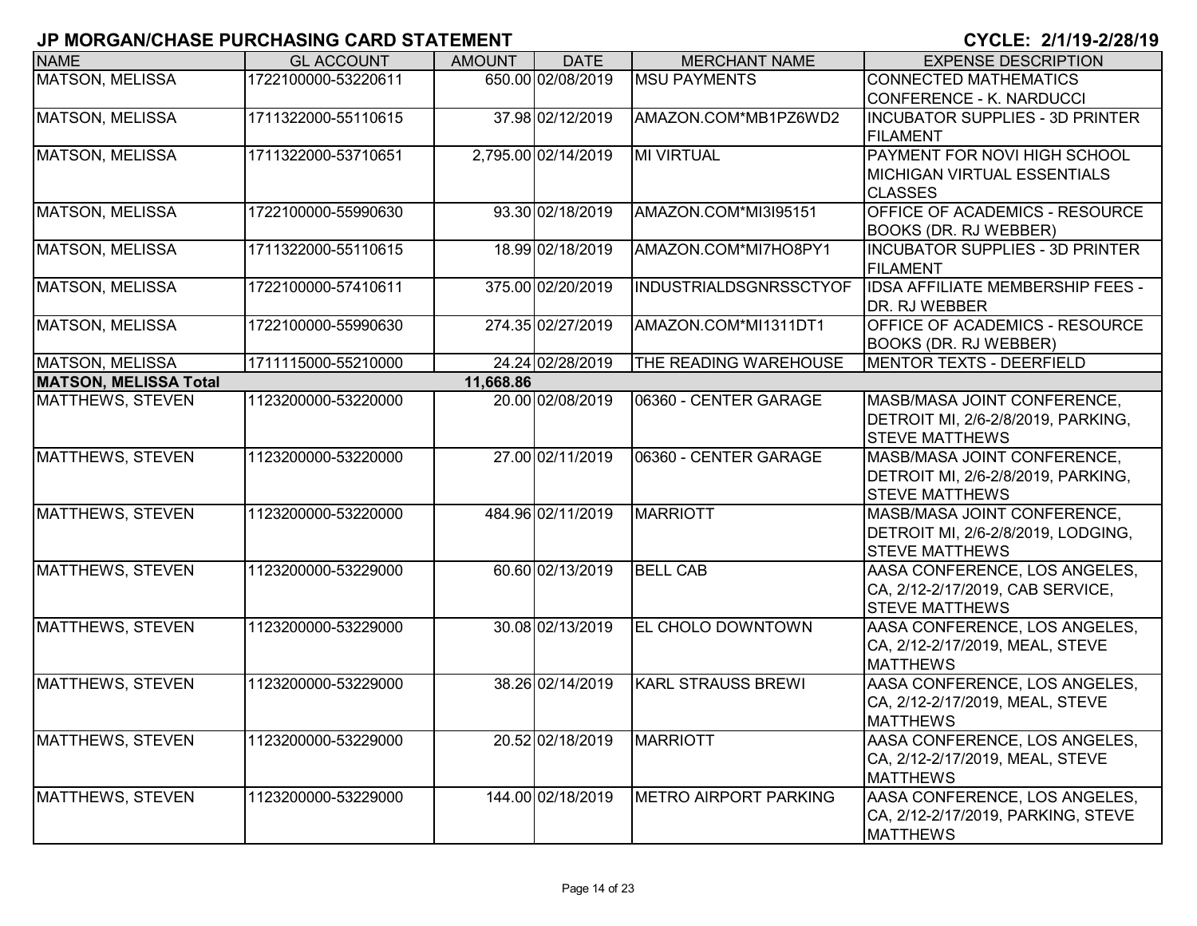| <b>NAME</b>                  | <b>GL ACCOUNT</b>   | <b>AMOUNT</b> | <b>DATE</b>         | <b>MERCHANT NAME</b>      | <b>EXPENSE DESCRIPTION</b>                                      |
|------------------------------|---------------------|---------------|---------------------|---------------------------|-----------------------------------------------------------------|
| <b>MATSON, MELISSA</b>       | 1722100000-53220611 |               | 650.00 02/08/2019   | <b>MSU PAYMENTS</b>       | <b>CONNECTED MATHEMATICS</b>                                    |
|                              |                     |               |                     |                           | <b>CONFERENCE - K. NARDUCCI</b>                                 |
| <b>MATSON, MELISSA</b>       | 1711322000-55110615 |               | 37.98 02/12/2019    | AMAZON.COM*MB1PZ6WD2      | <b>INCUBATOR SUPPLIES - 3D PRINTER</b>                          |
|                              |                     |               |                     |                           | <b>FILAMENT</b>                                                 |
| MATSON, MELISSA              | 1711322000-53710651 |               | 2,795.00 02/14/2019 | <b>MI VIRTUAL</b>         | PAYMENT FOR NOVI HIGH SCHOOL                                    |
|                              |                     |               |                     |                           | <b>MICHIGAN VIRTUAL ESSENTIALS</b>                              |
|                              |                     |               |                     | AMAZON.COM*MI3I95151      | <b>CLASSES</b>                                                  |
| <b>MATSON, MELISSA</b>       | 1722100000-55990630 |               | 93.30 02/18/2019    |                           | <b>OFFICE OF ACADEMICS - RESOURCE</b>                           |
| <b>MATSON, MELISSA</b>       | 1711322000-55110615 |               | 18.99 02/18/2019    | AMAZON.COM*MI7HO8PY1      | BOOKS (DR. RJ WEBBER)<br><b>INCUBATOR SUPPLIES - 3D PRINTER</b> |
|                              |                     |               |                     |                           | FILAMENT                                                        |
| <b>MATSON, MELISSA</b>       | 1722100000-57410611 |               | 375.00 02/20/2019   | INDUSTRIALDSGNRSSCTYOF    | <b>IDSA AFFILIATE MEMBERSHIP FEES -</b>                         |
|                              |                     |               |                     |                           | DR. RJ WEBBER                                                   |
| <b>MATSON, MELISSA</b>       | 1722100000-55990630 |               | 274.35 02/27/2019   | AMAZON.COM*MI1311DT1      | OFFICE OF ACADEMICS - RESOURCE                                  |
|                              |                     |               |                     |                           | <b>BOOKS (DR. RJ WEBBER)</b>                                    |
| MATSON, MELISSA              | 1711115000-55210000 |               | 24.24 02/28/2019    | THE READING WAREHOUSE     | MENTOR TEXTS - DEERFIELD                                        |
| <b>MATSON, MELISSA Total</b> |                     | 11,668.86     |                     |                           |                                                                 |
| MATTHEWS, STEVEN             | 1123200000-53220000 |               | 20.00 02/08/2019    | 06360 - CENTER GARAGE     | MASB/MASA JOINT CONFERENCE,                                     |
|                              |                     |               |                     |                           | DETROIT MI, 2/6-2/8/2019, PARKING,                              |
|                              |                     |               |                     |                           | <b>STEVE MATTHEWS</b>                                           |
| MATTHEWS, STEVEN             | 1123200000-53220000 |               | 27.00 02/11/2019    | 06360 - CENTER GARAGE     | MASB/MASA JOINT CONFERENCE,                                     |
|                              |                     |               |                     |                           | DETROIT MI, 2/6-2/8/2019, PARKING,                              |
|                              |                     |               |                     |                           | <b>STEVE MATTHEWS</b>                                           |
| MATTHEWS, STEVEN             | 1123200000-53220000 |               | 484.96 02/11/2019   | <b>MARRIOTT</b>           | MASB/MASA JOINT CONFERENCE,                                     |
|                              |                     |               |                     |                           | DETROIT MI, 2/6-2/8/2019, LODGING,                              |
|                              |                     |               |                     |                           | <b>STEVE MATTHEWS</b>                                           |
| MATTHEWS, STEVEN             | 1123200000-53229000 |               | 60.60 02/13/2019    | <b>BELL CAB</b>           | AASA CONFERENCE, LOS ANGELES,                                   |
|                              |                     |               |                     |                           | CA, 2/12-2/17/2019, CAB SERVICE,                                |
| MATTHEWS, STEVEN             | 1123200000-53229000 |               | 30.08 02/13/2019    | <b>EL CHOLO DOWNTOWN</b>  | <b>STEVE MATTHEWS</b><br>AASA CONFERENCE, LOS ANGELES,          |
|                              |                     |               |                     |                           | CA, 2/12-2/17/2019, MEAL, STEVE                                 |
|                              |                     |               |                     |                           | <b>MATTHEWS</b>                                                 |
| MATTHEWS, STEVEN             | 1123200000-53229000 |               | 38.26 02/14/2019    | <b>KARL STRAUSS BREWI</b> | AASA CONFERENCE, LOS ANGELES,                                   |
|                              |                     |               |                     |                           | CA, 2/12-2/17/2019, MEAL, STEVE                                 |
|                              |                     |               |                     |                           | <b>MATTHEWS</b>                                                 |
| MATTHEWS, STEVEN             | 1123200000-53229000 |               | 20.52 02/18/2019    | <b>MARRIOTT</b>           | AASA CONFERENCE, LOS ANGELES,                                   |
|                              |                     |               |                     |                           | CA, 2/12-2/17/2019, MEAL, STEVE                                 |
|                              |                     |               |                     |                           | <b>MATTHEWS</b>                                                 |
| <b>MATTHEWS, STEVEN</b>      | 1123200000-53229000 |               | 144.00 02/18/2019   | METRO AIRPORT PARKING     | AASA CONFERENCE, LOS ANGELES,                                   |
|                              |                     |               |                     |                           | CA, 2/12-2/17/2019, PARKING, STEVE                              |
|                              |                     |               |                     |                           | <b>MATTHEWS</b>                                                 |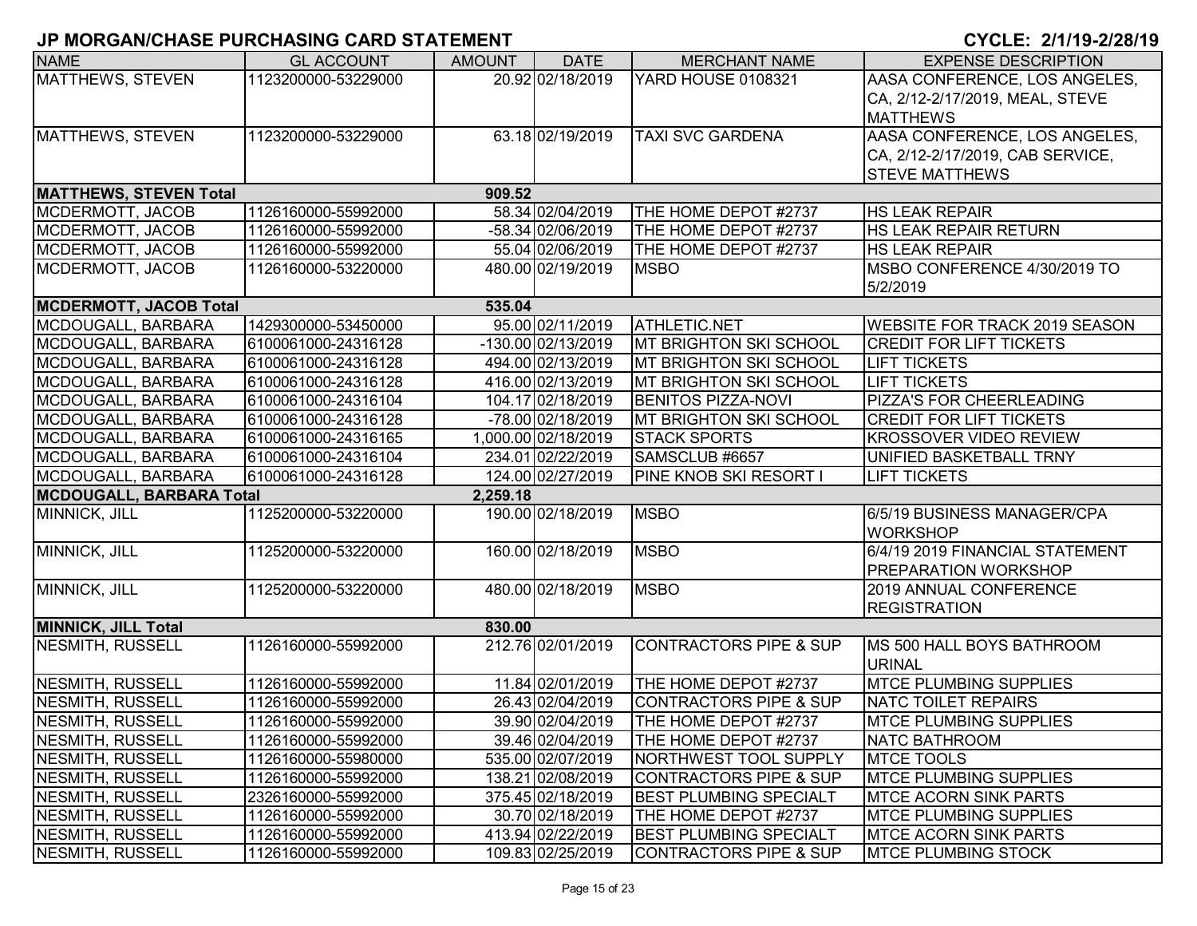| <b>NAME</b>                     | <b>GL ACCOUNT</b>   | <b>AMOUNT</b> | <b>DATE</b>          | <b>MERCHANT NAME</b>              | <b>EXPENSE DESCRIPTION</b>           |
|---------------------------------|---------------------|---------------|----------------------|-----------------------------------|--------------------------------------|
| <b>MATTHEWS, STEVEN</b>         | 1123200000-53229000 |               | 20.92 02/18/2019     | <b>YARD HOUSE 0108321</b>         | AASA CONFERENCE, LOS ANGELES,        |
|                                 |                     |               |                      |                                   | CA, 2/12-2/17/2019, MEAL, STEVE      |
|                                 |                     |               |                      |                                   | <b>MATTHEWS</b>                      |
| MATTHEWS, STEVEN                | 1123200000-53229000 |               | 63.18 02/19/2019     | <b>TAXI SVC GARDENA</b>           | AASA CONFERENCE, LOS ANGELES,        |
|                                 |                     |               |                      |                                   | CA, 2/12-2/17/2019, CAB SERVICE,     |
|                                 |                     |               |                      |                                   | <b>STEVE MATTHEWS</b>                |
| <b>MATTHEWS, STEVEN Total</b>   |                     | 909.52        |                      |                                   |                                      |
| MCDERMOTT, JACOB                | 1126160000-55992000 |               | 58.34 02/04/2019     | THE HOME DEPOT #2737              | <b>HS LEAK REPAIR</b>                |
| MCDERMOTT, JACOB                | 1126160000-55992000 |               | -58.34 02/06/2019    | THE HOME DEPOT #2737              | <b>HS LEAK REPAIR RETURN</b>         |
| MCDERMOTT, JACOB                | 1126160000-55992000 |               | 55.04 02/06/2019     | THE HOME DEPOT #2737              | <b>HS LEAK REPAIR</b>                |
| MCDERMOTT, JACOB                | 1126160000-53220000 |               | 480.00 02/19/2019    | <b>MSBO</b>                       | MSBO CONFERENCE 4/30/2019 TO         |
|                                 |                     |               |                      |                                   | 5/2/2019                             |
| <b>MCDERMOTT, JACOB Total</b>   |                     | 535.04        |                      |                                   |                                      |
| MCDOUGALL, BARBARA              | 1429300000-53450000 |               | 95.00 02/11/2019     | <b>ATHLETIC.NET</b>               | <b>WEBSITE FOR TRACK 2019 SEASON</b> |
| MCDOUGALL, BARBARA              | 6100061000-24316128 |               | $-130.00$ 02/13/2019 | <b>MT BRIGHTON SKI SCHOOL</b>     | <b>CREDIT FOR LIFT TICKETS</b>       |
| MCDOUGALL, BARBARA              | 6100061000-24316128 |               | 494.00 02/13/2019    | MT BRIGHTON SKI SCHOOL            | <b>LIFT TICKETS</b>                  |
| MCDOUGALL, BARBARA              | 6100061000-24316128 |               | 416.00 02/13/2019    | MT BRIGHTON SKI SCHOOL            | <b>LIFT TICKETS</b>                  |
| MCDOUGALL, BARBARA              | 6100061000-24316104 |               | 104.17 02/18/2019    | <b>BENITOS PIZZA-NOVI</b>         | PIZZA'S FOR CHEERLEADING             |
| MCDOUGALL, BARBARA              | 6100061000-24316128 |               | -78.00 02/18/2019    | MT BRIGHTON SKI SCHOOL            | <b>CREDIT FOR LIFT TICKETS</b>       |
| MCDOUGALL, BARBARA              | 6100061000-24316165 |               | 1,000.00 02/18/2019  | <b>STACK SPORTS</b>               | <b>KROSSOVER VIDEO REVIEW</b>        |
| MCDOUGALL, BARBARA              | 6100061000-24316104 |               | 234.01 02/22/2019    | SAMSCLUB #6657                    | UNIFIED BASKETBALL TRNY              |
| MCDOUGALL, BARBARA              | 6100061000-24316128 |               | 124.00 02/27/2019    | PINE KNOB SKI RESORT I            | <b>LIFT TICKETS</b>                  |
| <b>MCDOUGALL, BARBARA Total</b> |                     | 2,259.18      |                      |                                   |                                      |
| MINNICK, JILL                   | 1125200000-53220000 |               | 190.00 02/18/2019    | <b>MSBO</b>                       | 6/5/19 BUSINESS MANAGER/CPA          |
|                                 |                     |               |                      |                                   | <b>WORKSHOP</b>                      |
| MINNICK, JILL                   | 1125200000-53220000 |               | 160.00 02/18/2019    | <b>MSBO</b>                       | 6/4/19 2019 FINANCIAL STATEMENT      |
|                                 |                     |               |                      |                                   | <b>PREPARATION WORKSHOP</b>          |
| MINNICK, JILL                   | 1125200000-53220000 |               | 480.00 02/18/2019    | <b>MSBO</b>                       | 2019 ANNUAL CONFERENCE               |
|                                 |                     |               |                      |                                   | <b>REGISTRATION</b>                  |
| <b>MINNICK, JILL Total</b>      |                     | 830.00        |                      |                                   |                                      |
| NESMITH, RUSSELL                | 1126160000-55992000 |               | 212.76 02/01/2019    | <b>CONTRACTORS PIPE &amp; SUP</b> | MS 500 HALL BOYS BATHROOM            |
|                                 |                     |               |                      |                                   | URINAL                               |
| <b>NESMITH, RUSSELL</b>         | 1126160000-55992000 |               | 11.84 02/01/2019     | THE HOME DEPOT #2737              | <b>MTCE PLUMBING SUPPLIES</b>        |
| NESMITH, RUSSELL                | 1126160000-55992000 |               | 26.43 02/04/2019     | <b>CONTRACTORS PIPE &amp; SUP</b> | NATC TOILET REPAIRS                  |
| NESMITH, RUSSELL                | 1126160000-55992000 |               | 39.90 02/04/2019     | THE HOME DEPOT #2737              | <b>MTCE PLUMBING SUPPLIES</b>        |
| <b>NESMITH, RUSSELL</b>         | 1126160000-55992000 |               | 39.46 02/04/2019     | THE HOME DEPOT #2737              | NATC BATHROOM                        |
| <b>NESMITH, RUSSELL</b>         | 1126160000-55980000 |               | 535.00 02/07/2019    | <b>NORTHWEST TOOL SUPPLY</b>      | <b>MTCE TOOLS</b>                    |
| NESMITH, RUSSELL                | 1126160000-55992000 |               | 138.21 02/08/2019    | <b>CONTRACTORS PIPE &amp; SUP</b> | <b>MTCE PLUMBING SUPPLIES</b>        |
| NESMITH, RUSSELL                | 2326160000-55992000 |               | 375.45 02/18/2019    | <b>BEST PLUMBING SPECIALT</b>     | <b>MTCE ACORN SINK PARTS</b>         |
| NESMITH, RUSSELL                | 1126160000-55992000 |               | 30.70 02/18/2019     | THE HOME DEPOT #2737              | <b>MTCE PLUMBING SUPPLIES</b>        |
| NESMITH, RUSSELL                | 1126160000-55992000 |               | 413.94 02/22/2019    | <b>BEST PLUMBING SPECIALT</b>     | <b>IMTCE ACORN SINK PARTS</b>        |
| NESMITH, RUSSELL                | 1126160000-55992000 |               | 109.83 02/25/2019    | <b>CONTRACTORS PIPE &amp; SUP</b> | <b>MTCE PLUMBING STOCK</b>           |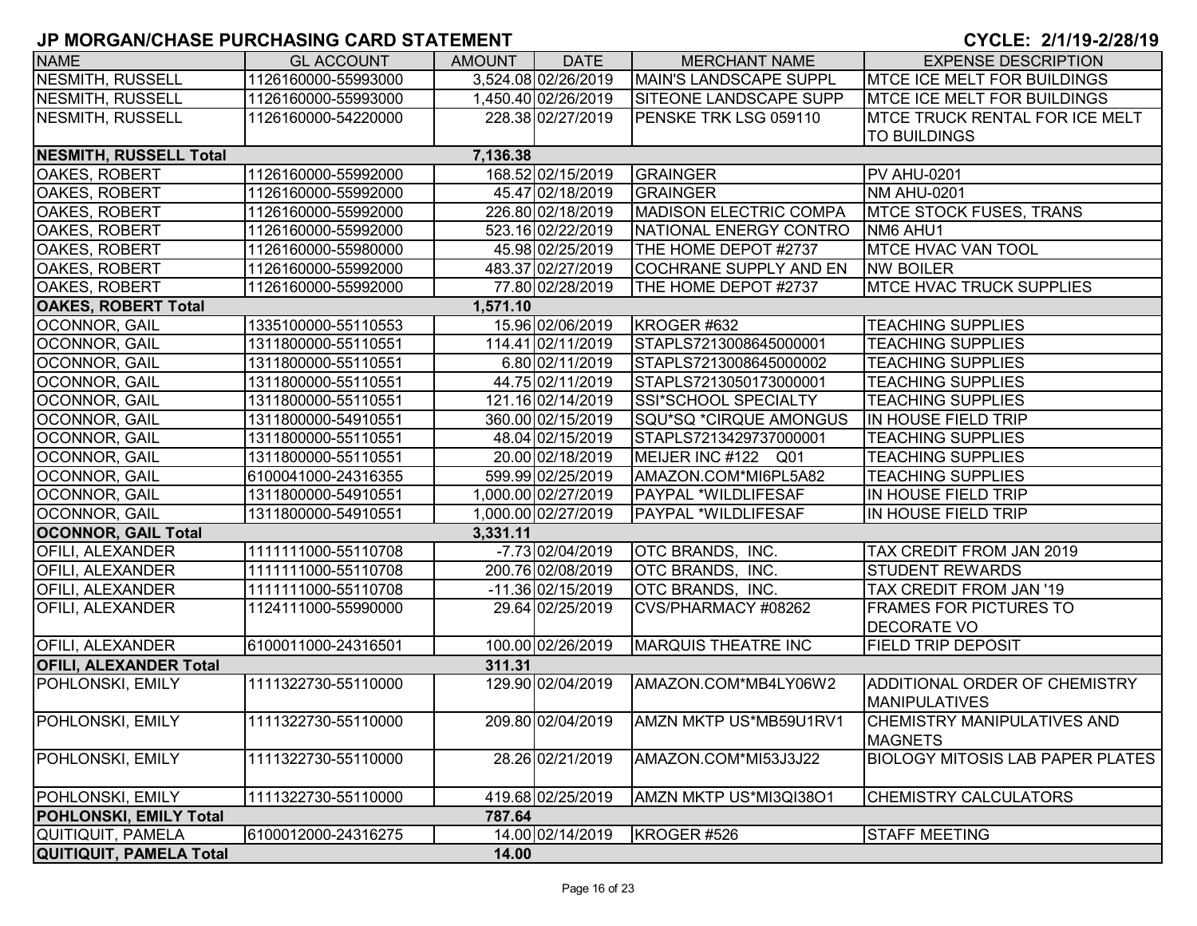| <b>NAME</b>                   | <b>GL ACCOUNT</b>   | <b>AMOUNT</b> | <b>DATE</b>         | <b>MERCHANT NAME</b>          | <b>EXPENSE DESCRIPTION</b>              |
|-------------------------------|---------------------|---------------|---------------------|-------------------------------|-----------------------------------------|
| <b>NESMITH, RUSSELL</b>       | 1126160000-55993000 |               | 3,524.08 02/26/2019 | MAIN'S LANDSCAPE SUPPL        | <b>MTCE ICE MELT FOR BUILDINGS</b>      |
| <b>NESMITH, RUSSELL</b>       | 1126160000-55993000 |               | 1,450.40 02/26/2019 | <b>SITEONE LANDSCAPE SUPP</b> | <b>MTCE ICE MELT FOR BUILDINGS</b>      |
| NESMITH, RUSSELL              | 1126160000-54220000 |               | 228.38 02/27/2019   | PENSKE TRK LSG 059110         | <b>IMTCE TRUCK RENTAL FOR ICE MELT</b>  |
|                               |                     |               |                     |                               | <b>TO BUILDINGS</b>                     |
| <b>NESMITH, RUSSELL Total</b> |                     | 7,136.38      |                     |                               |                                         |
| OAKES, ROBERT                 | 1126160000-55992000 |               | 168.52 02/15/2019   | <b>GRAINGER</b>               | <b>PV AHU-0201</b>                      |
| <b>OAKES, ROBERT</b>          | 1126160000-55992000 |               | 45.47 02/18/2019    | <b>GRAINGER</b>               | <b>NM AHU-0201</b>                      |
| OAKES, ROBERT                 | 1126160000-55992000 |               | 226.80 02/18/2019   | <b>MADISON ELECTRIC COMPA</b> | <b>MTCE STOCK FUSES, TRANS</b>          |
| OAKES, ROBERT                 | 1126160000-55992000 |               | 523.16 02/22/2019   | NATIONAL ENERGY CONTRO        | NM6 AHU1                                |
| OAKES, ROBERT                 | 1126160000-55980000 |               | 45.98 02/25/2019    | THE HOME DEPOT #2737          | <b>MTCE HVAC VAN TOOL</b>               |
| OAKES, ROBERT                 | 1126160000-55992000 |               | 483.37 02/27/2019   | COCHRANE SUPPLY AND EN        | <b>NW BOILER</b>                        |
| OAKES, ROBERT                 | 1126160000-55992000 |               | 77.80 02/28/2019    | THE HOME DEPOT #2737          | <b>MTCE HVAC TRUCK SUPPLIES</b>         |
| <b>OAKES, ROBERT Total</b>    |                     | 1,571.10      |                     |                               |                                         |
| OCONNOR, GAIL                 | 1335100000-55110553 |               | 15.96 02/06/2019    | KROGER #632                   | <b>TEACHING SUPPLIES</b>                |
| OCONNOR, GAIL                 | 1311800000-55110551 |               | 114.41 02/11/2019   | STAPLS7213008645000001        | <b>TEACHING SUPPLIES</b>                |
| OCONNOR, GAIL                 | 1311800000-55110551 |               | 6.80 02/11/2019     | STAPLS7213008645000002        | <b>TEACHING SUPPLIES</b>                |
| OCONNOR, GAIL                 | 1311800000-55110551 |               | 44.75 02/11/2019    | STAPLS7213050173000001        | <b>TEACHING SUPPLIES</b>                |
| OCONNOR, GAIL                 | 1311800000-55110551 |               | 121.16 02/14/2019   | SSI*SCHOOL SPECIALTY          | <b>TEACHING SUPPLIES</b>                |
| OCONNOR, GAIL                 | 1311800000-54910551 |               | 360.00 02/15/2019   | SQU*SQ *CIRQUE AMONGUS        | IN HOUSE FIELD TRIP                     |
| OCONNOR, GAIL                 | 1311800000-55110551 |               | 48.04 02/15/2019    | STAPLS7213429737000001        | <b>TEACHING SUPPLIES</b>                |
| <b>OCONNOR, GAIL</b>          | 1311800000-55110551 |               | 20.00 02/18/2019    | MEIJER INC #122 Q01           | <b>TEACHING SUPPLIES</b>                |
| <b>OCONNOR, GAIL</b>          | 6100041000-24316355 |               | 599.99 02/25/2019   | AMAZON.COM*MI6PL5A82          | <b>TEACHING SUPPLIES</b>                |
| <b>OCONNOR, GAIL</b>          | 1311800000-54910551 |               | 1.000.00 02/27/2019 | <b>PAYPAL *WILDLIFESAF</b>    | IN HOUSE FIELD TRIP                     |
| OCONNOR, GAIL                 | 1311800000-54910551 |               | 1,000.00 02/27/2019 | PAYPAL *WILDLIFESAF           | IN HOUSE FIELD TRIP                     |
| <b>OCONNOR, GAIL Total</b>    |                     | 3,331.11      |                     |                               |                                         |
| <b>OFILI, ALEXANDER</b>       | 1111111000-55110708 |               | $-7.73$ 02/04/2019  | OTC BRANDS, INC.              | TAX CREDIT FROM JAN 2019                |
| <b>OFILI, ALEXANDER</b>       | 1111111000-55110708 |               | 200.76 02/08/2019   | <b>OTC BRANDS, INC.</b>       | <b>STUDENT REWARDS</b>                  |
| <b>OFILI, ALEXANDER</b>       | 1111111000-55110708 |               | -11.36 02/15/2019   | OTC BRANDS, INC.              | TAX CREDIT FROM JAN '19                 |
| <b>OFILI, ALEXANDER</b>       | 1124111000-55990000 |               | 29.64 02/25/2019    | CVS/PHARMACY #08262           | <b>FRAMES FOR PICTURES TO</b>           |
|                               |                     |               |                     |                               | <b>DECORATE VO</b>                      |
| <b>OFILI, ALEXANDER</b>       | 6100011000-24316501 |               | 100.00 02/26/2019   | <b>MARQUIS THEATRE INC</b>    | <b>FIELD TRIP DEPOSIT</b>               |
| <b>OFILI, ALEXANDER Total</b> |                     | 311.31        |                     |                               |                                         |
| POHLONSKI, EMILY              | 1111322730-55110000 |               | 129.90 02/04/2019   | AMAZON.COM*MB4LY06W2          | ADDITIONAL ORDER OF CHEMISTRY           |
|                               |                     |               |                     |                               | <b>MANIPULATIVES</b>                    |
| POHLONSKI, EMILY              | 1111322730-55110000 |               | 209.80 02/04/2019   | AMZN MKTP US*MB59U1RV1        | <b>ICHEMISTRY MANIPULATIVES AND</b>     |
|                               |                     |               |                     |                               | <b>MAGNETS</b>                          |
| POHLONSKI, EMILY              | 1111322730-55110000 |               | 28.26 02/21/2019    | AMAZON.COM*MI53J3J22          | <b>BIOLOGY MITOSIS LAB PAPER PLATES</b> |
|                               |                     |               |                     |                               |                                         |
| POHLONSKI, EMILY              | 1111322730-55110000 |               | 419.68 02/25/2019   | AMZN MKTP US*MI3QI38O1        | <b>CHEMISTRY CALCULATORS</b>            |
| POHLONSKI, EMILY Total        |                     | 787.64        |                     |                               |                                         |
| QUITIQUIT, PAMELA             | 6100012000-24316275 |               | 14.00 02/14/2019    | KROGER #526                   | <b>STAFF MEETING</b>                    |
| QUITIQUIT, PAMELA Total       |                     | 14.00         |                     |                               |                                         |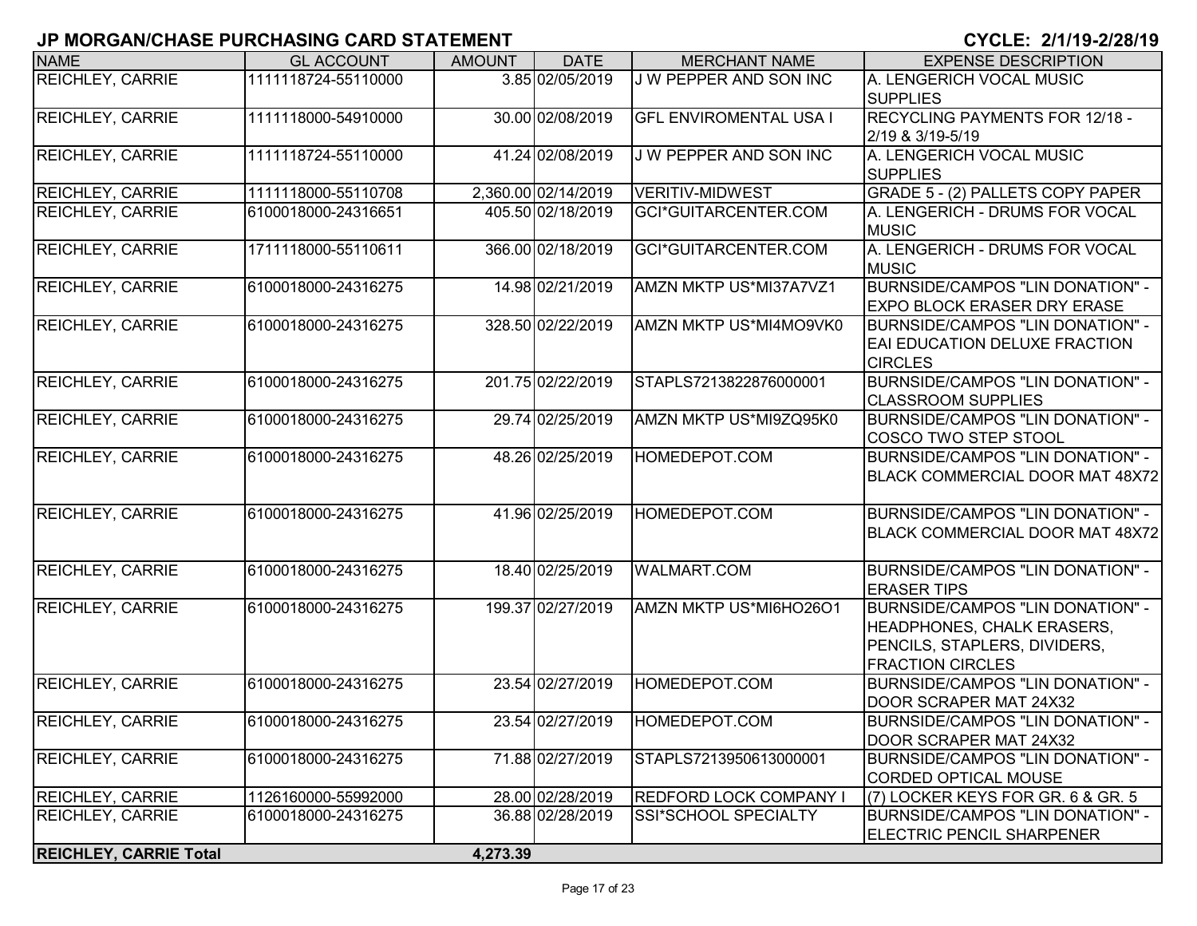| <b>NAME</b>                   | <b>GL ACCOUNT</b>   | <b>AMOUNT</b> | <b>DATE</b>         | <b>MERCHANT NAME</b>          | <b>EXPENSE DESCRIPTION</b>                                                                                                       |
|-------------------------------|---------------------|---------------|---------------------|-------------------------------|----------------------------------------------------------------------------------------------------------------------------------|
| <b>REICHLEY, CARRIE</b>       | 1111118724-55110000 |               | 3.85 02/05/2019     | <b>J W PEPPER AND SON INC</b> | A. LENGERICH VOCAL MUSIC<br><b>SUPPLIES</b>                                                                                      |
| <b>REICHLEY, CARRIE</b>       | 1111118000-54910000 |               | 30.00 02/08/2019    | <b>GFL ENVIROMENTAL USA I</b> | RECYCLING PAYMENTS FOR 12/18 -<br>2/19 & 3/19-5/19                                                                               |
| <b>REICHLEY, CARRIE</b>       | 1111118724-55110000 |               | 41.24 02/08/2019    | J W PEPPER AND SON INC        | A. LENGERICH VOCAL MUSIC<br><b>SUPPLIES</b>                                                                                      |
| <b>REICHLEY, CARRIE</b>       | 1111118000-55110708 |               | 2,360.00 02/14/2019 | <b>VERITIV-MIDWEST</b>        | GRADE 5 - (2) PALLETS COPY PAPER                                                                                                 |
| <b>REICHLEY, CARRIE</b>       | 6100018000-24316651 |               | 405.50 02/18/2019   | GCI*GUITARCENTER.COM          | A. LENGERICH - DRUMS FOR VOCAL<br><b>MUSIC</b>                                                                                   |
| <b>REICHLEY, CARRIE</b>       | 1711118000-55110611 |               | 366.00 02/18/2019   | GCI*GUITARCENTER.COM          | A. LENGERICH - DRUMS FOR VOCAL<br><b>MUSIC</b>                                                                                   |
| <b>REICHLEY, CARRIE</b>       | 6100018000-24316275 |               | 14.98 02/21/2019    | AMZN MKTP US*MI37A7VZ1        | <b>BURNSIDE/CAMPOS "LIN DONATION" -</b><br><b>EXPO BLOCK ERASER DRY ERASE</b>                                                    |
| <b>REICHLEY, CARRIE</b>       | 6100018000-24316275 |               | 328.50 02/22/2019   | AMZN MKTP US*MI4MO9VK0        | BURNSIDE/CAMPOS "LIN DONATION" -<br>EAI EDUCATION DELUXE FRACTION<br><b>CIRCLES</b>                                              |
| <b>REICHLEY, CARRIE</b>       | 6100018000-24316275 |               | 201.75 02/22/2019   | STAPLS7213822876000001        | BURNSIDE/CAMPOS "LIN DONATION" -<br><b>CLASSROOM SUPPLIES</b>                                                                    |
| <b>REICHLEY, CARRIE</b>       | 6100018000-24316275 |               | 29.74 02/25/2019    | AMZN MKTP US*MI9ZQ95K0        | BURNSIDE/CAMPOS "LIN DONATION" -<br>COSCO TWO STEP STOOL                                                                         |
| <b>REICHLEY, CARRIE</b>       | 6100018000-24316275 |               | 48.26 02/25/2019    | HOMEDEPOT.COM                 | BURNSIDE/CAMPOS "LIN DONATION" -<br>BLACK COMMERCIAL DOOR MAT 48X72                                                              |
| <b>REICHLEY, CARRIE</b>       | 6100018000-24316275 |               | 41.96 02/25/2019    | HOMEDEPOT.COM                 | BURNSIDE/CAMPOS "LIN DONATION" -<br>BLACK COMMERCIAL DOOR MAT 48X72                                                              |
| <b>REICHLEY, CARRIE</b>       | 6100018000-24316275 |               | 18.40 02/25/2019    | <b>WALMART.COM</b>            | BURNSIDE/CAMPOS "LIN DONATION" -<br><b>ERASER TIPS</b>                                                                           |
| <b>REICHLEY, CARRIE</b>       | 6100018000-24316275 |               | 199.37 02/27/2019   | AMZN MKTP US*MI6HO26O1        | BURNSIDE/CAMPOS "LIN DONATION" -<br><b>HEADPHONES, CHALK ERASERS,</b><br>PENCILS, STAPLERS, DIVIDERS,<br><b>FRACTION CIRCLES</b> |
| <b>REICHLEY, CARRIE</b>       | 6100018000-24316275 |               | 23.54 02/27/2019    | HOMEDEPOT.COM                 | BURNSIDE/CAMPOS "LIN DONATION" -<br>DOOR SCRAPER MAT 24X32                                                                       |
| <b>REICHLEY, CARRIE</b>       | 6100018000-24316275 |               | 23.54 02/27/2019    | HOMEDEPOT.COM                 | BURNSIDE/CAMPOS "LIN DONATION" -<br>DOOR SCRAPER MAT 24X32                                                                       |
| <b>REICHLEY, CARRIE</b>       | 6100018000-24316275 |               | 71.88 02/27/2019    | STAPLS7213950613000001        | BURNSIDE/CAMPOS "LIN DONATION" -<br>CORDED OPTICAL MOUSE                                                                         |
| <b>REICHLEY, CARRIE</b>       | 1126160000-55992000 |               | 28.00 02/28/2019    | <b>REDFORD LOCK COMPANY I</b> | (7) LOCKER KEYS FOR GR. 6 & GR. 5                                                                                                |
| <b>REICHLEY, CARRIE</b>       | 6100018000-24316275 |               | 36.88 02/28/2019    | SSI*SCHOOL SPECIALTY          | BURNSIDE/CAMPOS "LIN DONATION" -<br><b>ELECTRIC PENCIL SHARPENER</b>                                                             |
| <b>REICHLEY, CARRIE Total</b> |                     | 4,273.39      |                     |                               |                                                                                                                                  |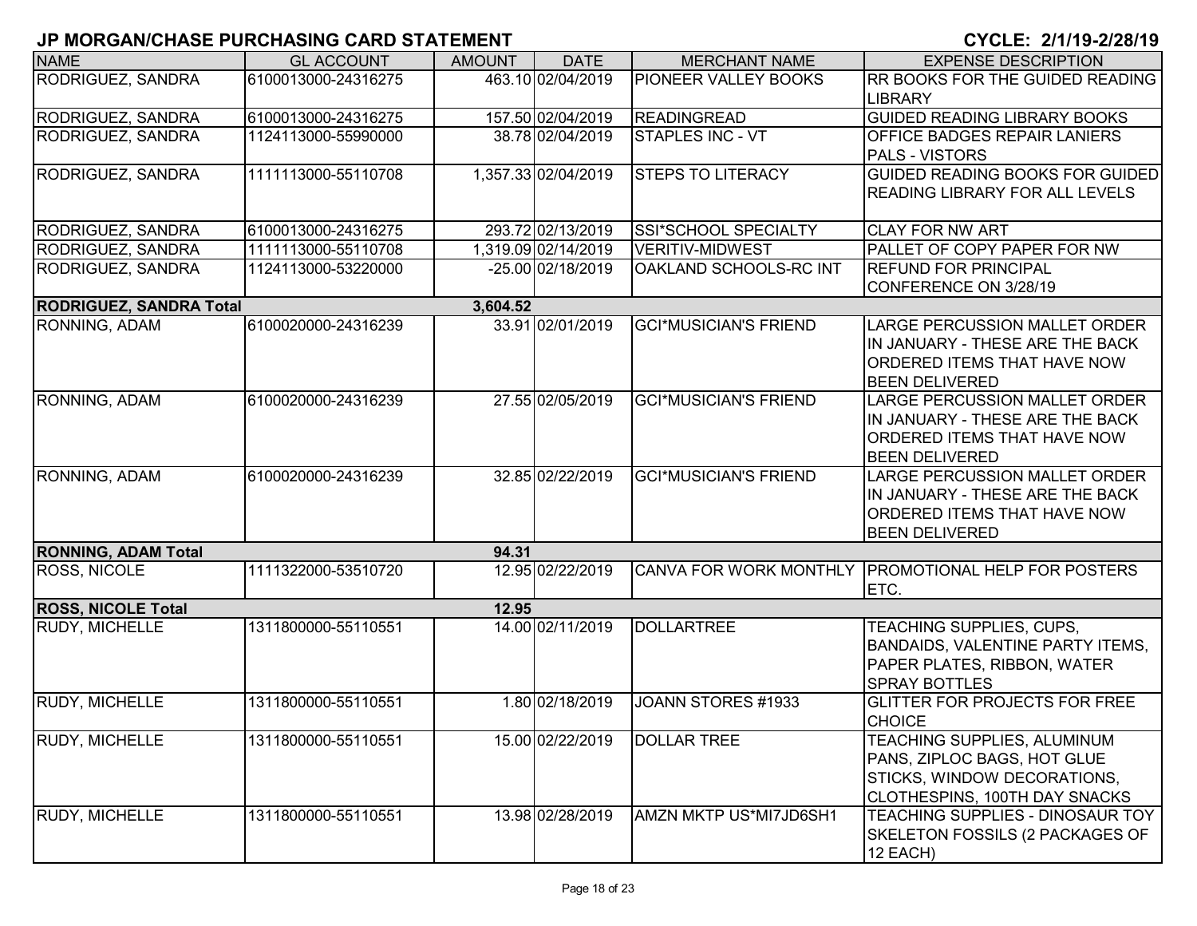| <b>NAME</b>                    | <b>GL ACCOUNT</b>   | <b>AMOUNT</b> | <b>DATE</b>         | <b>MERCHANT NAME</b>         | <b>EXPENSE DESCRIPTION</b>                                    |
|--------------------------------|---------------------|---------------|---------------------|------------------------------|---------------------------------------------------------------|
| RODRIGUEZ, SANDRA              | 6100013000-24316275 |               | 463.10 02/04/2019   | <b>PIONEER VALLEY BOOKS</b>  | <b>RR BOOKS FOR THE GUIDED READING</b>                        |
|                                |                     |               |                     |                              | <b>LIBRARY</b>                                                |
| RODRIGUEZ, SANDRA              | 6100013000-24316275 |               | 157.50 02/04/2019   | <b>READINGREAD</b>           | <b>GUIDED READING LIBRARY BOOKS</b>                           |
| RODRIGUEZ, SANDRA              | 1124113000-55990000 |               | 38.78 02/04/2019    | <b>STAPLES INC - VT</b>      | <b>OFFICE BADGES REPAIR LANIERS</b>                           |
|                                |                     |               |                     |                              | <b>PALS - VISTORS</b>                                         |
| RODRIGUEZ, SANDRA              | 1111113000-55110708 |               | 1,357.33 02/04/2019 | <b>STEPS TO LITERACY</b>     | GUIDED READING BOOKS FOR GUIDED                               |
|                                |                     |               |                     |                              | <b>READING LIBRARY FOR ALL LEVELS</b>                         |
| RODRIGUEZ, SANDRA              | 6100013000-24316275 |               | 293.72 02/13/2019   | SSI*SCHOOL SPECIALTY         | <b>CLAY FOR NW ART</b>                                        |
| RODRIGUEZ, SANDRA              | 1111113000-55110708 |               | 1,319.09 02/14/2019 | <b>VERITIV-MIDWEST</b>       | <b>PALLET OF COPY PAPER FOR NW</b>                            |
| <b>RODRIGUEZ, SANDRA</b>       | 1124113000-53220000 |               | -25.00 02/18/2019   | OAKLAND SCHOOLS-RC INT       | <b>REFUND FOR PRINCIPAL</b>                                   |
|                                |                     |               |                     |                              | CONFERENCE ON 3/28/19                                         |
| <b>RODRIGUEZ, SANDRA Total</b> |                     | 3,604.52      |                     |                              |                                                               |
| RONNING, ADAM                  | 6100020000-24316239 |               | 33.91 02/01/2019    | <b>GCI*MUSICIAN'S FRIEND</b> | <b>LARGE PERCUSSION MALLET ORDER</b>                          |
|                                |                     |               |                     |                              | IIN JANUARY - THESE ARE THE BACK                              |
|                                |                     |               |                     |                              | <b>ORDERED ITEMS THAT HAVE NOW</b>                            |
|                                |                     |               |                     |                              | <b>BEEN DELIVERED</b>                                         |
| RONNING, ADAM                  | 6100020000-24316239 |               | 27.55 02/05/2019    | <b>GCI*MUSICIAN'S FRIEND</b> | <b>LARGE PERCUSSION MALLET ORDER</b>                          |
|                                |                     |               |                     |                              | IN JANUARY - THESE ARE THE BACK                               |
|                                |                     |               |                     |                              | ORDERED ITEMS THAT HAVE NOW                                   |
|                                |                     |               | 32.85 02/22/2019    | <b>GCI*MUSICIAN'S FRIEND</b> | <b>BEEN DELIVERED</b><br><b>LARGE PERCUSSION MALLET ORDER</b> |
| RONNING, ADAM                  | 6100020000-24316239 |               |                     |                              | IN JANUARY - THESE ARE THE BACK                               |
|                                |                     |               |                     |                              | <b>ORDERED ITEMS THAT HAVE NOW</b>                            |
|                                |                     |               |                     |                              | <b>BEEN DELIVERED</b>                                         |
| <b>RONNING, ADAM Total</b>     |                     | 94.31         |                     |                              |                                                               |
| <b>ROSS, NICOLE</b>            | 1111322000-53510720 |               | 12.95 02/22/2019    |                              | CANVA FOR WORK MONTHLY PROMOTIONAL HELP FOR POSTERS           |
|                                |                     |               |                     |                              | ETC.                                                          |
| <b>ROSS, NICOLE Total</b>      |                     | 12.95         |                     |                              |                                                               |
| <b>RUDY, MICHELLE</b>          | 1311800000-55110551 |               | 14.00 02/11/2019    | <b>DOLLARTREE</b>            | TEACHING SUPPLIES, CUPS,                                      |
|                                |                     |               |                     |                              | <b>BANDAIDS, VALENTINE PARTY ITEMS,</b>                       |
|                                |                     |               |                     |                              | PAPER PLATES, RIBBON, WATER                                   |
|                                |                     |               |                     |                              | <b>SPRAY BOTTLES</b>                                          |
| <b>RUDY, MICHELLE</b>          | 1311800000-55110551 |               | 1.80 02/18/2019     | JOANN STORES #1933           | <b>GLITTER FOR PROJECTS FOR FREE</b>                          |
|                                |                     |               |                     |                              | <b>CHOICE</b>                                                 |
| <b>RUDY, MICHELLE</b>          | 1311800000-55110551 |               | 15.00 02/22/2019    | <b>DOLLAR TREE</b>           | <b>TEACHING SUPPLIES, ALUMINUM</b>                            |
|                                |                     |               |                     |                              | PANS, ZIPLOC BAGS, HOT GLUE                                   |
|                                |                     |               |                     |                              | STICKS, WINDOW DECORATIONS,                                   |
|                                |                     |               |                     |                              | <b>CLOTHESPINS, 100TH DAY SNACKS</b>                          |
| RUDY, MICHELLE                 | 1311800000-55110551 |               | 13.98 02/28/2019    | AMZN MKTP US*MI7JD6SH1       | TEACHING SUPPLIES - DINOSAUR TOY                              |
|                                |                     |               |                     |                              | SKELETON FOSSILS (2 PACKAGES OF                               |
|                                |                     |               |                     |                              | 12 EACH)                                                      |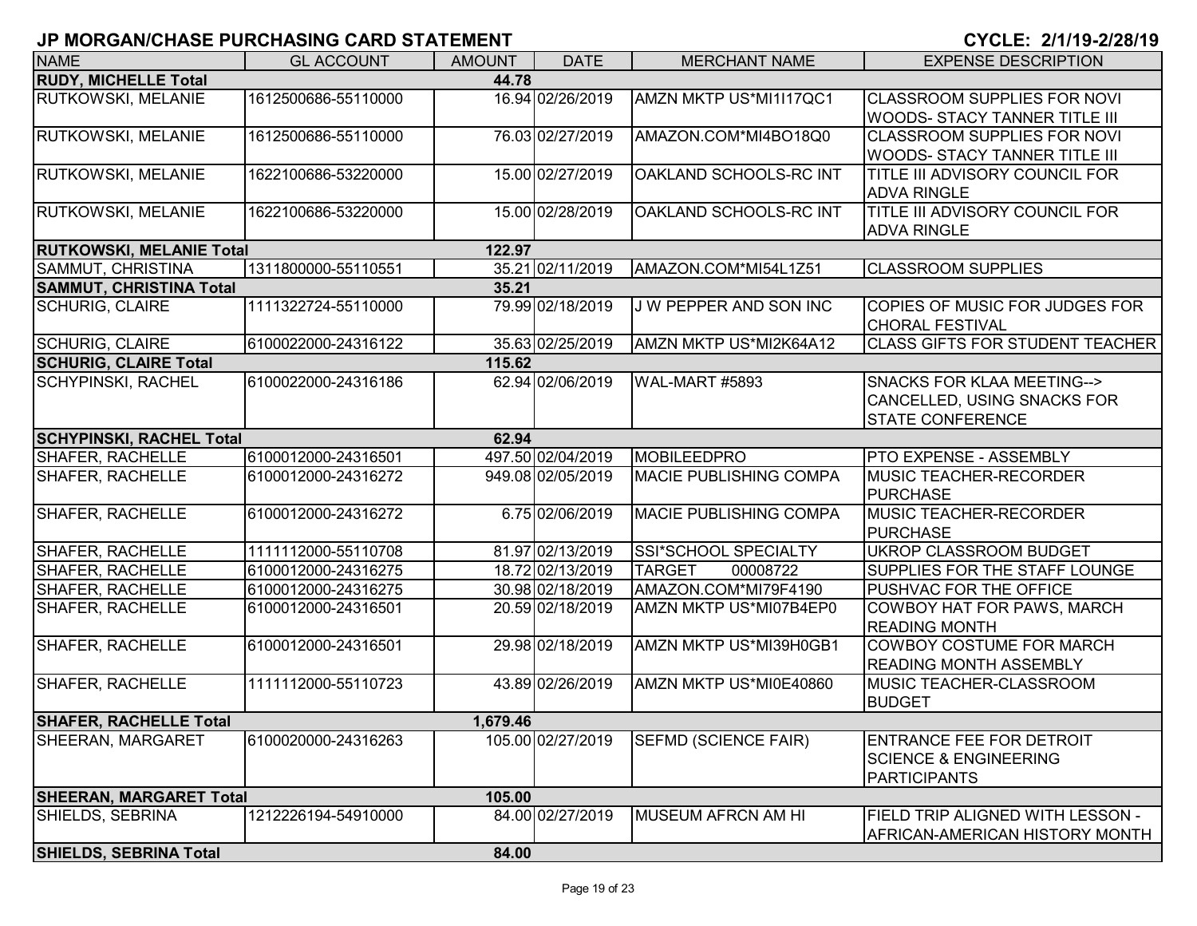| <b>NAME</b>                          | <b>GL ACCOUNT</b>                          | <b>AMOUNT</b> | <b>DATE</b>                          | <b>MERCHANT NAME</b>                              | <b>EXPENSE DESCRIPTION</b>                                     |
|--------------------------------------|--------------------------------------------|---------------|--------------------------------------|---------------------------------------------------|----------------------------------------------------------------|
| <b>RUDY, MICHELLE Total</b>          |                                            | 44.78         |                                      |                                                   |                                                                |
| <b>RUTKOWSKI, MELANIE</b>            | 1612500686-55110000                        |               | 16.94 02/26/2019                     | AMZN MKTP US*MI1I17QC1                            | <b>CLASSROOM SUPPLIES FOR NOVI</b>                             |
|                                      |                                            |               |                                      |                                                   | <b>WOODS- STACY TANNER TITLE III</b>                           |
| RUTKOWSKI, MELANIE                   | 1612500686-55110000                        |               | 76.03 02/27/2019                     | AMAZON.COM*MI4BO18Q0                              | <b>CLASSROOM SUPPLIES FOR NOVI</b>                             |
|                                      |                                            |               |                                      |                                                   | <b>WOODS- STACY TANNER TITLE III</b>                           |
| <b>RUTKOWSKI, MELANIE</b>            | 1622100686-53220000                        |               | 15.00 02/27/2019                     | OAKLAND SCHOOLS-RC INT                            | TITLE III ADVISORY COUNCIL FOR                                 |
|                                      |                                            |               |                                      |                                                   | <b>ADVA RINGLE</b>                                             |
| <b>RUTKOWSKI, MELANIE</b>            | 1622100686-53220000                        |               | 15.00 02/28/2019                     | OAKLAND SCHOOLS-RC INT                            | <b>TITLE III ADVISORY COUNCIL FOR</b>                          |
|                                      |                                            |               |                                      |                                                   | <b>ADVA RINGLE</b>                                             |
| <b>RUTKOWSKI, MELANIE Total</b>      |                                            | 122.97        |                                      |                                                   |                                                                |
| SAMMUT, CHRISTINA                    | 1311800000-55110551                        |               | 35.21 02/11/2019                     | AMAZON.COM*MI54L1Z51                              | <b>CLASSROOM SUPPLIES</b>                                      |
| <b>SAMMUT, CHRISTINA Total</b>       |                                            | 35.21         |                                      |                                                   |                                                                |
| <b>SCHURIG, CLAIRE</b>               | 1111322724-55110000                        |               | 79.99 02/18/2019                     | J W PEPPER AND SON INC                            | COPIES OF MUSIC FOR JUDGES FOR                                 |
|                                      |                                            |               |                                      |                                                   | <b>CHORAL FESTIVAL</b>                                         |
| <b>SCHURIG, CLAIRE</b>               | 6100022000-24316122                        |               | 35.63 02/25/2019                     | AMZN MKTP US*MI2K64A12                            | <b>CLASS GIFTS FOR STUDENT TEACHER</b>                         |
| <b>SCHURIG, CLAIRE Total</b>         |                                            | 115.62        |                                      |                                                   |                                                                |
| <b>SCHYPINSKI, RACHEL</b>            | 6100022000-24316186                        |               | 62.94 02/06/2019                     | WAL-MART #5893                                    | SNACKS FOR KLAA MEETING-->                                     |
|                                      |                                            |               |                                      |                                                   | CANCELLED, USING SNACKS FOR                                    |
|                                      |                                            |               |                                      |                                                   | <b>STATE CONFERENCE</b>                                        |
| <b>SCHYPINSKI, RACHEL Total</b>      |                                            | 62.94         |                                      |                                                   |                                                                |
| SHAFER, RACHELLE                     | 6100012000-24316501                        |               | 497.50 02/04/2019                    | <b>MOBILEEDPRO</b>                                | <b>PTO EXPENSE - ASSEMBLY</b>                                  |
| <b>SHAFER, RACHELLE</b>              | 6100012000-24316272                        |               | 949.08 02/05/2019                    | <b>MACIE PUBLISHING COMPA</b>                     | <b>MUSIC TEACHER-RECORDER</b>                                  |
|                                      |                                            |               |                                      |                                                   | <b>PURCHASE</b>                                                |
| <b>SHAFER, RACHELLE</b>              | 6100012000-24316272                        |               | 6.75 02/06/2019                      | <b>MACIE PUBLISHING COMPA</b>                     | MUSIC TEACHER-RECORDER                                         |
|                                      |                                            |               |                                      | <b>SSI*SCHOOL SPECIALTY</b>                       | <b>PURCHASE</b>                                                |
| <b>SHAFER, RACHELLE</b>              | 1111112000-55110708                        |               | 81.97 02/13/2019                     |                                                   | UKROP CLASSROOM BUDGET                                         |
| SHAFER, RACHELLE<br>SHAFER, RACHELLE | 6100012000-24316275<br>6100012000-24316275 |               | 18.72 02/13/2019                     | <b>TARGET</b><br>00008722<br>AMAZON.COM*MI79F4190 | SUPPLIES FOR THE STAFF LOUNGE<br><b>PUSHVAC FOR THE OFFICE</b> |
| <b>SHAFER, RACHELLE</b>              | 6100012000-24316501                        |               | 30.98 02/18/2019<br>20.59 02/18/2019 | AMZN MKTP US*MI07B4EP0                            | COWBOY HAT FOR PAWS, MARCH                                     |
|                                      |                                            |               |                                      |                                                   | <b>READING MONTH</b>                                           |
| SHAFER, RACHELLE                     | 6100012000-24316501                        |               | 29.98 02/18/2019                     | AMZN MKTP US*MI39H0GB1                            | <b>COWBOY COSTUME FOR MARCH</b>                                |
|                                      |                                            |               |                                      |                                                   | <b>READING MONTH ASSEMBLY</b>                                  |
| <b>SHAFER, RACHELLE</b>              | 1111112000-55110723                        |               | 43.89 02/26/2019                     | AMZN MKTP US*MI0E40860                            | <b>MUSIC TEACHER-CLASSROOM</b>                                 |
|                                      |                                            |               |                                      |                                                   | <b>BUDGET</b>                                                  |
| <b>SHAFER, RACHELLE Total</b>        |                                            | 1,679.46      |                                      |                                                   |                                                                |
| SHEERAN, MARGARET                    | 6100020000-24316263                        |               | 105.00 02/27/2019                    | <b>SEFMD (SCIENCE FAIR)</b>                       | <b>ENTRANCE FEE FOR DETROIT</b>                                |
|                                      |                                            |               |                                      |                                                   | <b>SCIENCE &amp; ENGINEERING</b>                               |
|                                      |                                            |               |                                      |                                                   | PARTICIPANTS                                                   |
| <b>SHEERAN, MARGARET Total</b>       |                                            | 105.00        |                                      |                                                   |                                                                |
| SHIELDS, SEBRINA                     | 1212226194-54910000                        |               | 84.00 02/27/2019                     | MUSEUM AFRCN AM HI                                | <b>FIELD TRIP ALIGNED WITH LESSON -</b>                        |
|                                      |                                            |               |                                      |                                                   | AFRICAN-AMERICAN HISTORY MONTH                                 |
| <b>SHIELDS, SEBRINA Total</b>        |                                            | 84.00         |                                      |                                                   |                                                                |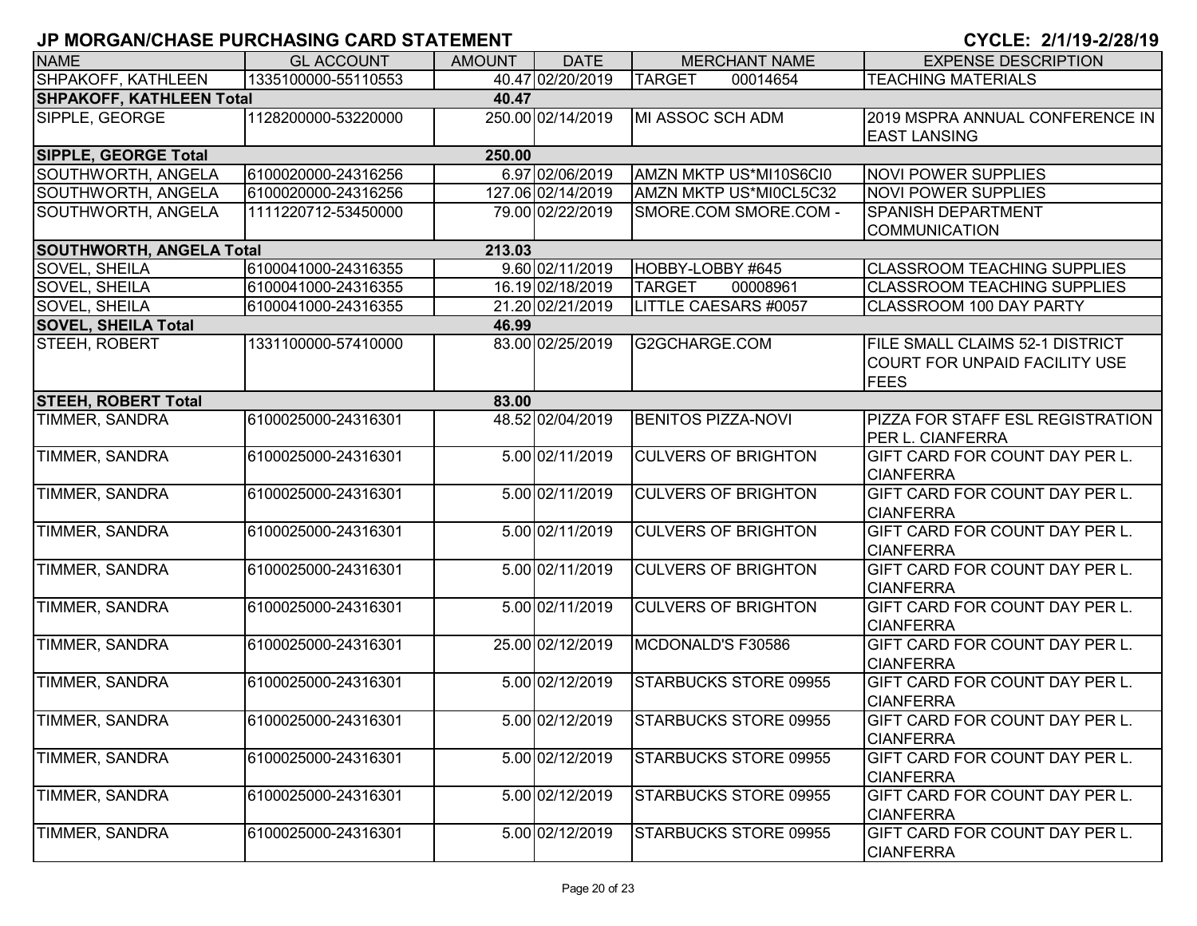| <b>NAME</b>                     | <b>GL ACCOUNT</b>   | <b>AMOUNT</b> | <b>DATE</b>       | <b>MERCHANT NAME</b>         | <b>EXPENSE DESCRIPTION</b>                                                      |
|---------------------------------|---------------------|---------------|-------------------|------------------------------|---------------------------------------------------------------------------------|
| <b>SHPAKOFF, KATHLEEN</b>       | 1335100000-55110553 |               | 40.47 02/20/2019  | <b>TARGET</b><br>00014654    | <b>TEACHING MATERIALS</b>                                                       |
| <b>SHPAKOFF, KATHLEEN Total</b> |                     | 40.47         |                   |                              |                                                                                 |
| SIPPLE, GEORGE                  | 1128200000-53220000 |               | 250.00 02/14/2019 | MI ASSOC SCH ADM             | 2019 MSPRA ANNUAL CONFERENCE IN<br><b>EAST LANSING</b>                          |
| <b>SIPPLE, GEORGE Total</b>     |                     | 250.00        |                   |                              |                                                                                 |
| SOUTHWORTH, ANGELA              | 6100020000-24316256 |               | 6.97 02/06/2019   | AMZN MKTP US*MI10S6CI0       | <b>NOVI POWER SUPPLIES</b>                                                      |
| SOUTHWORTH, ANGELA              | 6100020000-24316256 |               | 127.06 02/14/2019 | AMZN MKTP US*MI0CL5C32       | <b>NOVI POWER SUPPLIES</b>                                                      |
| SOUTHWORTH, ANGELA              | 1111220712-53450000 |               | 79.00 02/22/2019  | SMORE.COM SMORE.COM -        | SPANISH DEPARTMENT                                                              |
| <b>SOUTHWORTH, ANGELA Total</b> |                     | 213.03        |                   |                              | <b>COMMUNICATION</b>                                                            |
| <b>SOVEL, SHEILA</b>            | 6100041000-24316355 |               | 9.60 02/11/2019   | HOBBY-LOBBY #645             | <b>CLASSROOM TEACHING SUPPLIES</b>                                              |
| SOVEL, SHEILA                   | 6100041000-24316355 |               | 16.19 02/18/2019  | <b>TARGET</b><br>00008961    | <b>CLASSROOM TEACHING SUPPLIES</b>                                              |
| SOVEL, SHEILA                   | 6100041000-24316355 |               | 21.20 02/21/2019  | LITTLE CAESARS #0057         | CLASSROOM 100 DAY PARTY                                                         |
| <b>SOVEL, SHEILA Total</b>      |                     | 46.99         |                   |                              |                                                                                 |
| STEEH, ROBERT                   | 1331100000-57410000 |               | 83.00 02/25/2019  | G2GCHARGE.COM                | FILE SMALL CLAIMS 52-1 DISTRICT<br>COURT FOR UNPAID FACILITY USE<br><b>FEES</b> |
| <b>STEEH, ROBERT Total</b>      |                     | 83.00         |                   |                              |                                                                                 |
| <b>TIMMER, SANDRA</b>           | 6100025000-24316301 |               | 48.52 02/04/2019  | <b>BENITOS PIZZA-NOVI</b>    | PIZZA FOR STAFF ESL REGISTRATION<br>PER L. CIANFERRA                            |
| TIMMER, SANDRA                  | 6100025000-24316301 |               | 5.00 02/11/2019   | <b>CULVERS OF BRIGHTON</b>   | GIFT CARD FOR COUNT DAY PER L.<br><b>CIANFERRA</b>                              |
| TIMMER, SANDRA                  | 6100025000-24316301 |               | 5.00 02/11/2019   | <b>CULVERS OF BRIGHTON</b>   | GIFT CARD FOR COUNT DAY PER L.<br><b>CIANFERRA</b>                              |
| TIMMER, SANDRA                  | 6100025000-24316301 |               | 5.00 02/11/2019   | <b>CULVERS OF BRIGHTON</b>   | GIFT CARD FOR COUNT DAY PER L.<br><b>CIANFERRA</b>                              |
| TIMMER, SANDRA                  | 6100025000-24316301 |               | 5.00 02/11/2019   | <b>CULVERS OF BRIGHTON</b>   | GIFT CARD FOR COUNT DAY PER L.<br><b>CIANFERRA</b>                              |
| <b>TIMMER, SANDRA</b>           | 6100025000-24316301 |               | 5.00 02/11/2019   | <b>CULVERS OF BRIGHTON</b>   | GIFT CARD FOR COUNT DAY PER L.<br><b>CIANFERRA</b>                              |
| <b>TIMMER, SANDRA</b>           | 6100025000-24316301 |               | 25.00 02/12/2019  | MCDONALD'S F30586            | GIFT CARD FOR COUNT DAY PER L.<br><b>CIANFERRA</b>                              |
| <b>TIMMER, SANDRA</b>           | 6100025000-24316301 |               | 5.00 02/12/2019   | STARBUCKS STORE 09955        | GIFT CARD FOR COUNT DAY PER L.<br><b>CIANFERRA</b>                              |
| TIMMER, SANDRA                  | 6100025000-24316301 |               | 5.00 02/12/2019   | STARBUCKS STORE 09955        | GIFT CARD FOR COUNT DAY PER L.<br><b>CIANFERRA</b>                              |
| <b>TIMMER, SANDRA</b>           | 6100025000-24316301 |               | 5.00 02/12/2019   | STARBUCKS STORE 09955        | GIFT CARD FOR COUNT DAY PER L.<br><b>CIANFERRA</b>                              |
| <b>TIMMER, SANDRA</b>           | 6100025000-24316301 |               | 5.00 02/12/2019   | STARBUCKS STORE 09955        | GIFT CARD FOR COUNT DAY PER L.<br><b>CIANFERRA</b>                              |
| TIMMER, SANDRA                  | 6100025000-24316301 |               | 5.00 02/12/2019   | <b>STARBUCKS STORE 09955</b> | GIFT CARD FOR COUNT DAY PER L.<br><b>CIANFERRA</b>                              |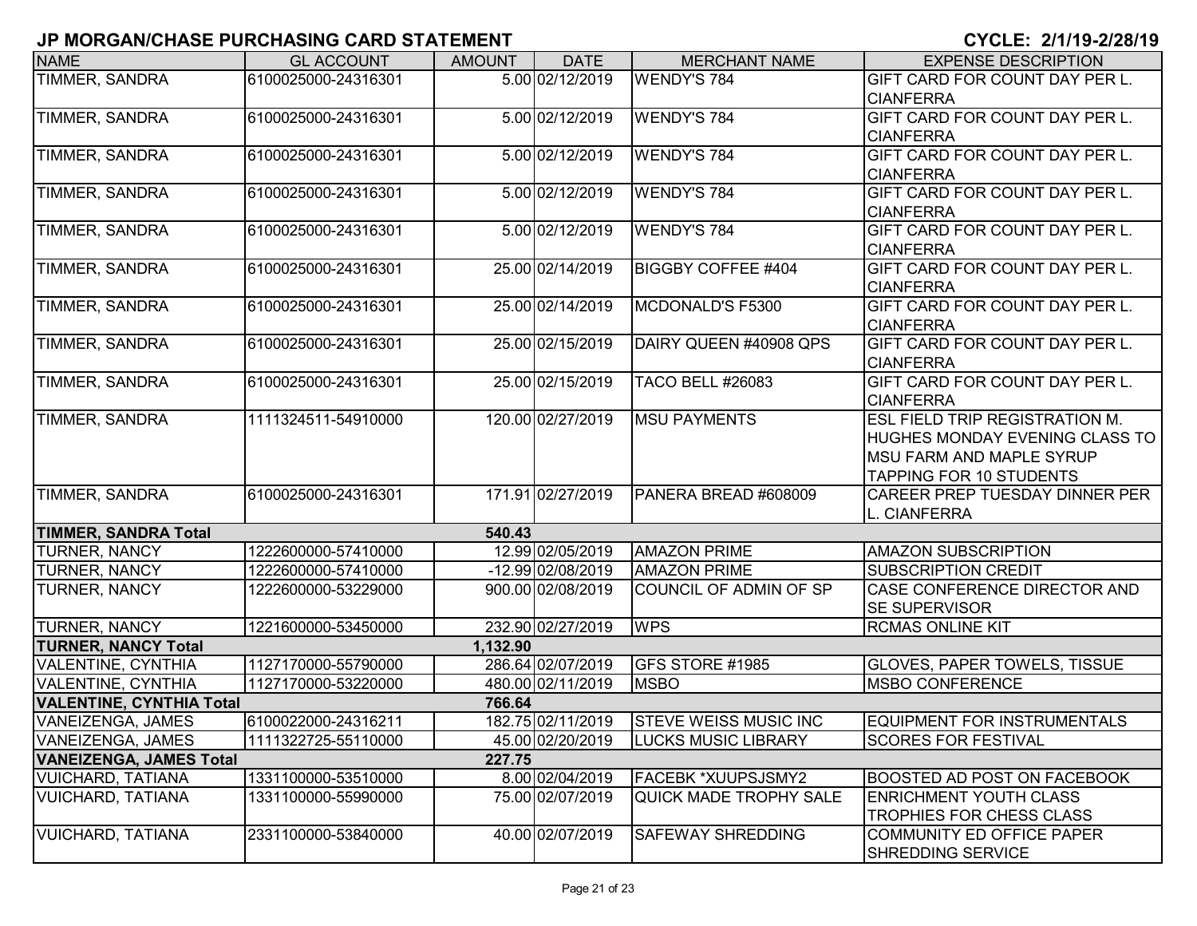| <b>NAME</b>                     | <b>GL ACCOUNT</b>   | <b>AMOUNT</b> | <b>DATE</b>         | <b>MERCHANT NAME</b>          | <b>EXPENSE DESCRIPTION</b>            |
|---------------------------------|---------------------|---------------|---------------------|-------------------------------|---------------------------------------|
| TIMMER, SANDRA                  | 6100025000-24316301 |               | 5.00 02/12/2019     | <b>WENDY'S 784</b>            | GIFT CARD FOR COUNT DAY PER L.        |
|                                 |                     |               |                     |                               | <b>CIANFERRA</b>                      |
| <b>TIMMER, SANDRA</b>           | 6100025000-24316301 |               | 5.00 02/12/2019     | <b>WENDY'S 784</b>            | GIFT CARD FOR COUNT DAY PER L.        |
|                                 |                     |               |                     |                               | <b>CIANFERRA</b>                      |
| <b>TIMMER, SANDRA</b>           | 6100025000-24316301 |               | 5.00 02/12/2019     | <b>WENDY'S 784</b>            | GIFT CARD FOR COUNT DAY PER L.        |
|                                 |                     |               |                     |                               | <b>CIANFERRA</b>                      |
| <b>TIMMER, SANDRA</b>           | 6100025000-24316301 |               | 5.00 02/12/2019     | <b>WENDY'S 784</b>            | GIFT CARD FOR COUNT DAY PER L.        |
|                                 |                     |               |                     |                               | <b>CIANFERRA</b>                      |
| TIMMER, SANDRA                  | 6100025000-24316301 |               | 5.00 02/12/2019     | <b>WENDY'S 784</b>            | GIFT CARD FOR COUNT DAY PER L.        |
|                                 |                     |               |                     |                               | <b>CIANFERRA</b>                      |
| TIMMER, SANDRA                  | 6100025000-24316301 |               | 25.00 02/14/2019    | <b>BIGGBY COFFEE #404</b>     | GIFT CARD FOR COUNT DAY PER L.        |
|                                 |                     |               |                     |                               | <b>CIANFERRA</b>                      |
| <b>TIMMER, SANDRA</b>           | 6100025000-24316301 |               | 25.00 02/14/2019    | MCDONALD'S F5300              | GIFT CARD FOR COUNT DAY PER L.        |
|                                 |                     |               |                     |                               | <b>CIANFERRA</b>                      |
| <b>TIMMER, SANDRA</b>           | 6100025000-24316301 |               | 25.00 02/15/2019    | DAIRY QUEEN #40908 QPS        | GIFT CARD FOR COUNT DAY PER L.        |
|                                 |                     |               |                     |                               | <b>CIANFERRA</b>                      |
| TIMMER, SANDRA                  | 6100025000-24316301 |               | 25.00 02/15/2019    | <b>TACO BELL #26083</b>       | GIFT CARD FOR COUNT DAY PER L.        |
|                                 |                     |               |                     |                               | <b>CIANFERRA</b>                      |
| <b>TIMMER, SANDRA</b>           | 1111324511-54910000 |               | 120.00 02/27/2019   | <b>MSU PAYMENTS</b>           | <b>ESL FIELD TRIP REGISTRATION M.</b> |
|                                 |                     |               |                     |                               | HUGHES MONDAY EVENING CLASS TO        |
|                                 |                     |               |                     |                               | <b>MSU FARM AND MAPLE SYRUP</b>       |
|                                 |                     |               |                     |                               | <b>TAPPING FOR 10 STUDENTS</b>        |
| TIMMER, SANDRA                  | 6100025000-24316301 |               | 171.91 02/27/2019   | PANERA BREAD #608009          | CAREER PREP TUESDAY DINNER PER        |
|                                 |                     |               |                     |                               | L. CIANFERRA                          |
| <b>TIMMER, SANDRA Total</b>     |                     | 540.43        |                     |                               |                                       |
| <b>TURNER, NANCY</b>            | 1222600000-57410000 |               | 12.99 02/05/2019    | <b>AMAZON PRIME</b>           | <b>AMAZON SUBSCRIPTION</b>            |
| TURNER, NANCY                   | 1222600000-57410000 |               | $-12.99$ 02/08/2019 | <b>AMAZON PRIME</b>           | <b>SUBSCRIPTION CREDIT</b>            |
| TURNER, NANCY                   | 1222600000-53229000 |               | 900.00 02/08/2019   | COUNCIL OF ADMIN OF SP        | <b>CASE CONFERENCE DIRECTOR AND</b>   |
|                                 |                     |               |                     |                               | <b>SE SUPERVISOR</b>                  |
| <b>TURNER, NANCY</b>            | 1221600000-53450000 |               | 232.90 02/27/2019   | <b>WPS</b>                    | <b>RCMAS ONLINE KIT</b>               |
| <b>TURNER, NANCY Total</b>      |                     | 1,132.90      |                     |                               |                                       |
| <b>VALENTINE, CYNTHIA</b>       | 1127170000-55790000 |               | 286.64 02/07/2019   | GFS STORE #1985               | <b>GLOVES, PAPER TOWELS, TISSUE</b>   |
| <b>VALENTINE, CYNTHIA</b>       | 1127170000-53220000 |               | 480.00 02/11/2019   | <b>MSBO</b>                   | <b>MSBO CONFERENCE</b>                |
| <b>VALENTINE, CYNTHIA Total</b> |                     | 766.64        |                     |                               |                                       |
| VANEIZENGA, JAMES               | 6100022000-24316211 |               | 182.75 02/11/2019   | <b>STEVE WEISS MUSIC INC</b>  | EQUIPMENT FOR INSTRUMENTALS           |
| <b>VANEIZENGA, JAMES</b>        | 1111322725-55110000 |               | 45.00 02/20/2019    | <b>LUCKS MUSIC LIBRARY</b>    | <b>SCORES FOR FESTIVAL</b>            |
| <b>VANEIZENGA, JAMES Total</b>  |                     | 227.75        |                     |                               |                                       |
| <b>VUICHARD, TATIANA</b>        | 1331100000-53510000 |               | 8.00 02/04/2019     | <b>FACEBK *XUUPSJSMY2</b>     | <b>BOOSTED AD POST ON FACEBOOK</b>    |
| <b>VUICHARD, TATIANA</b>        | 1331100000-55990000 |               | 75.00 02/07/2019    | <b>QUICK MADE TROPHY SALE</b> | <b>ENRICHMENT YOUTH CLASS</b>         |
|                                 |                     |               |                     |                               | TROPHIES FOR CHESS CLASS              |
| <b>VUICHARD, TATIANA</b>        | 2331100000-53840000 |               | 40.00 02/07/2019    | <b>SAFEWAY SHREDDING</b>      | COMMUNITY ED OFFICE PAPER             |
|                                 |                     |               |                     |                               | SHREDDING SERVICE                     |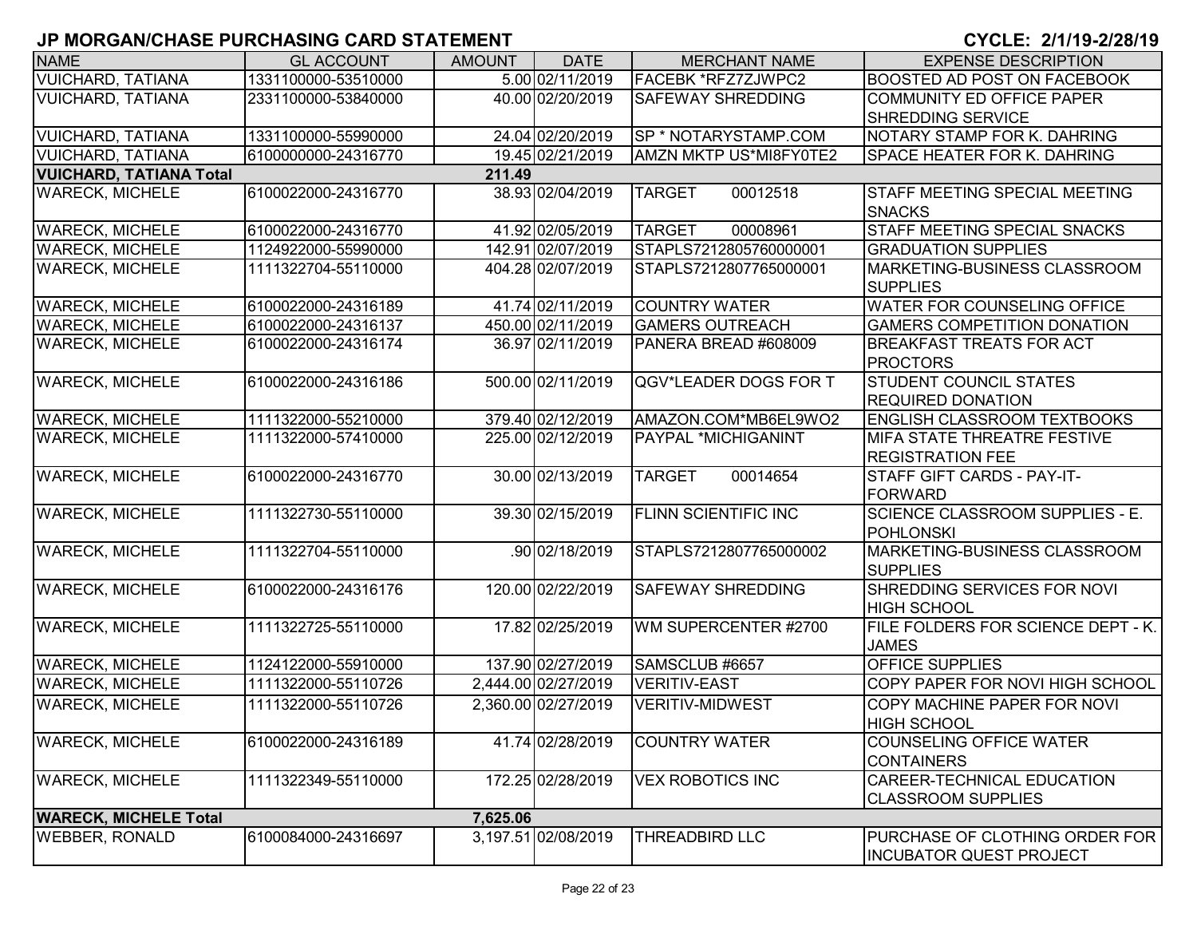| <b>NAME</b>                    | <b>GL ACCOUNT</b>   | <b>AMOUNT</b> | <b>DATE</b>         | <b>MERCHANT NAME</b>        | <b>EXPENSE DESCRIPTION</b>                        |
|--------------------------------|---------------------|---------------|---------------------|-----------------------------|---------------------------------------------------|
| <b>VUICHARD, TATIANA</b>       | 1331100000-53510000 |               | 5.00 02/11/2019     | <b>FACEBK *RFZ7ZJWPC2</b>   | BOOSTED AD POST ON FACEBOOK                       |
| <b>VUICHARD, TATIANA</b>       | 2331100000-53840000 |               | 40.00 02/20/2019    | <b>SAFEWAY SHREDDING</b>    | <b>COMMUNITY ED OFFICE PAPER</b>                  |
|                                |                     |               |                     |                             | SHREDDING SERVICE                                 |
| <b>VUICHARD, TATIANA</b>       | 1331100000-55990000 |               | 24.04 02/20/2019    | SP * NOTARYSTAMP.COM        | NOTARY STAMP FOR K. DAHRING                       |
| <b>VUICHARD, TATIANA</b>       | 6100000000-24316770 |               | 19.45 02/21/2019    | AMZN MKTP US*MI8FY0TE2      | SPACE HEATER FOR K. DAHRING                       |
| <b>VUICHARD, TATIANA Total</b> |                     | 211.49        |                     |                             |                                                   |
| <b>WARECK, MICHELE</b>         | 6100022000-24316770 |               | 38.93 02/04/2019    | <b>TARGET</b><br>00012518   | STAFF MEETING SPECIAL MEETING<br><b>SNACKS</b>    |
| <b>WARECK, MICHELE</b>         | 6100022000-24316770 |               | 41.92 02/05/2019    | <b>TARGET</b><br>00008961   | STAFF MEETING SPECIAL SNACKS                      |
| <b>WARECK, MICHELE</b>         | 1124922000-55990000 |               | 142.91 02/07/2019   | STAPLS7212805760000001      | <b>GRADUATION SUPPLIES</b>                        |
| <b>WARECK, MICHELE</b>         | 1111322704-55110000 |               | 404.28 02/07/2019   | STAPLS7212807765000001      | MARKETING-BUSINESS CLASSROOM<br><b>SUPPLIES</b>   |
| <b>WARECK, MICHELE</b>         | 6100022000-24316189 |               | 41.74 02/11/2019    | <b>COUNTRY WATER</b>        | WATER FOR COUNSELING OFFICE                       |
| <b>WARECK, MICHELE</b>         | 6100022000-24316137 |               | 450.00 02/11/2019   | <b>GAMERS OUTREACH</b>      | <b>GAMERS COMPETITION DONATION</b>                |
| <b>WARECK, MICHELE</b>         | 6100022000-24316174 |               | 36.97 02/11/2019    | PANERA BREAD #608009        | <b>BREAKFAST TREATS FOR ACT</b>                   |
|                                |                     |               |                     |                             | <b>PROCTORS</b>                                   |
| <b>WARECK, MICHELE</b>         | 6100022000-24316186 |               | 500.00 02/11/2019   | QGV*LEADER DOGS FOR T       | <b>STUDENT COUNCIL STATES</b>                     |
|                                |                     |               |                     |                             | <b>REQUIRED DONATION</b>                          |
| <b>WARECK, MICHELE</b>         | 1111322000-55210000 |               | 379.40 02/12/2019   | AMAZON.COM*MB6EL9WO2        | <b>ENGLISH CLASSROOM TEXTBOOKS</b>                |
| <b>WARECK, MICHELE</b>         | 1111322000-57410000 |               | 225.00 02/12/2019   | <b>PAYPAL *MICHIGANINT</b>  | MIFA STATE THREATRE FESTIVE                       |
|                                |                     |               |                     |                             | <b>REGISTRATION FEE</b>                           |
| <b>WARECK, MICHELE</b>         | 6100022000-24316770 |               | 30.00 02/13/2019    | 00014654<br><b>TARGET</b>   | STAFF GIFT CARDS - PAY-IT-                        |
|                                |                     |               |                     |                             | <b>FORWARD</b>                                    |
| <b>WARECK, MICHELE</b>         | 1111322730-55110000 |               | 39.30 02/15/2019    | <b>FLINN SCIENTIFIC INC</b> | SCIENCE CLASSROOM SUPPLIES - E.                   |
|                                |                     |               |                     |                             | <b>POHLONSKI</b>                                  |
| <b>WARECK, MICHELE</b>         | 1111322704-55110000 |               | .90 02/18/2019      | STAPLS7212807765000002      | MARKETING-BUSINESS CLASSROOM                      |
|                                |                     |               |                     |                             | <b>SUPPLIES</b>                                   |
| <b>WARECK, MICHELE</b>         | 6100022000-24316176 |               | 120.00 02/22/2019   | <b>SAFEWAY SHREDDING</b>    | SHREDDING SERVICES FOR NOVI                       |
|                                |                     |               |                     |                             | <b>HIGH SCHOOL</b>                                |
| <b>WARECK, MICHELE</b>         | 1111322725-55110000 |               | 17.82 02/25/2019    | WM SUPERCENTER #2700        | FILE FOLDERS FOR SCIENCE DEPT - K.                |
|                                |                     |               |                     |                             | <b>JAMES</b>                                      |
| <b>WARECK, MICHELE</b>         | 1124122000-55910000 |               | 137.90 02/27/2019   | SAMSCLUB #6657              | <b>OFFICE SUPPLIES</b>                            |
| <b>WARECK, MICHELE</b>         | 1111322000-55110726 |               | 2,444.00 02/27/2019 | <b>VERITIV-EAST</b>         | COPY PAPER FOR NOVI HIGH SCHOOL                   |
| <b>WARECK, MICHELE</b>         | 1111322000-55110726 |               | 2,360.00 02/27/2019 | <b>VERITIV-MIDWEST</b>      | COPY MACHINE PAPER FOR NOVI<br><b>HIGH SCHOOL</b> |
| <b>WARECK, MICHELE</b>         | 6100022000-24316189 |               | 41.74 02/28/2019    | <b>COUNTRY WATER</b>        | <b>COUNSELING OFFICE WATER</b>                    |
|                                |                     |               |                     |                             | <b>CONTAINERS</b>                                 |
| <b>WARECK, MICHELE</b>         | 1111322349-55110000 |               | 172.25 02/28/2019   | <b>VEX ROBOTICS INC</b>     | CAREER-TECHNICAL EDUCATION                        |
|                                |                     |               |                     |                             | <b>CLASSROOM SUPPLIES</b>                         |
| <b>WARECK, MICHELE Total</b>   |                     | 7,625.06      |                     |                             |                                                   |
| <b>WEBBER, RONALD</b>          | 6100084000-24316697 |               | 3,197.51 02/08/2019 | <b>THREADBIRD LLC</b>       | PURCHASE OF CLOTHING ORDER FOR                    |
|                                |                     |               |                     |                             | <b>INCUBATOR QUEST PROJECT</b>                    |